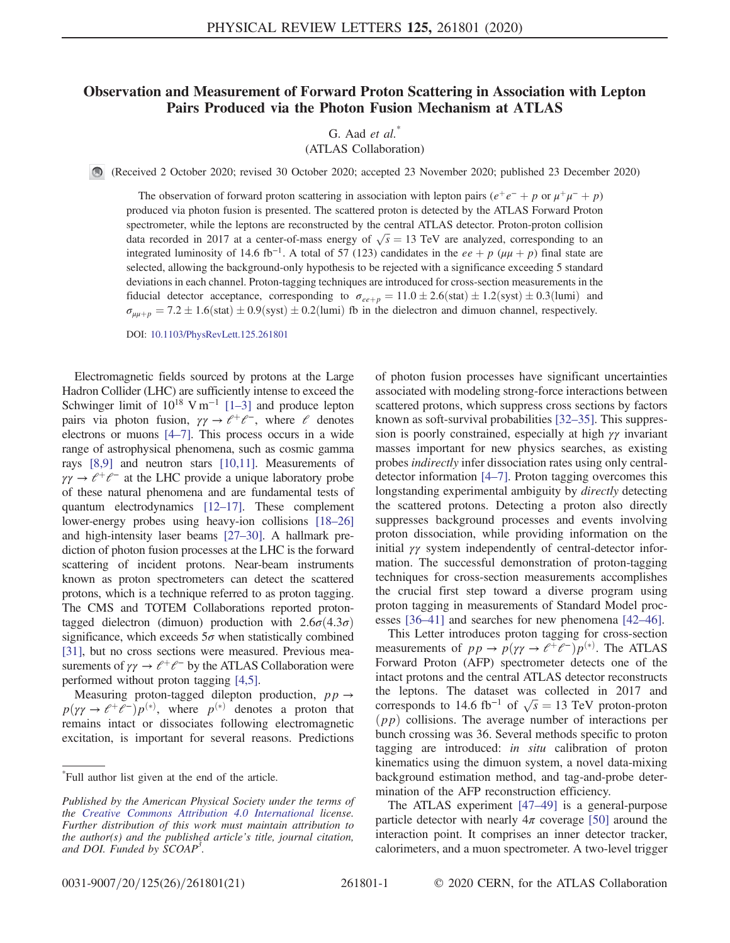## Observation and Measurement of Forward Proton Scattering in Association with Lepton Pairs Produced via the Photon Fusion Mechanism at ATLAS

G. Aad  $et \ al.^*$ 

(ATLAS Collaboration)

(Received 2 October 2020; revised 30 October 2020; accepted 23 November 2020; published 23 December 2020)

The observation of forward proton scattering in association with lepton pairs  $(e^+e^- + p$  or  $\mu^+\mu^- + p)$ produced via photon fusion is presented. The scattered proton is detected by the ATLAS Forward Proton spectrometer, while the leptons are reconstructed by the central ATLAS detector. Proton-proton collision data recorded in 2017 at a center-of-mass energy of  $\sqrt{s} = 13$  TeV are analyzed, corresponding to an integrated luminosity of 14.6 fb<sup>-1</sup>. A total of 57 (123) candidates in the ee + p ( $\mu\mu$  + p) final state are selected, allowing the background-only hypothesis to be rejected with a significance exceeding 5 standard deviations in each channel. Proton-tagging techniques are introduced for cross-section measurements in the fiducial detector acceptance, corresponding to  $\sigma_{ee+p} = 11.0 \pm 2.6$  (stat)  $\pm 1.2$  (syst)  $\pm 0.3$  (lumi) and  $\sigma_{\mu\mu+p} = 7.2 \pm 1.6$ (stat)  $\pm 0.9$ (syst)  $\pm 0.2$ (lumi) fb in the dielectron and dimuon channel, respectively.

DOI: [10.1103/PhysRevLett.125.261801](https://doi.org/10.1103/PhysRevLett.125.261801)

Electromagnetic fields sourced by protons at the Large Hadron Collider (LHC) are sufficiently intense to exceed the Schwinger limit of  $10^{18}$  V m<sup>-1</sup> [1–[3\]](#page-5-0) and produce lepton pairs via photon fusion,  $\gamma \gamma \rightarrow e^+e^-$ , where  $e$  denotes electrons or muons [\[4](#page-5-1)–7]. This process occurs in a wide range of astrophysical phenomena, such as cosmic gamma rays [\[8,9\]](#page-5-2) and neutron stars [\[10,11\].](#page-5-3) Measurements of  $\gamma \gamma \rightarrow e^+e^-$  at the LHC provide a unique laboratory probe of these natural phenomena and are fundamental tests of quantum electrodynamics [\[12](#page-5-4)–17]. These complement lower-energy probes using heavy-ion collisions [18–[26\]](#page-5-5) and high-intensity laser beams [27–[30\].](#page-5-6) A hallmark prediction of photon fusion processes at the LHC is the forward scattering of incident protons. Near-beam instruments known as proton spectrometers can detect the scattered protons, which is a technique referred to as proton tagging. The CMS and TOTEM Collaborations reported protontagged dielectron (dimuon) production with  $2.6\sigma(4.3\sigma)$ significance, which exceeds  $5\sigma$  when statistically combined [\[31\],](#page-5-7) but no cross sections were measured. Previous measurements of  $\gamma \gamma \rightarrow \ell^+ \ell^-$  by the ATLAS Collaboration were performed without proton tagging [\[4,5\]](#page-5-1).

Measuring proton-tagged dilepton production,  $pp \rightarrow$  $p(\gamma \rightarrow e^+e^-)p^{(*)}$ , where  $p^{(*)}$  denotes a proton that remains intact or dissociates following electromagnetic excitation, is important for several reasons. Predictions of photon fusion processes have significant uncertainties associated with modeling strong-force interactions between scattered protons, which suppress cross sections by factors known as soft-survival probabilities [32–[35\].](#page-5-8) This suppression is poorly constrained, especially at high  $\gamma\gamma$  invariant masses important for new physics searches, as existing probes indirectly infer dissociation rates using only centraldetector information [4–[7\]](#page-5-1). Proton tagging overcomes this longstanding experimental ambiguity by *directly* detecting the scattered protons. Detecting a proton also directly suppresses background processes and events involving proton dissociation, while providing information on the initial γγ system independently of central-detector information. The successful demonstration of proton-tagging techniques for cross-section measurements accomplishes the crucial first step toward a diverse program using proton tagging in measurements of Standard Model processes [36–[41\]](#page-5-9) and searches for new phenomena [\[42](#page-6-0)–46].

This Letter introduces proton tagging for cross-section measurements of  $pp \to p(\gamma \gamma \to \ell^+ \ell^-) p^{(*)}$ . The ATLAS Forward Proton (AFP) spectrometer detects one of the intact protons and the central ATLAS detector reconstructs the leptons. The dataset was collected in 2017 and corresponds to 14.6 fb<sup>-1</sup> of  $\sqrt{s} = 13$  TeV proton-proton  $(pp)$  collisions. The average number of interactions per bunch crossing was 36. Several methods specific to proton tagging are introduced: in situ calibration of proton kinematics using the dimuon system, a novel data-mixing background estimation method, and tag-and-probe determination of the AFP reconstruction efficiency.

The ATLAS experiment [47–[49\]](#page-6-1) is a general-purpose particle detector with nearly  $4\pi$  coverage [\[50\]](#page-6-2) around the interaction point. It comprises an inner detector tracker, calorimeters, and a muon spectrometer. A two-level trigger

<sup>\*</sup> Full author list given at the end of the article.

Published by the American Physical Society under the terms of the [Creative Commons Attribution 4.0 International](https://creativecommons.org/licenses/by/4.0/) license. Further distribution of this work must maintain attribution to the author(s) and the published article's title, journal citation, and DOI. Funded by SCOAP<sup>3</sup>.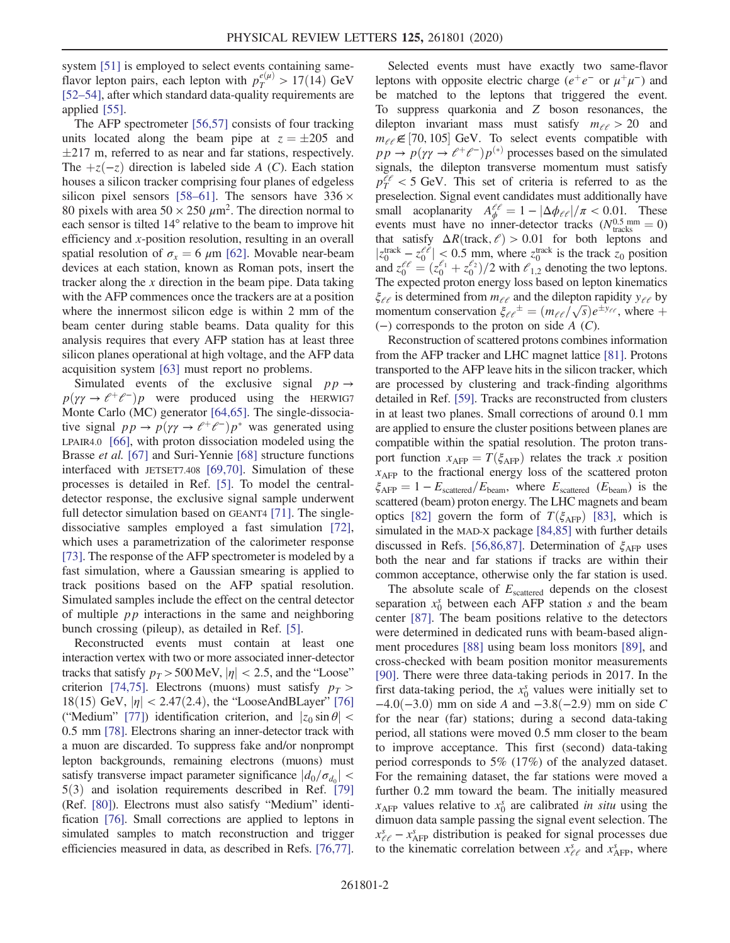system [\[51\]](#page-6-3) is employed to select events containing sameflavor lepton pairs, each lepton with  $p_T^{e(\mu)} > 17(14)$  GeV [\[52](#page-6-4)–54], after which standard data-quality requirements are applied [\[55\].](#page-6-5)

The AFP spectrometer [\[56,57\]](#page-6-6) consists of four tracking units located along the beam pipe at  $z = \pm 205$  and  $\pm$ 217 m, referred to as near and far stations, respectively. The  $+z(-z)$  direction is labeled side A (C). Each station houses a silicon tracker comprising four planes of edgeless silicon pixel sensors [58–[61\].](#page-6-7) The sensors have  $336 \times$ 80 pixels with area  $50 \times 250 \ \mu m^2$ . The direction normal to each sensor is tilted 14° relative to the beam to improve hit efficiency and x-position resolution, resulting in an overall spatial resolution of  $\sigma_x = 6 \mu m$  [\[62\].](#page-6-8) Movable near-beam devices at each station, known as Roman pots, insert the tracker along the  $x$  direction in the beam pipe. Data taking with the AFP commences once the trackers are at a position where the innermost silicon edge is within 2 mm of the beam center during stable beams. Data quality for this analysis requires that every AFP station has at least three silicon planes operational at high voltage, and the AFP data acquisition system [\[63\]](#page-6-9) must report no problems.

Simulated events of the exclusive signal  $pp \rightarrow$  $p(\gamma \gamma \rightarrow \ell^+ \ell^-) p$  were produced using the HERWIG7 Monte Carlo (MC) generator [\[64,65\]](#page-6-10). The single-dissociative signal  $pp \rightarrow p(\gamma \gamma \rightarrow \ell^+ \ell^-) p^*$  was generated using LPAIR4.0 [\[66\],](#page-6-11) with proton dissociation modeled using the Brasse *et al.* [\[67\]](#page-6-12) and Suri-Yennie [\[68\]](#page-6-13) structure functions interfaced with JETSET7.408 [\[69,70\].](#page-6-14) Simulation of these processes is detailed in Ref. [\[5\].](#page-5-10) To model the centraldetector response, the exclusive signal sample underwent full detector simulation based on GEANT4 [\[71\]](#page-6-15). The singledissociative samples employed a fast simulation [\[72\]](#page-6-16), which uses a parametrization of the calorimeter response [\[73\]](#page-6-17). The response of the AFP spectrometer is modeled by a fast simulation, where a Gaussian smearing is applied to track positions based on the AFP spatial resolution. Simulated samples include the effect on the central detector of multiple  $pp$  interactions in the same and neighboring bunch crossing (pileup), as detailed in Ref. [\[5\]](#page-5-10).

Reconstructed events must contain at least one interaction vertex with two or more associated inner-detector tracks that satisfy  $p_T > 500 \,\text{MeV}, |\eta| < 2.5$ , and the "Loose" criterion [\[74,75\]](#page-6-18). Electrons (muons) must satisfy  $p_T >$ 18(15) GeV,  $|\eta|$  < 2.47(2.4), the "LooseAndBLayer" [\[76\]](#page-7-0) ("Medium" [\[77\]](#page-7-1)) identification criterion, and  $|z_0 \sin \theta|$  < 0.5 mm [\[78\]](#page-7-2). Electrons sharing an inner-detector track with a muon are discarded. To suppress fake and/or nonprompt lepton backgrounds, remaining electrons (muons) must satisfy transverse impact parameter significance  $|d_0/\sigma_{d_0}|$  <  $5(3)$  and isolation requirements described in Ref. [\[79\]](#page-7-3) (Ref. [\[80\]\)](#page-7-4). Electrons must also satisfy "Medium" identification [\[76\]](#page-7-0). Small corrections are applied to leptons in simulated samples to match reconstruction and trigger efficiencies measured in data, as described in Refs. [\[76,77\]](#page-7-0).

Selected events must have exactly two same-flavor leptons with opposite electric charge ( $e^+e^-$  or  $\mu^+\mu^-$ ) and be matched to the leptons that triggered the event. To suppress quarkonia and Z boson resonances, the dilepton invariant mass must satisfy  $m_{\ell\ell} > 20$  and  $m_{\ell\ell} \notin [70, 105]$  GeV. To select events compatible with  $pp \to p(\gamma \gamma \to \ell^+ \ell^-) p^{(*)}$  processes based on the simulated signals, the dilepton transverse momentum must satisfy  $p_T^{\ell\ell}$  < 5 GeV. This set of criteria is referred to as the preselection. Signal event candidates must additionally have small acoplanarity  $A_{\phi}^{\ell\ell} = 1 - |\Delta\phi_{\ell\ell}|/\pi < 0.01$ . These events must have no inner-detector tracks ( $N_{\text{tracks}}^{0.5 \text{ mm}} = 0$ ) that satisfy  $\Delta R$ (track,  $\ell$ ) > 0.01 for both leptons and  $|z_0^{\text{track}} - z_0^{\ell\ell}| \leq 0.5$  mm, where  $z_0^{\text{track}}$  is the track  $z_0$  position and  $z_0^{e\ell} = (z_0^{\ell_1} + z_0^{\ell_2})/2$  with  $\ell_{1,2}$  denoting the two leptons. The expected proton energy loss based on lepton kinematics  $\xi_{\ell\ell}$  is determined from  $m_{\ell\ell}$  and the dilepton rapidity  $y_{\ell\ell}$  by momentum conservation  $\xi_{\ell}e^{\pm} = (m_{\ell}e/\sqrt{s})e^{\pm y_{\ell}e}$ , where  $+$ (−) corresponds to the proton on side A (C).

Reconstruction of scattered protons combines information from the AFP tracker and LHC magnet lattice [\[81\]](#page-7-5). Protons transported to the AFP leave hits in the silicon tracker, which are processed by clustering and track-finding algorithms detailed in Ref. [\[59\].](#page-6-19) Tracks are reconstructed from clusters in at least two planes. Small corrections of around 0.1 mm are applied to ensure the cluster positions between planes are compatible within the spatial resolution. The proton transport function  $x_{\text{AFP}} = T(\xi_{\text{AFP}})$  relates the track x position  $x<sub>AFP</sub>$  to the fractional energy loss of the scattered proton  $\xi_{\text{AFP}} = 1 - E_{\text{scattered}}/E_{\text{beam}}$ , where  $E_{\text{scattered}}$  ( $E_{\text{beam}}$ ) is the scattered (beam) proton energy. The LHC magnets and beam optics [\[82\]](#page-7-6) govern the form of  $T(\xi_{\text{AFP}})$  [\[83\]](#page-7-7), which is simulated in the MAD-X package [\[84,85\]](#page-7-8) with further details discussed in Refs. [\[56,86,87\].](#page-6-6) Determination of  $\xi_{\text{A}\text{FP}}$  uses both the near and far stations if tracks are within their common acceptance, otherwise only the far station is used.

The absolute scale of  $E_{\text{scattered}}$  depends on the closest separation  $x_0^s$  between each AFP station s and the beam center [\[87\].](#page-7-9) The beam positions relative to the detectors were determined in dedicated runs with beam-based alignment procedures [\[88\]](#page-7-10) using beam loss monitors [\[89\],](#page-7-11) and cross-checked with beam position monitor measurements [\[90\]](#page-7-12). There were three data-taking periods in 2017. In the first data-taking period, the  $x_0^s$  values were initially set to  $-4.0(-3.0)$  mm on side A and  $-3.8(-2.9)$  mm on side C for the near (far) stations; during a second data-taking period, all stations were moved 0.5 mm closer to the beam to improve acceptance. This first (second) data-taking period corresponds to 5% (17%) of the analyzed dataset. For the remaining dataset, the far stations were moved a further 0.2 mm toward the beam. The initially measured  $x_{\text{AFP}}$  values relative to  $x_0^s$  are calibrated in situ using the dimuon data sample passing the signal event selection. The  $x_{\ell\ell}^s - x_{\text{AFP}}^s$  distribution is peaked for signal processes due to the kinematic correlation between  $x_{\ell\ell}^s$  and  $x_{\text{AFP}}^s$ , where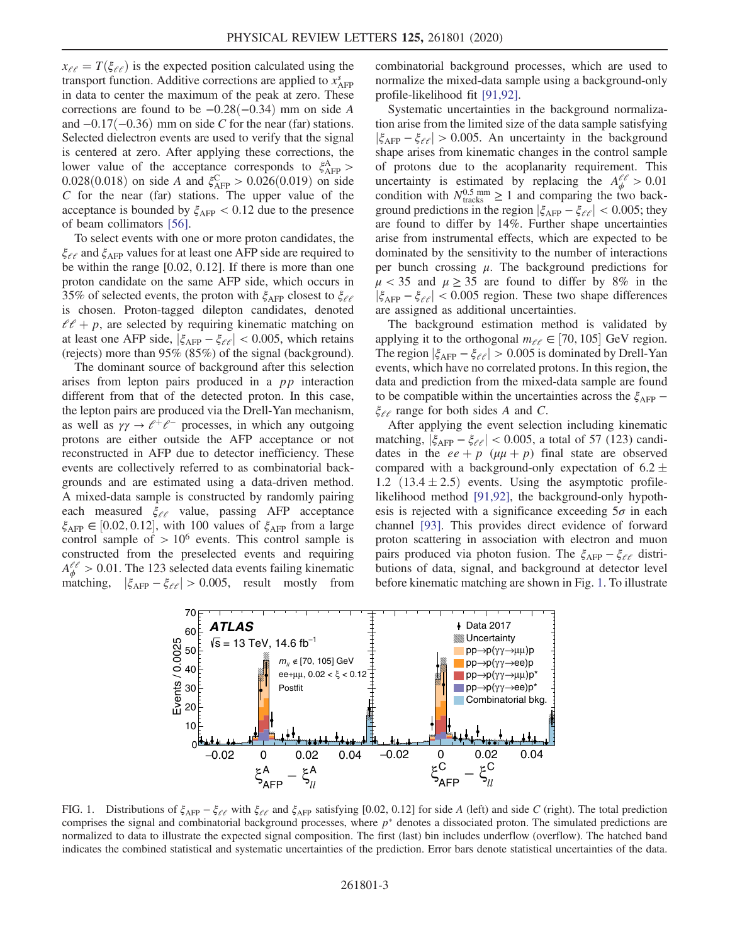$x_{\ell\ell} = T(\xi_{\ell\ell})$  is the expected position calculated using the transport function. Additive corrections are applied to  $x_{\text{A}\text{FP}}^s$ in data to center the maximum of the peak at zero. These corrections are found to be  $-0.28(-0.34)$  mm on side A and  $-0.17(-0.36)$  mm on side C for the near (far) stations. Selected dielectron events are used to verify that the signal is centered at zero. After applying these corrections, the lower value of the acceptance corresponds to  $\xi_{\rm AFP}^{\rm A}$  > 0.028(0.018) on side A and  $\xi_{\text{AFP}}^{\text{C}} > 0.026(0.019)$  on side  $C$  for the near (far) stations. The upper value of the acceptance is bounded by  $\xi_{\text{A}\text{FP}} < 0.12$  due to the presence of beam collimators [\[56\].](#page-6-6)

To select events with one or more proton candidates, the  $\xi_{\ell\ell}$  and  $\xi_{\rm AFP}$  values for at least one AFP side are required to be within the range [0.02, 0.12]. If there is more than one proton candidate on the same AFP side, which occurs in 35% of selected events, the proton with  $\xi_{\text{A}\text{FP}}$  closest to  $\xi_{\ell\ell}$ is chosen. Proton-tagged dilepton candidates, denoted  $l l + p$ , are selected by requiring kinematic matching on at least one AFP side,  $|\xi_{\text{AFP}} - \xi_{\ell\ell}| < 0.005$ , which retains (rejects) more than 95% (85%) of the signal (background).

The dominant source of background after this selection arises from lepton pairs produced in a pp interaction different from that of the detected proton. In this case, the lepton pairs are produced via the Drell-Yan mechanism, as well as  $\gamma \gamma \rightarrow e^+e^-$  processes, in which any outgoing protons are either outside the AFP acceptance or not reconstructed in AFP due to detector inefficiency. These events are collectively referred to as combinatorial backgrounds and are estimated using a data-driven method. A mixed-data sample is constructed by randomly pairing each measured  $\xi_{\ell\ell}$  value, passing AFP acceptance  $\xi_{\text{AFP}} \in [0.02, 0.12]$ , with 100 values of  $\xi_{\text{AFP}}$  from a large control sample of  $> 10^6$  events. This control sample is constructed from the preselected events and requiring  $A_{\phi}^{\ell\ell} > 0.01$ . The 123 selected data events failing kinematic matching,  $|\xi_{\text{AFP}} - \xi_{\ell\ell}| > 0.005$ , result mostly from combinatorial background processes, which are used to normalize the mixed-data sample using a background-only profile-likelihood fit [\[91,92\].](#page-7-13)

Systematic uncertainties in the background normalization arise from the limited size of the data sample satisfying  $|\xi_{\rm AFP} - \xi_{\ell\ell}| > 0.005$ . An uncertainty in the background shape arises from kinematic changes in the control sample of protons due to the acoplanarity requirement. This uncertainty is estimated by replacing the  $A_{\phi}^{\ell\ell} > 0.01$ condition with  $N_{\text{tracks}}^{0.5 \text{ mm}} \ge 1$  and comparing the two background predictions in the region  $|\xi_{\text{AFP}} - \xi_{\ell\ell}| < 0.005$ ; they are found to differ by 14%. Further shape uncertainties arise from instrumental effects, which are expected to be dominated by the sensitivity to the number of interactions per bunch crossing  $\mu$ . The background predictions for  $\mu$  < 35 and  $\mu \ge 35$  are found to differ by 8% in the  $|\xi_{\text{AFP}} - \xi_{\ell\ell}| < 0.005$  region. These two shape differences are assigned as additional uncertainties.

The background estimation method is validated by applying it to the orthogonal  $m_{\ell\ell} \in [70, 105]$  GeV region. The region  $|\xi_{\text{AFP}} - \xi_{\ell\ell}| > 0.005$  is dominated by Drell-Yan events, which have no correlated protons. In this region, the data and prediction from the mixed-data sample are found to be compatible within the uncertainties across the  $\xi_{\rm AFP}$  –  $\xi_{\ell\ell}$  range for both sides A and C.

After applying the event selection including kinematic matching,  $|\xi_{\text{AFP}} - \xi_{\ell\ell}| < 0.005$ , a total of 57 (123) candidates in the  $ee + p$  ( $\mu\mu + p$ ) final state are observed compared with a background-only expectation of  $6.2 \pm 0.001$ 1.2  $(13.4 \pm 2.5)$  events. Using the asymptotic profilelikelihood method [\[91,92\],](#page-7-13) the background-only hypothesis is rejected with a significance exceeding  $5\sigma$  in each channel [\[93\].](#page-7-14) This provides direct evidence of forward proton scattering in association with electron and muon pairs produced via photon fusion. The  $\xi_{\text{A}\text{FP}} - \xi_{\ell\ell}$  distributions of data, signal, and background at detector level before kinematic matching are shown in Fig. [1](#page-2-0). To illustrate

<span id="page-2-0"></span>

FIG. 1. Distributions of  $\xi_{\text{AFP}} - \xi_{\ell\ell}$  with  $\xi_{\ell\ell}$  and  $\xi_{\text{AFP}}$  satisfying [0.02, 0.12] for side A (left) and side C (right). The total prediction comprises the signal and combinatorial background processes, where  $p^*$  denotes a dissociated proton. The simulated predictions are normalized to data to illustrate the expected signal composition. The first (last) bin includes underflow (overflow). The hatched band indicates the combined statistical and systematic uncertainties of the prediction. Error bars denote statistical uncertainties of the data.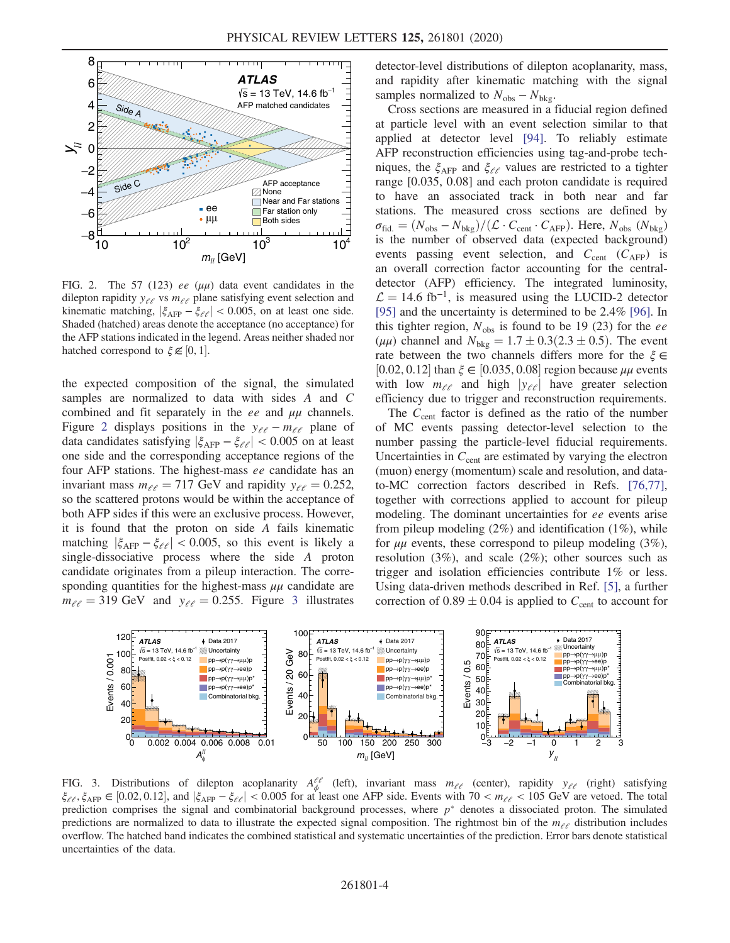<span id="page-3-0"></span>

FIG. 2. The 57 (123) ee  $(\mu\mu)$  data event candidates in the dilepton rapidity  $y_{\ell \ell}$  vs  $m_{\ell \ell}$  plane satisfying event selection and kinematic matching,  $|\xi_{\text{AFP}} - \xi_{\ell\ell}| < 0.005$ , on at least one side. Shaded (hatched) areas denote the acceptance (no acceptance) for the AFP stations indicated in the legend. Areas neither shaded nor hatched correspond to  $\xi \in [0, 1]$ .

the expected composition of the signal, the simulated samples are normalized to data with sides A and C combined and fit separately in the ee and  $\mu\mu$  channels. Figure [2](#page-3-0) displays positions in the  $y_{\ell \ell} - m_{\ell \ell}$  plane of data candidates satisfying  $|\xi_{\text{A}\text{FP}} - \xi_{\ell\ell}| < 0.005$  on at least one side and the corresponding acceptance regions of the four AFP stations. The highest-mass ee candidate has an invariant mass  $m_{\ell \ell} = 717$  GeV and rapidity  $y_{\ell \ell} = 0.252$ , so the scattered protons would be within the acceptance of both AFP sides if this were an exclusive process. However, it is found that the proton on side A fails kinematic matching  $|\xi_{\text{A}\text{FP}} - \xi_{\ell\ell}| < 0.005$ , so this event is likely a single-dissociative process where the side A proton candidate originates from a pileup interaction. The corresponding quantities for the highest-mass  $\mu\mu$  candidate are  $m_{\ell\ell} = 319 \text{ GeV}$  $m_{\ell\ell} = 319 \text{ GeV}$  $m_{\ell\ell} = 319 \text{ GeV}$  and  $y_{\ell\ell} = 0.255$ . Figure 3 illustrates detector-level distributions of dilepton acoplanarity, mass, and rapidity after kinematic matching with the signal samples normalized to  $N_{\text{obs}} - N_{\text{bkg}}$ .

Cross sections are measured in a fiducial region defined at particle level with an event selection similar to that applied at detector level [\[94\]](#page-7-15). To reliably estimate AFP reconstruction efficiencies using tag-and-probe techniques, the  $\xi_{\text{A}\text{FP}}$  and  $\xi_{\ell\ell}$  values are restricted to a tighter range [0.035, 0.08] and each proton candidate is required to have an associated track in both near and far stations. The measured cross sections are defined by  $\sigma_{\rm fid.}=(N_{\rm obs}-N_{\rm bkg})/(\mathcal{L}\cdot C_{\rm cent}\cdot C_{\rm AFP}).$  Here,  $N_{\rm obs}$   $(N_{\rm bkg})$ is the number of observed data (expected background) events passing event selection, and  $C_{cent}$  ( $C_{\text{AFP}}$ ) is an overall correction factor accounting for the centraldetector (AFP) efficiency. The integrated luminosity,  $\mathcal{L} = 14.6$  fb<sup>-1</sup>, is measured using the LUCID-2 detector [\[95\]](#page-7-16) and the uncertainty is determined to be 2.4% [\[96\].](#page-7-17) In this tighter region,  $N_{obs}$  is found to be 19 (23) for the ee ( $\mu\mu$ ) channel and  $N_{\text{bkg}} = 1.7 \pm 0.3(2.3 \pm 0.5)$ . The event rate between the two channels differs more for the  $\xi \in$ [0.02, 0.12] than  $\xi \in [0.035, 0.08]$  region because  $\mu\mu$  events with low  $m_{\ell\ell}$  and high  $|y_{\ell\ell}|$  have greater selection efficiency due to trigger and reconstruction requirements.

The  $C_{cent}$  factor is defined as the ratio of the number of MC events passing detector-level selection to the number passing the particle-level fiducial requirements. Uncertainties in  $C_{\text{cent}}$  are estimated by varying the electron (muon) energy (momentum) scale and resolution, and datato-MC correction factors described in Refs. [\[76,77\]](#page-7-0), together with corrections applied to account for pileup modeling. The dominant uncertainties for ee events arise from pileup modeling (2%) and identification (1%), while for  $\mu\mu$  events, these correspond to pileup modeling (3%), resolution (3%), and scale (2%); other sources such as trigger and isolation efficiencies contribute 1% or less. Using data-driven methods described in Ref. [\[5\]](#page-5-10), a further correction of  $0.89 \pm 0.04$  is applied to  $C_{cent}$  to account for

<span id="page-3-1"></span>

FIG. 3. Distributions of dilepton acoplanarity  $A_{\phi}^{\ell\ell}$  (left), invariant mass  $m_{\ell\ell}$  (center), rapidity  $y_{\ell\ell}$  (right) satisfying  $\xi_{\ell\ell}$ ,  $\xi_{\text{AFP}} \in [0.02, 0.12]$ , and  $|\xi_{\text{AFP}} - \xi_{\ell\ell}| < 0.005$  for at least one AFP side. Events with  $70 < m_{\ell\ell} < 105$  GeV are vetoed. The total prediction comprises the signal and combinatorial background processes, where  $p^*$  denotes a dissociated proton. The simulated predictions are normalized to data to illustrate the expected signal composition. The rightmost bin of the  $m_{\ell\ell}$  distribution includes overflow. The hatched band indicates the combined statistical and systematic uncertainties of the prediction. Error bars denote statistical uncertainties of the data.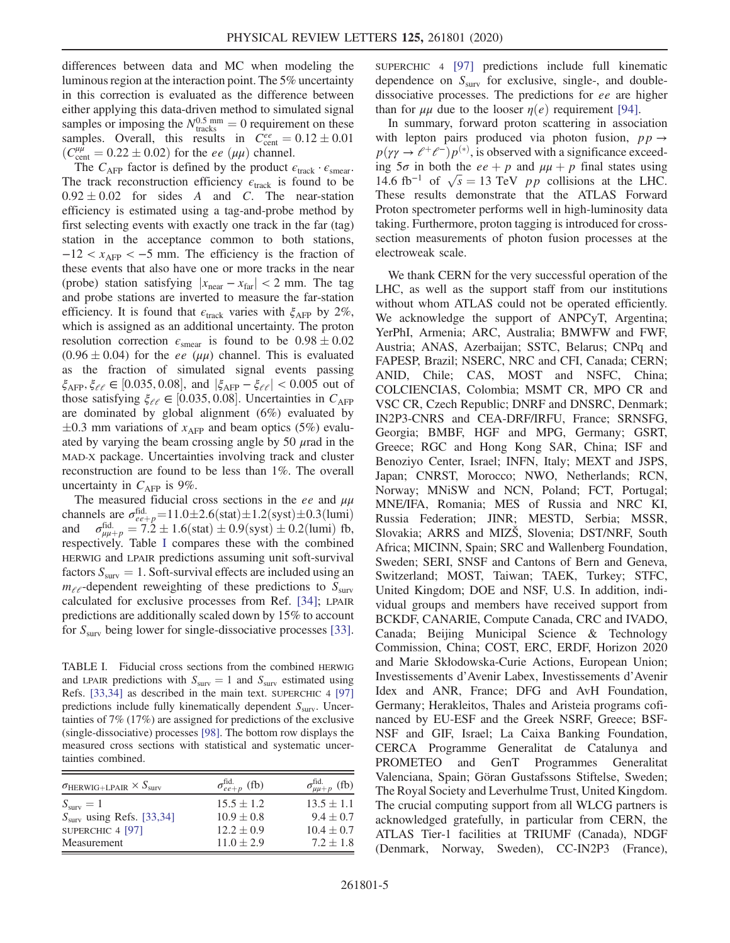differences between data and MC when modeling the luminous region at the interaction point. The 5% uncertainty in this correction is evaluated as the difference between either applying this data-driven method to simulated signal samples or imposing the  $N_{\text{tracks}}^{0.5 \text{ mm}} = 0$  requirement on these samples. Overall, this results in  $C_{\text{cent}}^{ee} = 0.12 \pm 0.01$  $\left(C_{\text{cent}}^{\mu\mu}\right) = 0.22 \pm 0.02$  for the ee  $\left(\mu\mu\right)$  channel.

The  $C_{\text{AFP}}$  factor is defined by the product  $\epsilon_{\text{track}} \cdot \epsilon_{\text{smear}}$ . The track reconstruction efficiency  $\epsilon_{\text{track}}$  is found to be  $0.92 \pm 0.02$  for sides A and C. The near-station efficiency is estimated using a tag-and-probe method by first selecting events with exactly one track in the far (tag) station in the acceptance common to both stations,  $-12 < x_{\text{AFP}} < -5$  mm. The efficiency is the fraction of these events that also have one or more tracks in the near (probe) station satisfying  $|x_{\text{near}} - x_{\text{far}}| < 2 \text{ mm}$ . The tag and probe stations are inverted to measure the far-station efficiency. It is found that  $\epsilon_{\text{track}}$  varies with  $\xi_{\text{AFP}}$  by 2%, which is assigned as an additional uncertainty. The proton resolution correction  $\epsilon_{\text{smear}}$  is found to be  $0.98 \pm 0.02$  $(0.96 \pm 0.04)$  for the *ee* ( $\mu\mu$ ) channel. This is evaluated as the fraction of simulated signal events passing  $\xi_{\text{AFP}}, \xi_{\ell\ell} \in [0.035, 0.08],$  and  $|\xi_{\text{AFP}} - \xi_{\ell\ell}| < 0.005$  out of those satisfying  $\xi_{\ell\ell} \in [0.035, 0.08]$ . Uncertainties in  $C_{\text{AFP}}$ are dominated by global alignment (6%) evaluated by  $\pm 0.3$  mm variations of  $x_{\text{AFP}}$  and beam optics (5%) evaluated by varying the beam crossing angle by 50  $\mu$  rad in the MAD-X package. Uncertainties involving track and cluster reconstruction are found to be less than 1%. The overall uncertainty in  $C_{\text{A}\text{FP}}$  is 9%.

The measured fiducial cross sections in the ee and  $\mu\mu$ channels are  $\sigma_{ee+p}^{\text{fid.}} = 11.0 \pm 2.6$ (stat) $\pm 1.2$ (syst) $\pm 0.3$ (lumi) and  $\sigma_{\mu\mu+p}^{\text{fid}} = 7.2 \pm 1.6 \text{(stat)} \pm 0.9 \text{(syst)} \pm 0.2 \text{(lumi)}$  fb, respectively. Table [I](#page-4-0) compares these with the combined HERWIG and LPAIR predictions assuming unit soft-survival factors  $S_{\text{surv}} = 1$ . Soft-survival effects are included using an  $m_{\ell\ell}$ -dependent reweighting of these predictions to  $S_{\text{surv}}$ calculated for exclusive processes from Ref. [\[34\]](#page-5-11); LPAIR predictions are additionally scaled down by 15% to account for  $S_{\text{surv}}$  being lower for single-dissociative processes [\[33\]](#page-5-12).

<span id="page-4-0"></span>TABLE I. Fiducial cross sections from the combined HERWIG and LPAIR predictions with  $S_{\text{surv}} = 1$  and  $S_{\text{surv}}$  estimated using Refs. [\[33,34\]](#page-5-12) as described in the main text. SUPERCHIC 4 [\[97\]](#page-7-18) predictions include fully kinematically dependent  $S<sub>surv</sub>$ . Uncertainties of 7% (17%) are assigned for predictions of the exclusive (single-dissociative) processes [\[98\]](#page-7-19). The bottom row displays the measured cross sections with statistical and systematic uncertainties combined.

| $\sigma_{\text{HERWIG+LPAIR}} \times S_{\text{surv}}$ | $\sigma_{ee+p}^{\text{fid.}}$ (fb) | $\sigma_{\mu\mu+p}^{\text{fid.}}$ (fb) |
|-------------------------------------------------------|------------------------------------|----------------------------------------|
| $S_{\text{surv}}=1$                                   | $15.5 \pm 1.2$                     | $13.5 \pm 1.1$                         |
| $Ssurv$ using Refs. [33,34]                           | $10.9 \pm 0.8$                     | $9.4 \pm 0.7$                          |
| SUPERCHIC 4 [97]                                      | $12.2 \pm 0.9$                     | $10.4 \pm 0.7$                         |
| Measurement                                           | $11.0 \pm 2.9$                     | $7.2 \pm 1.8$                          |

SUPERCHIC 4 [\[97\]](#page-7-18) predictions include full kinematic dependence on  $S<sub>surv</sub>$  for exclusive, single-, and doubledissociative processes. The predictions for ee are higher than for  $\mu\mu$  due to the looser  $\eta(e)$  requirement [\[94\]](#page-7-15).

In summary, forward proton scattering in association with lepton pairs produced via photon fusion,  $pp \rightarrow$  $p(\gamma \gamma \rightarrow \ell^+ \ell^-) p^{(*)}$ , is observed with a significance exceeding  $5\sigma$  in both the  $ee + p$  and  $\mu\mu + p$  final states using 14.6 fb<sup>-1</sup> of  $\sqrt{s}$  = 13 TeV *pp* collisions at the LHC. These results demonstrate that the ATLAS Forward Proton spectrometer performs well in high-luminosity data taking. Furthermore, proton tagging is introduced for crosssection measurements of photon fusion processes at the electroweak scale.

We thank CERN for the very successful operation of the LHC, as well as the support staff from our institutions without whom ATLAS could not be operated efficiently. We acknowledge the support of ANPCyT, Argentina; YerPhI, Armenia; ARC, Australia; BMWFW and FWF, Austria; ANAS, Azerbaijan; SSTC, Belarus; CNPq and FAPESP, Brazil; NSERC, NRC and CFI, Canada; CERN; ANID, Chile; CAS, MOST and NSFC, China; COLCIENCIAS, Colombia; MSMT CR, MPO CR and VSC CR, Czech Republic; DNRF and DNSRC, Denmark; IN2P3-CNRS and CEA-DRF/IRFU, France; SRNSFG, Georgia; BMBF, HGF and MPG, Germany; GSRT, Greece; RGC and Hong Kong SAR, China; ISF and Benoziyo Center, Israel; INFN, Italy; MEXT and JSPS, Japan; CNRST, Morocco; NWO, Netherlands; RCN, Norway; MNiSW and NCN, Poland; FCT, Portugal; MNE/IFA, Romania; MES of Russia and NRC KI, Russia Federation; JINR; MESTD, Serbia; MSSR, Slovakia; ARRS and MIZŠ, Slovenia; DST/NRF, South Africa; MICINN, Spain; SRC and Wallenberg Foundation, Sweden; SERI, SNSF and Cantons of Bern and Geneva, Switzerland; MOST, Taiwan; TAEK, Turkey; STFC, United Kingdom; DOE and NSF, U.S. In addition, individual groups and members have received support from BCKDF, CANARIE, Compute Canada, CRC and IVADO, Canada; Beijing Municipal Science & Technology Commission, China; COST, ERC, ERDF, Horizon 2020 and Marie Skłodowska-Curie Actions, European Union; Investissements d'Avenir Labex, Investissements d'Avenir Idex and ANR, France; DFG and AvH Foundation, Germany; Herakleitos, Thales and Aristeia programs cofinanced by EU-ESF and the Greek NSRF, Greece; BSF-NSF and GIF, Israel; La Caixa Banking Foundation, CERCA Programme Generalitat de Catalunya and PROMETEO and GenT Programmes Generalitat Valenciana, Spain; Göran Gustafssons Stiftelse, Sweden; The Royal Society and Leverhulme Trust, United Kingdom. The crucial computing support from all WLCG partners is acknowledged gratefully, in particular from CERN, the ATLAS Tier-1 facilities at TRIUMF (Canada), NDGF (Denmark, Norway, Sweden), CC-IN2P3 (France),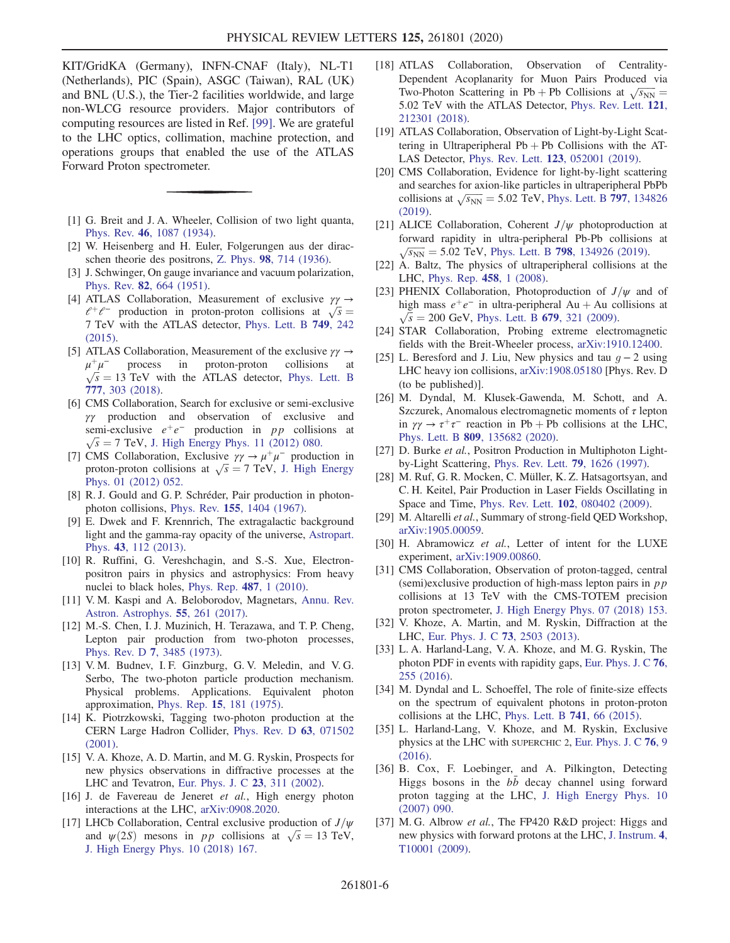KIT/GridKA (Germany), INFN-CNAF (Italy), NL-T1 (Netherlands), PIC (Spain), ASGC (Taiwan), RAL (UK) and BNL (U.S.), the Tier-2 facilities worldwide, and large non-WLCG resource providers. Major contributors of computing resources are listed in Ref. [\[99\].](#page-7-20) We are grateful to the LHC optics, collimation, machine protection, and operations groups that enabled the use of the ATLAS Forward Proton spectrometer.

- <span id="page-5-0"></span>[1] G. Breit and J. A. Wheeler, Collision of two light quanta, Phys. Rev. 46[, 1087 \(1934\).](https://doi.org/10.1103/PhysRev.46.1087)
- [2] W. Heisenberg and H. Euler, Folgerungen aus der diracschen theorie des positrons, Z. Phys. 98[, 714 \(1936\).](https://doi.org/10.1007/BF01343663)
- [3] J. Schwinger, On gauge invariance and vacuum polarization, Phys. Rev. 82[, 664 \(1951\).](https://doi.org/10.1103/PhysRev.82.664)
- <span id="page-5-1"></span>[4] ATLAS Collaboration, Measurement of exclusive  $\gamma \gamma \rightarrow$  $l^+\ell^-$  production in proton-proton collisions at  $\sqrt{s} =$ 7 TeV with the ATLAS detector, [Phys. Lett. B](https://doi.org/10.1016/j.physletb.2015.07.069) 749, 242 [\(2015\).](https://doi.org/10.1016/j.physletb.2015.07.069)
- <span id="page-5-10"></span>[5] ATLAS Collaboration, Measurement of the exclusive  $\gamma \gamma \rightarrow$  $\mu^+\mu^-$  process in proton-proton collisions at  $\sqrt{s}$  = 13 TeV with the ATLAS detector, [Phys. Lett. B](https://doi.org/10.1016/j.physletb.2017.12.043) 777[, 303 \(2018\)](https://doi.org/10.1016/j.physletb.2017.12.043).
- [6] CMS Collaboration, Search for exclusive or semi-exclusive γγ production and observation of exclusive and semi-exclusive  $e^+e^-$  production in pp collisions at  $\sqrt{s}$  = 7 TeV, [J. High Energy Phys. 11 \(2012\) 080.](https://doi.org/10.1007/JHEP11(2012)080)
- [7] CMS Collaboration, Exclusive  $\gamma \gamma \rightarrow \mu^+ \mu^-$  production in proton-proton collisions at  $\sqrt{s}$  = 7 TeV, [J. High Energy](https://doi.org/10.1007/JHEP01(2012)052) [Phys. 01 \(2012\) 052.](https://doi.org/10.1007/JHEP01(2012)052)
- <span id="page-5-2"></span>[8] R. J. Gould and G. P. Schréder, Pair production in photonphoton collisions, Phys. Rev. 155[, 1404 \(1967\)](https://doi.org/10.1103/PhysRev.155.1404).
- [9] E. Dwek and F. Krennrich, The extragalactic background light and the gamma-ray opacity of the universe, [Astropart.](https://doi.org/10.1016/j.astropartphys.2012.09.003) Phys. 43[, 112 \(2013\).](https://doi.org/10.1016/j.astropartphys.2012.09.003)
- <span id="page-5-3"></span>[10] R. Ruffini, G. Vereshchagin, and S.-S. Xue, Electronpositron pairs in physics and astrophysics: From heavy nuclei to black holes, [Phys. Rep.](https://doi.org/10.1016/j.physrep.2009.10.004) 487, 1 (2010).
- [11] V. M. Kaspi and A. Beloborodov, Magnetars, [Annu. Rev.](https://doi.org/10.1146/annurev-astro-081915-023329) [Astron. Astrophys.](https://doi.org/10.1146/annurev-astro-081915-023329) 55, 261 (2017).
- <span id="page-5-4"></span>[12] M.-S. Chen, I. J. Muzinich, H. Terazawa, and T. P. Cheng, Lepton pair production from two-photon processes, Phys. Rev. D 7[, 3485 \(1973\)](https://doi.org/10.1103/PhysRevD.7.3485).
- [13] V. M. Budnev, I. F. Ginzburg, G. V. Meledin, and V. G. Serbo, The two-photon particle production mechanism. Physical problems. Applications. Equivalent photon approximation, Phys. Rep. 15[, 181 \(1975\).](https://doi.org/10.1016/0370-1573(75)90009-5)
- [14] K. Piotrzkowski, Tagging two-photon production at the CERN Large Hadron Collider, [Phys. Rev. D](https://doi.org/10.1103/PhysRevD.63.071502) 63, 071502 [\(2001\).](https://doi.org/10.1103/PhysRevD.63.071502)
- [15] V. A. Khoze, A. D. Martin, and M. G. Ryskin, Prospects for new physics observations in diffractive processes at the LHC and Tevatron, [Eur. Phys. J. C](https://doi.org/10.1007/s100520100884) 23, 311 (2002).
- [16] J. de Favereau de Jeneret et al., High energy photon interactions at the LHC, [arXiv:0908.2020.](https://arXiv.org/abs/0908.2020)
- [17] LHCb Collaboration, Central exclusive production of  $J/\psi$ and  $\psi(2S)$  mesons in pp collisions at  $\sqrt{s} = 13$  TeV, [J. High Energy Phys. 10 \(2018\) 167.](https://doi.org/10.1007/JHEP10(2018)167)
- <span id="page-5-5"></span>[18] ATLAS Collaboration, Observation of Centrality-Dependent Acoplanarity for Muon Pairs Produced via Two-Photon Scattering in Pb + Pb Collisions at  $\sqrt{s_{NN}}$  = 5.02 TeV with the ATLAS Detector, [Phys. Rev. Lett.](https://doi.org/10.1103/PhysRevLett.121.212301) 121, [212301 \(2018\).](https://doi.org/10.1103/PhysRevLett.121.212301)
- [19] ATLAS Collaboration, Observation of Light-by-Light Scattering in Ultraperipheral  $Pb + Pb$  Collisions with the AT-LAS Detector, Phys. Rev. Lett. 123[, 052001 \(2019\).](https://doi.org/10.1103/PhysRevLett.123.052001)
- [20] CMS Collaboration, Evidence for light-by-light scattering and searches for axion-like particles in ultraperipheral PbPb collisions at  $\sqrt{s_{NN}}$  = 5.02 TeV, [Phys. Lett. B](https://doi.org/10.1016/j.physletb.2019.134826) 797, 134826 [\(2019\).](https://doi.org/10.1016/j.physletb.2019.134826)
- [21] ALICE Collaboration, Coherent  $J/\psi$  photoproduction at forward rapidity in ultra-peripheral Pb-Pb collisions at  $\sqrt{s_{NN}}$  = 5.02 TeV, Phys. Lett. B 798[, 134926 \(2019\)](https://doi.org/10.1016/j.physletb.2019.134926).
- [22] A. Baltz, The physics of ultraperipheral collisions at the LHC, [Phys. Rep.](https://doi.org/10.1016/j.physrep.2007.12.001) 458, 1 (2008).
- [23] PHENIX Collaboration, Photoproduction of  $J/\psi$  and of high mass  $e^+e^-$  in ultra-peripheral Au + Au collisions at  $\sqrt{s}$  = 200 GeV, [Phys. Lett. B](https://doi.org/10.1016/j.physletb.2009.07.061) 679, 321 (2009).
- [24] STAR Collaboration, Probing extreme electromagnetic fields with the Breit-Wheeler process, [arXiv:1910.12400](https://arXiv.org/abs/1910.12400).
- [25] L. Beresford and J. Liu, New physics and tau  $q 2$  using LHC heavy ion collisions, [arXiv:1908.05180](https://arXiv.org/abs/1908.05180) [Phys. Rev. D (to be published)].
- [26] M. Dyndal, M. Klusek-Gawenda, M. Schott, and A. Szczurek, Anomalous electromagnetic moments of  $\tau$  lepton in  $\gamma\gamma \to \tau^+\tau^-$  reaction in Pb + Pb collisions at the LHC, Phys. Lett. B 809[, 135682 \(2020\)](https://doi.org/10.1016/j.physletb.2020.135682).
- <span id="page-5-6"></span>[27] D. Burke et al., Positron Production in Multiphoton Lightby-Light Scattering, [Phys. Rev. Lett.](https://doi.org/10.1103/PhysRevLett.79.1626) 79, 1626 (1997).
- [28] M. Ruf, G. R. Mocken, C. Müller, K. Z. Hatsagortsyan, and C. H. Keitel, Pair Production in Laser Fields Oscillating in Space and Time, Phys. Rev. Lett. 102[, 080402 \(2009\).](https://doi.org/10.1103/PhysRevLett.102.080402)
- [29] M. Altarelli et al., Summary of strong-field QED Workshop, [arXiv:1905.00059.](https://arXiv.org/abs/1905.00059)
- [30] H. Abramowicz et al., Letter of intent for the LUXE experiment, [arXiv:1909.00860.](https://arXiv.org/abs/1909.00860)
- <span id="page-5-7"></span>[31] CMS Collaboration, Observation of proton-tagged, central (semi)exclusive production of high-mass lepton pairs in  $p p$ collisions at 13 TeV with the CMS-TOTEM precision proton spectrometer, [J. High Energy Phys. 07 \(2018\) 153.](https://doi.org/10.1007/JHEP07(2018)153)
- <span id="page-5-8"></span>[32] V. Khoze, A. Martin, and M. Ryskin, Diffraction at the LHC, [Eur. Phys. J. C](https://doi.org/10.1140/epjc/s10052-013-2503-x) 73, 2503 (2013).
- <span id="page-5-12"></span>[33] L. A. Harland-Lang, V. A. Khoze, and M. G. Ryskin, The photon PDF in events with rapidity gaps, [Eur. Phys. J. C](https://doi.org/10.1140/epjc/s10052-016-4100-2) 76, [255 \(2016\)](https://doi.org/10.1140/epjc/s10052-016-4100-2).
- <span id="page-5-11"></span>[34] M. Dyndal and L. Schoeffel, The role of finite-size effects on the spectrum of equivalent photons in proton-proton collisions at the LHC, [Phys. Lett. B](https://doi.org/10.1016/j.physletb.2014.12.019) 741, 66 (2015).
- [35] L. Harland-Lang, V. Khoze, and M. Ryskin, Exclusive physics at the LHC with SUPERCHIC 2, [Eur. Phys. J. C](https://doi.org/10.1140/epjc/s10052-015-3832-8) 76, 9 [\(2016\).](https://doi.org/10.1140/epjc/s10052-015-3832-8)
- <span id="page-5-9"></span>[36] B. Cox, F. Loebinger, and A. Pilkington, Detecting Higgs bosons in the  $b\bar{b}$  decay channel using forward proton tagging at the LHC, [J. High Energy Phys. 10](https://doi.org/10.1088/1126-6708/2007/10/090) [\(2007\) 090.](https://doi.org/10.1088/1126-6708/2007/10/090)
- [37] M. G. Albrow et al., The FP420 R&D project: Higgs and new physics with forward protons at the LHC, [J. Instrum.](https://doi.org/10.1088/1748-0221/4/10/T10001) 4, [T10001 \(2009\).](https://doi.org/10.1088/1748-0221/4/10/T10001)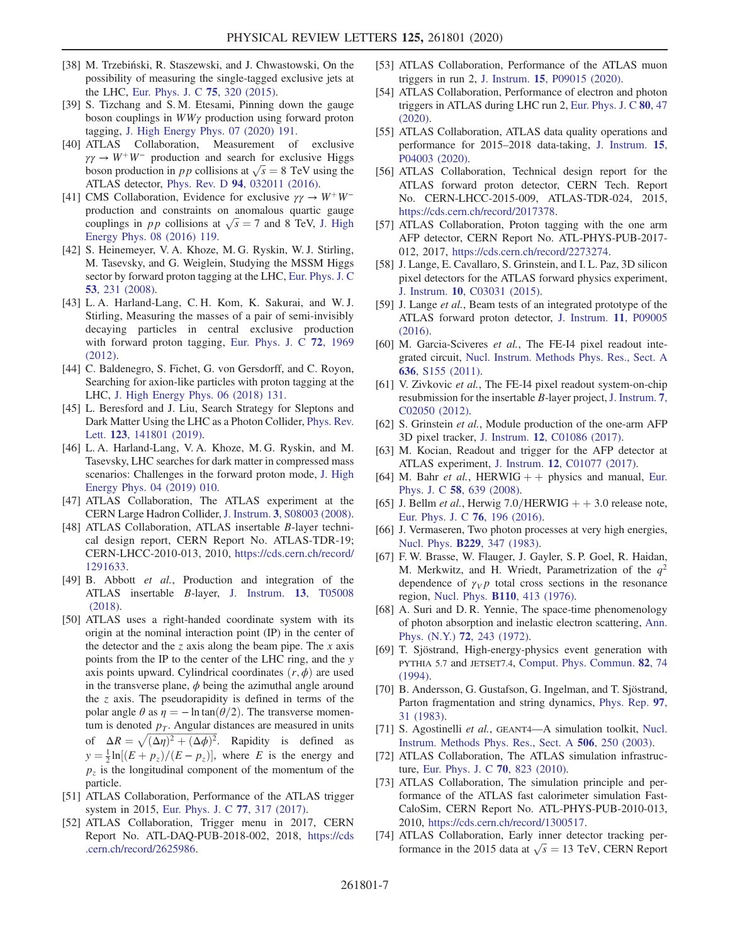- [38] M. Trzebiński, R. Staszewski, and J. Chwastowski, On the possibility of measuring the single-tagged exclusive jets at the LHC, [Eur. Phys. J. C](https://doi.org/10.1140/epjc/s10052-015-3541-3) 75, 320 (2015).
- [39] S. Tizchang and S. M. Etesami, Pinning down the gauge boson couplings in  $WW\gamma$  production using forward proton tagging, [J. High Energy Phys. 07 \(2020\) 191.](https://doi.org/10.1007/JHEP07(2020)191)
- [40] ATLAS Collaboration, Measurement of exclusive  $\gamma\gamma \rightarrow W^+W^-$  production and search for exclusive Higgs boson production in pp collisions at  $\sqrt{s} = 8$  TeV using the ATLAS detector, Phys. Rev. D 94[, 032011 \(2016\).](https://doi.org/10.1103/PhysRevD.94.032011)
- [41] CMS Collaboration, Evidence for exclusive  $\gamma \gamma \rightarrow W^+ W^$ production and constraints on anomalous quartic gauge couplings in *pp* collisions at  $\sqrt{s} = 7$  and 8 TeV, [J. High](https://doi.org/10.1007/JHEP08(2016)119) [Energy Phys. 08 \(2016\) 119.](https://doi.org/10.1007/JHEP08(2016)119)
- <span id="page-6-0"></span>[42] S. Heinemeyer, V. A. Khoze, M. G. Ryskin, W. J. Stirling, M. Tasevsky, and G. Weiglein, Studying the MSSM Higgs sector by forward proton tagging at the LHC, [Eur. Phys. J. C](https://doi.org/10.1140/epjc/s10052-007-0449-6) 53[, 231 \(2008\).](https://doi.org/10.1140/epjc/s10052-007-0449-6)
- [43] L. A. Harland-Lang, C. H. Kom, K. Sakurai, and W. J. Stirling, Measuring the masses of a pair of semi-invisibly decaying particles in central exclusive production with forward proton tagging, [Eur. Phys. J. C](https://doi.org/10.1140/epjc/s10052-012-1969-2) 72, 1969 [\(2012\)](https://doi.org/10.1140/epjc/s10052-012-1969-2).
- [44] C. Baldenegro, S. Fichet, G. von Gersdorff, and C. Royon, Searching for axion-like particles with proton tagging at the LHC, [J. High Energy Phys. 06 \(2018\) 131.](https://doi.org/10.1007/JHEP06(2018)131)
- [45] L. Beresford and J. Liu, Search Strategy for Sleptons and Dark Matter Using the LHC as a Photon Collider, [Phys. Rev.](https://doi.org/10.1103/PhysRevLett.123.141801) Lett. 123[, 141801 \(2019\)](https://doi.org/10.1103/PhysRevLett.123.141801).
- [46] L. A. Harland-Lang, V. A. Khoze, M. G. Ryskin, and M. Tasevsky, LHC searches for dark matter in compressed mass scenarios: Challenges in the forward proton mode, [J. High](https://doi.org/10.1007/JHEP04(2019)010) [Energy Phys. 04 \(2019\) 010.](https://doi.org/10.1007/JHEP04(2019)010)
- <span id="page-6-1"></span>[47] ATLAS Collaboration, The ATLAS experiment at the CERN Large Hadron Collider, J. Instrum. 3[, S08003 \(2008\).](https://doi.org/10.1088/1748-0221/3/08/S08003)
- [48] ATLAS Collaboration, ATLAS insertable B-layer technical design report, CERN Report No. ATLAS-TDR-19; CERN-LHCC-2010-013, 2010, [https://cds.cern.ch/record/](https://cds.cern.ch/record/1291633) [1291633.](https://cds.cern.ch/record/1291633)
- [49] B. Abbott et al., Production and integration of the ATLAS insertable B-layer, [J. Instrum.](https://doi.org/10.1088/1748-0221/13/05/T05008) 13, T05008 [\(2018\)](https://doi.org/10.1088/1748-0221/13/05/T05008).
- <span id="page-6-2"></span>[50] ATLAS uses a right-handed coordinate system with its origin at the nominal interaction point (IP) in the center of the detector and the z axis along the beam pipe. The x axis points from the IP to the center of the LHC ring, and the y axis points upward. Cylindrical coordinates  $(r, \phi)$  are used in the transverse plane,  $\phi$  being the azimuthal angle around the  $z$  axis. The pseudorapidity is defined in terms of the polar angle  $\theta$  as  $\eta = -\ln \tan(\theta/2)$ . The transverse momentum is denoted  $p<sub>T</sub>$ . Angular distances are measured in units of  $\Delta R = \sqrt{(\Delta \eta)^2 + (\Delta \phi)^2}$ . Rapidity is defined as  $y = \frac{1}{2} \ln[(E + p_z)/(E - p_z)]$ , where E is the energy and  $p<sub>z</sub>$  is the longitudinal component of the momentum of the
- <span id="page-6-3"></span>particle. [51] ATLAS Collaboration, Performance of the ATLAS trigger system in 2015, [Eur. Phys. J. C](https://doi.org/10.1140/epjc/s10052-017-4852-3) 77, 317 (2017).
- <span id="page-6-4"></span>[52] ATLAS Collaboration, Trigger menu in 2017, CERN Report No. ATL-DAQ-PUB-2018-002, 2018, [https://cds](https://cds.cern.ch/record/2625986) [.cern.ch/record/2625986.](https://cds.cern.ch/record/2625986)
- [53] ATLAS Collaboration, Performance of the ATLAS muon triggers in run 2, J. Instrum. 15[, P09015 \(2020\).](https://doi.org/10.1088/1748-0221/15/09/P09015)
- [54] ATLAS Collaboration, Performance of electron and photon triggers in ATLAS during LHC run 2, [Eur. Phys. J. C](https://doi.org/10.1140/epjc/s10052-019-7500-2) 80, 47 [\(2020\).](https://doi.org/10.1140/epjc/s10052-019-7500-2)
- <span id="page-6-5"></span>[55] ATLAS Collaboration, ATLAS data quality operations and performance for 2015–2018 data-taking, [J. Instrum.](https://doi.org/10.1088/1748-0221/15/04/P04003) 15, [P04003 \(2020\)](https://doi.org/10.1088/1748-0221/15/04/P04003).
- <span id="page-6-6"></span>[56] ATLAS Collaboration, Technical design report for the ATLAS forward proton detector, CERN Tech. Report No. CERN-LHCC-2015-009, ATLAS-TDR-024, 2015, [https://cds.cern.ch/record/2017378.](https://cds.cern.ch/record/2017378)
- [57] ATLAS Collaboration, Proton tagging with the one arm AFP detector, CERN Report No. ATL-PHYS-PUB-2017- 012, 2017, <https://cds.cern.ch/record/2273274>.
- <span id="page-6-7"></span>[58] J. Lange, E. Cavallaro, S. Grinstein, and I. L. Paz, 3D silicon pixel detectors for the ATLAS forward physics experiment, J. Instrum. 10[, C03031 \(2015\).](https://doi.org/10.1088/1748-0221/10/03/C03031)
- <span id="page-6-19"></span>[59] J. Lange *et al.*, Beam tests of an integrated prototype of the ATLAS forward proton detector, [J. Instrum.](https://doi.org/10.1088/1748-0221/11/09/P09005) 11, P09005 [\(2016\).](https://doi.org/10.1088/1748-0221/11/09/P09005)
- [60] M. Garcia-Sciveres et al., The FE-I4 pixel readout integrated circuit, [Nucl. Instrum. Methods Phys. Res., Sect. A](https://doi.org/10.1016/j.nima.2010.04.101) 636[, S155 \(2011\).](https://doi.org/10.1016/j.nima.2010.04.101)
- [61] V. Zivkovic et al., The FE-I4 pixel readout system-on-chip resubmission for the insertable B-layer project, [J. Instrum.](https://doi.org/10.1088/1748-0221/7/02/C02050) 7, [C02050 \(2012\)](https://doi.org/10.1088/1748-0221/7/02/C02050).
- <span id="page-6-8"></span>[62] S. Grinstein et al., Module production of the one-arm AFP 3D pixel tracker, J. Instrum. 12[, C01086 \(2017\)](https://doi.org/10.1088/1748-0221/12/01/C01086).
- <span id="page-6-9"></span>[63] M. Kocian, Readout and trigger for the AFP detector at ATLAS experiment, J. Instrum. 12[, C01077 \(2017\).](https://doi.org/10.1088/1748-0221/12/01/C01077)
- <span id="page-6-10"></span>[64] M. Bahr et al., HERWIG  $++$  physics and manual, [Eur.](https://doi.org/10.1140/epjc/s10052-008-0798-9) Phys. J. C 58[, 639 \(2008\).](https://doi.org/10.1140/epjc/s10052-008-0798-9)
- [65] J. Bellm et al., Herwig  $7.0/HERWIG + +3.0$  release note, [Eur. Phys. J. C](https://doi.org/10.1140/epjc/s10052-016-4018-8) 76, 196 (2016).
- <span id="page-6-11"></span>[66] J. Vermaseren, Two photon processes at very high energies, Nucl. Phys. B229[, 347 \(1983\).](https://doi.org/10.1016/0550-3213(83)90336-X)
- <span id="page-6-12"></span>[67] F. W. Brasse, W. Flauger, J. Gayler, S. P. Goel, R. Haidan, M. Merkwitz, and H. Wriedt, Parametrization of the  $q^2$ dependence of  $\gamma_V p$  total cross sections in the resonance region, Nucl. Phys. B110[, 413 \(1976\).](https://doi.org/10.1016/0550-3213(76)90231-5)
- <span id="page-6-13"></span>[68] A. Suri and D. R. Yennie, The space-time phenomenology of photon absorption and inelastic electron scattering, [Ann.](https://doi.org/10.1016/0003-4916(72)90242-4) Phys. (N.Y.) 72[, 243 \(1972\).](https://doi.org/10.1016/0003-4916(72)90242-4)
- <span id="page-6-14"></span>[69] T. Sjöstrand, High-energy-physics event generation with PYTHIA 5.7 and JETSET7.4, [Comput. Phys. Commun.](https://doi.org/10.1016/0010-4655(94)90132-5) 82, 74 [\(1994\).](https://doi.org/10.1016/0010-4655(94)90132-5)
- [70] B. Andersson, G. Gustafson, G. Ingelman, and T. Sjöstrand, Parton fragmentation and string dynamics, [Phys. Rep.](https://doi.org/10.1016/0370-1573(83)90080-7) 97, [31 \(1983\).](https://doi.org/10.1016/0370-1573(83)90080-7)
- <span id="page-6-16"></span><span id="page-6-15"></span>[71] S. Agostinelli et al., GEANT4-A simulation toolkit, [Nucl.](https://doi.org/10.1016/S0168-9002(03)01368-8) [Instrum. Methods Phys. Res., Sect. A](https://doi.org/10.1016/S0168-9002(03)01368-8) 506, 250 (2003).
- <span id="page-6-17"></span>[72] ATLAS Collaboration, The ATLAS simulation infrastructure, [Eur. Phys. J. C](https://doi.org/10.1140/epjc/s10052-010-1429-9) 70, 823 (2010).
- [73] ATLAS Collaboration, The simulation principle and performance of the ATLAS fast calorimeter simulation Fast-CaloSim, CERN Report No. ATL-PHYS-PUB-2010-013, 2010, <https://cds.cern.ch/record/1300517>.
- <span id="page-6-18"></span>[74] ATLAS Collaboration, Early inner detector tracking performance in the 2015 data at  $\sqrt{s} = 13$  TeV, CERN Report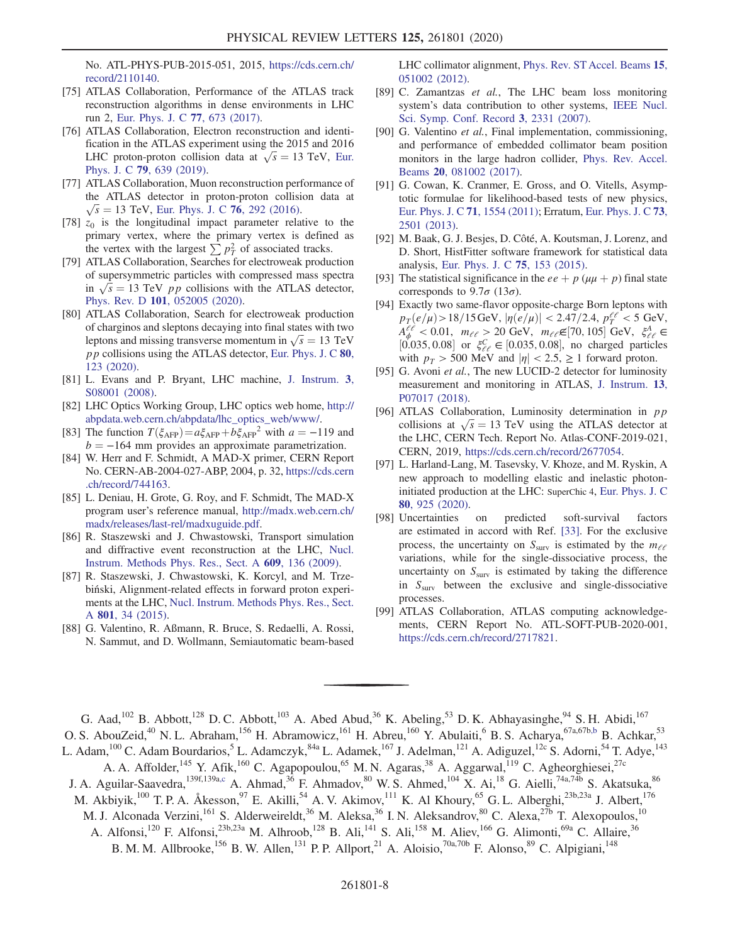No. ATL-PHYS-PUB-2015-051, 2015, [https://cds.cern.ch/](https://cds.cern.ch/record/2110140) [record/2110140.](https://cds.cern.ch/record/2110140)

- [75] ATLAS Collaboration, Performance of the ATLAS track reconstruction algorithms in dense environments in LHC run 2, [Eur. Phys. J. C](https://doi.org/10.1140/epjc/s10052-017-5225-7) 77, 673 (2017).
- <span id="page-7-0"></span>[76] ATLAS Collaboration, Electron reconstruction and identification in the ATLAS experiment using the 2015 and 2016 LHC proton-proton collision data at  $\sqrt{s} = 13$  TeV, [Eur.](https://doi.org/10.1140/epjc/s10052-019-7140-6) Phys. J. C 79[, 639 \(2019\).](https://doi.org/10.1140/epjc/s10052-019-7140-6)
- <span id="page-7-1"></span>[77] ATLAS Collaboration, Muon reconstruction performance of the ATLAS detector in proton-proton collision data at  $\sqrt{s}$  = 13 TeV, [Eur. Phys. J. C](https://doi.org/10.1140/epjc/s10052-016-4120-y) 76, 292 (2016).
- <span id="page-7-2"></span>[78]  $z_0$  is the longitudinal impact parameter relative to the primary vertex, where the primary vertex is defined as the vertex with the largest  $\sum p_T^2$  of associated tracks.
- <span id="page-7-3"></span>[79] ATLAS Collaboration, Searches for electroweak production of supersymmetric particles with compressed mass spectra in  $\sqrt{s}$  = 13 TeV *pp* collisions with the ATLAS detector, Phys. Rev. D 101[, 052005 \(2020\)](https://doi.org/10.1103/PhysRevD.101.052005).
- <span id="page-7-4"></span>[80] ATLAS Collaboration, Search for electroweak production of charginos and sleptons decaying into final states with two leptons and missing transverse momentum in  $\sqrt{s} = 13$  TeV pp collisions using the ATLAS detector, [Eur. Phys. J. C](https://doi.org/10.1140/epjc/s10052-019-7594-6) 80, [123 \(2020\)](https://doi.org/10.1140/epjc/s10052-019-7594-6).
- <span id="page-7-5"></span>[81] L. Evans and P. Bryant, LHC machine, [J. Instrum.](https://doi.org/10.1088/1748-0221/3/08/S08001) 3, [S08001 \(2008\)](https://doi.org/10.1088/1748-0221/3/08/S08001).
- <span id="page-7-6"></span>[82] LHC Optics Working Group, LHC optics web home, [http://](http://abpdata.web.cern.ch/abpdata/lhc_optics_web/www/) [abpdata.web.cern.ch/abpdata/lhc\\_optics\\_web/www/](http://abpdata.web.cern.ch/abpdata/lhc_optics_web/www/).
- <span id="page-7-7"></span>[83] The function  $T(\xi_{\text{AFP}}) = a \xi_{\text{AFP}} + b \xi_{\text{AFP}}^2$  with  $a = -119$  and  $b = -164$  mm provides an approximate parametrization.
- <span id="page-7-8"></span>[84] W. Herr and F. Schmidt, A MAD-X primer, CERN Report No. CERN-AB-2004-027-ABP, 2004, p. 32, [https://cds.cern](https://cds.cern.ch/record/744163) [.ch/record/744163.](https://cds.cern.ch/record/744163)
- [85] L. Deniau, H. Grote, G. Roy, and F. Schmidt, The MAD-X program user's reference manual, [http://madx.web.cern.ch/](http://madx.web.cern.ch/madx/releases/last-rel/madxuguide.pdf) [madx/releases/last-rel/madxuguide.pdf.](http://madx.web.cern.ch/madx/releases/last-rel/madxuguide.pdf)
- [86] R. Staszewski and J. Chwastowski, Transport simulation and diffractive event reconstruction at the LHC, [Nucl.](https://doi.org/10.1016/j.nima.2009.08.023) [Instrum. Methods Phys. Res., Sect. A](https://doi.org/10.1016/j.nima.2009.08.023) 609, 136 (2009).
- <span id="page-7-9"></span>[87] R. Staszewski, J. Chwastowski, K. Korcyl, and M. Trzebiński, Alignment-related effects in forward proton experiments at the LHC, [Nucl. Instrum. Methods Phys. Res., Sect.](https://doi.org/10.1016/j.nima.2015.08.010) A 801[, 34 \(2015\).](https://doi.org/10.1016/j.nima.2015.08.010)
- <span id="page-7-10"></span>[88] G. Valentino, R. Aßmann, R. Bruce, S. Redaelli, A. Rossi, N. Sammut, and D. Wollmann, Semiautomatic beam-based

LHC collimator alignment, [Phys. Rev. ST Accel. Beams](https://doi.org/10.1103/PhysRevSTAB.15.051002) 15, [051002 \(2012\).](https://doi.org/10.1103/PhysRevSTAB.15.051002)

- <span id="page-7-11"></span>[89] C. Zamantzas et al., The LHC beam loss monitoring system's data contribution to other systems, [IEEE Nucl.](https://doi.org/10.1109/NSSMIC.2007.4436612) [Sci. Symp. Conf. Record](https://doi.org/10.1109/NSSMIC.2007.4436612) 3, 2331 (2007).
- <span id="page-7-12"></span>[90] G. Valentino et al., Final implementation, commissioning, and performance of embedded collimator beam position monitors in the large hadron collider, [Phys. Rev. Accel.](https://doi.org/10.1103/PhysRevAccelBeams.20.081002) Beams 20[, 081002 \(2017\).](https://doi.org/10.1103/PhysRevAccelBeams.20.081002)
- <span id="page-7-13"></span>[91] G. Cowan, K. Cranmer, E. Gross, and O. Vitells, Asymptotic formulae for likelihood-based tests of new physics, [Eur. Phys. J. C](https://doi.org/10.1140/epjc/s10052-011-1554-0) 71, 1554 (2011); Erratum, [Eur. Phys. J. C](https://doi.org/10.1140/epjc/s10052-013-2501-z) 73, [2501 \(2013\)](https://doi.org/10.1140/epjc/s10052-013-2501-z).
- [92] M. Baak, G. J. Besjes, D. Côté, A. Koutsman, J. Lorenz, and D. Short, HistFitter software framework for statistical data analysis, [Eur. Phys. J. C](https://doi.org/10.1140/epjc/s10052-015-3327-7) 75, 153 (2015).
- <span id="page-7-14"></span>[93] The statistical significance in the  $ee + p$  ( $\mu\mu + p$ ) final state corresponds to  $9.7\sigma$  (13 $\sigma$ ).
- <span id="page-7-15"></span>[94] Exactly two same-flavor opposite-charge Born leptons with  $p_T(e/\mu) > 18/15 \,\text{GeV}, |\eta(e/\mu)| < 2.47/2.4, p_T^{e/\ell} < 5 \,\text{GeV},$  $A_{\phi}^{\ell\ell}$  < 0.01,  $m_{\ell\ell} > 20$  GeV,  $m_{\ell\ell} \in [70, 105]$  GeV,  $\xi_{\ell\ell}^A \in$ [0.035, 0.08] or  $\xi_{\ell\ell}^C \in [0.035, 0.08]$ , no charged particles with  $p_T > 500$  MeV and  $|\eta| < 2.5$ ,  $\geq 1$  forward proton.
- <span id="page-7-16"></span>[95] G. Avoni et al., The new LUCID-2 detector for luminosity measurement and monitoring in ATLAS, [J. Instrum.](https://doi.org/10.1088/1748-0221/13/07/P07017) 13, [P07017 \(2018\)](https://doi.org/10.1088/1748-0221/13/07/P07017).
- <span id="page-7-17"></span>[96] ATLAS Collaboration, Luminosity determination in  $pp$ collisions at  $\sqrt{s} = 13$  TeV using the ATLAS detector at the LHC, CERN Tech. Report No. Atlas-CONF-2019-021, CERN, 2019, <https://cds.cern.ch/record/2677054>.
- <span id="page-7-18"></span>[97] L. Harland-Lang, M. Tasevsky, V. Khoze, and M. Ryskin, A new approach to modelling elastic and inelastic photoninitiated production at the LHC: SuperChic 4, [Eur. Phys. J. C](https://doi.org/10.1140/epjc/s10052-020-08455-0) 80[, 925 \(2020\).](https://doi.org/10.1140/epjc/s10052-020-08455-0)
- <span id="page-7-19"></span>[98] Uncertainties on predicted soft-survival factors are estimated in accord with Ref. [\[33\]](#page-5-12). For the exclusive process, the uncertainty on  $S_{\text{surv}}$  is estimated by the  $m_{\ell\ell}$ variations, while for the single-dissociative process, the uncertainty on  $S<sub>surv</sub>$  is estimated by taking the difference in  $S<sub>surv</sub>$  between the exclusive and single-dissociative processes.
- <span id="page-7-20"></span>[99] ATLAS Collaboration, ATLAS computing acknowledgements, CERN Report No. ATL-SOFT-PUB-2020-001, [https://cds.cern.ch/record/2717821.](https://cds.cern.ch/record/2717821)

<span id="page-7-21"></span>G. Aad,<sup>102</sup> B. Abbott,<sup>128</sup> D. C. Abbott,<sup>103</sup> A. Abed Abud,<sup>36</sup> K. Abeling,<sup>53</sup> D. K. Abhayasinghe,<sup>94</sup> S. H. Abidi,<sup>167</sup> O. S. AbouZeid,<sup>40</sup> N. L. Abraham,<sup>156</sup> H. Abramowicz,<sup>161</sup> H. Abreu,<sup>160</sup> Y. Abulaiti,<sup>6</sup> B. S. Acharya,<sup>67a,67b[,b](#page-20-0)</sup> B. Achkar,<sup>53</sup> L. Adam,<sup>100</sup> C. Adam Bourdarios,<sup>5</sup> L. Adamczyk,<sup>84a</sup> L. Adamek,<sup>167</sup> J. Adelman,<sup>121</sup> A. Adiguzel,<sup>12c</sup> S. Adorni,<sup>54</sup> T. Adye,<sup>143</sup> A. A. Affolder, <sup>145</sup> Y. Afik, <sup>160</sup> C. Agapopoulou, <sup>65</sup> M. N. Agaras, <sup>38</sup> A. Aggarwal, <sup>119</sup> C. Agheorghiesei, <sup>27c</sup>

<span id="page-7-22"></span>J. A. Aguilar-Saavedra,<sup>139f,139[a,c](#page-20-1)</sup> A. Ahmad,<sup>36</sup> F. Ahmadov,<sup>80</sup> W. S. Ahmed,<sup>104</sup> X. Ai,<sup>18</sup> G. Aielli,<sup>74a,74b</sup> S. Akatsuka,<sup>86</sup>

- M. Akbiyik,<sup>100</sup> T. P. A. Åkesson,<sup>97</sup> E. Akilli,<sup>54</sup> A. V. Akimov,<sup>111</sup> K. Al Khoury,<sup>65</sup> G. L. Alberghi,<sup>23b,23a</sup> J. Albert,<sup>176</sup>
	- M. J. Alconada Verzini,<sup>161</sup> S. Alderweireldt,<sup>36</sup> M. Aleksa,<sup>36</sup> I. N. Aleksandrov,<sup>80</sup> C. Alexa,<sup>27b</sup> T. Alexopoulos,<sup>10</sup>
		- A. Alfonsi,<sup>120</sup> F. Alfonsi,<sup>23b,23a</sup> M. Alhroob,<sup>128</sup> B. Ali,<sup>141</sup> S. Ali,<sup>158</sup> M. Aliev,<sup>166</sup> G. Alimonti,<sup>69a</sup> C. Allaire,<sup>36</sup> B. M. M. Allbrooke,<sup>156</sup> B. W. Allen,<sup>131</sup> P. P. Allport,<sup>21</sup> A. Aloisio,<sup>70a,70b</sup> F. Alonso,<sup>89</sup> C. Alpigiani,<sup>148</sup>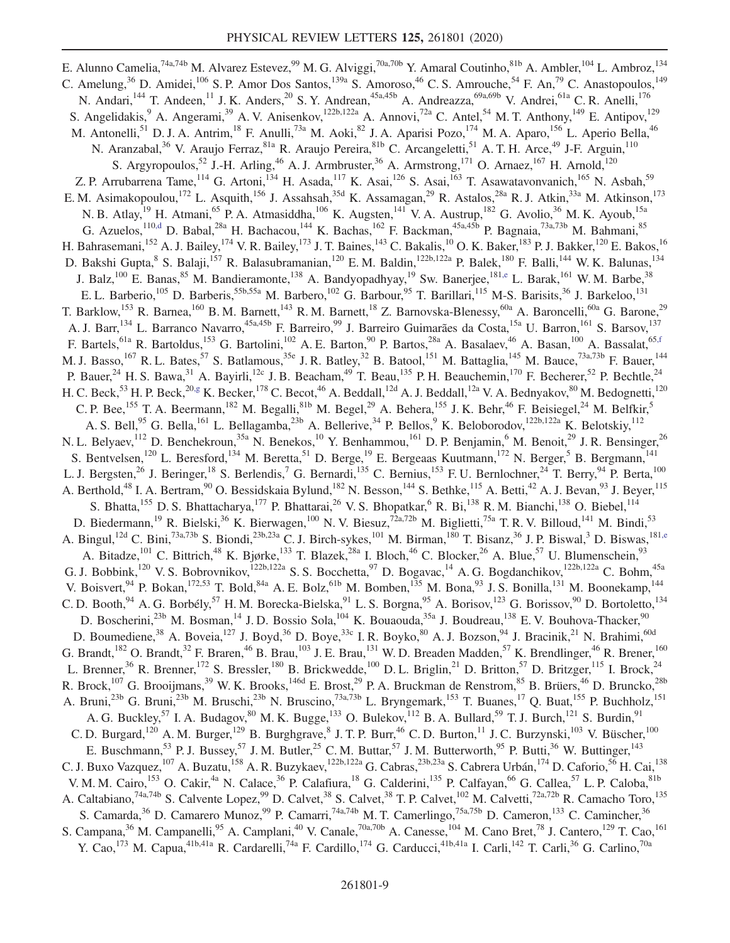<span id="page-8-3"></span><span id="page-8-2"></span><span id="page-8-1"></span><span id="page-8-0"></span>E. Alunno Camelia, <sup>74a,74b</sup> M. Alvarez Estevez, <sup>99</sup> M. G. Alviggi, <sup>70a,70b</sup> Y. Amaral Coutinho, <sup>81b</sup> A. Ambler, <sup>104</sup> L. Ambroz, <sup>134</sup> C. Amelung,<sup>36</sup> D. Amidei,<sup>106</sup> S. P. Amor Dos Santos,<sup>139a</sup> S. Amoroso,<sup>46</sup> C. S. Amrouche,<sup>54</sup> F. An,<sup>79</sup> C. Anastopoulos,<sup>149</sup> N. Andari,<sup>144</sup> T. Andeen,<sup>11</sup> J. K. Anders,<sup>20</sup> S. Y. Andrean,<sup>45a,45b</sup> A. Andreazza,<sup>69a,69b</sup> V. Andrei,<sup>61a</sup> C. R. Anelli,<sup>176</sup> S. Angelidakis, <sup>9</sup> A. Angerami, <sup>39</sup> A. V. Anisenkov, <sup>122b,122a</sup> A. Annovi, <sup>72a</sup> C. Antel, <sup>54</sup> M. T. Anthony, <sup>149</sup> E. Antipov, <sup>129</sup> M. Antonelli,<sup>51</sup> D. J. A. Antrim,<sup>18</sup> F. Anulli,<sup>73a</sup> M. Aoki,<sup>82</sup> J. A. Aparisi Pozo,<sup>174</sup> M. A. Aparo,<sup>156</sup> L. Aperio Bella,<sup>46</sup> N. Aranzabal,<sup>36</sup> V. Araujo Ferraz, 81a R. Araujo Pereira, 81b C. Arcangeletti, 51 A. T. H. Arce, <sup>49</sup> J-F. Arguin, <sup>110</sup> S. Argyropoulos,<sup>52</sup> J.-H. Arling,<sup>46</sup> A. J. Armbruster,<sup>36</sup> A. Armstrong,<sup>171</sup> O. Arnaez,<sup>167</sup> H. Arnold,<sup>120</sup> Z. P. Arrubarrena Tame,<sup>114</sup> G. Artoni,<sup>134</sup> H. Asada,<sup>117</sup> K. Asai,<sup>126</sup> S. Asai,<sup>163</sup> T. Asawatavonvanich,<sup>165</sup> N. Asbah,<sup>59</sup> E. M. Asimakopoulou,<sup>172</sup> L. Asquith,<sup>156</sup> J. Assahsah,<sup>35d</sup> K. Assamagan,<sup>29</sup> R. Astalos,<sup>28a</sup> R. J. Atkin,<sup>33a</sup> M. Atkinson,<sup>173</sup> N. B. Atlay,<sup>19</sup> H. Atmani,<sup>65</sup> P. A. Atmasiddha,<sup>106</sup> K. Augsten,<sup>141</sup> V. A. Austrup,<sup>182</sup> G. Avolio,<sup>36</sup> M. K. Ayoub,<sup>15a</sup> G. Azuelos,  $^{110,d}$  $^{110,d}$  $^{110,d}$  D. Babal,  $^{28a}$  H. Bachacou,  $^{144}$  K. Bachas,  $^{162}$  F. Backman,  $^{45a,45b}$  P. Bagnaia,  $^{73a,73b}$  M. Bahmani,  $^{85}$ H. Bahrasemani,<sup>152</sup> A. J. Bailey,<sup>174</sup> V. R. Bailey,<sup>173</sup> J. T. Baines,<sup>143</sup> C. Bakalis,<sup>10</sup> O. K. Baker,<sup>183</sup> P. J. Bakker,<sup>120</sup> E. Bakos,<sup>16</sup> D. Bakshi Gupta, <sup>8</sup> S. Balaji, <sup>157</sup> R. Balasubramanian, <sup>120</sup> E. M. Baldin, <sup>122b, 122a</sup> P. Balek, <sup>180</sup> F. Balli, <sup>144</sup> W. K. Balunas, <sup>134</sup> J. Balz,<sup>100</sup> E. Banas,<sup>85</sup> M. Bandieramonte,<sup>138</sup> A. Bandyopadhyay,<sup>19</sup> Sw. Banerjee,<sup>18[1,e](#page-20-3)</sup> L. Barak,<sup>161</sup> W. M. Barbe,<sup>38</sup> E. L. Barberio,<sup>105</sup> D. Barberis,<sup>55b,55a</sup> M. Barbero,<sup>102</sup> G. Barbour,<sup>95</sup> T. Barillari,<sup>115</sup> M-S. Barisits,<sup>36</sup> J. Barkeloo,<sup>131</sup> T. Barklow, <sup>153</sup> R. Barnea, <sup>160</sup> B. M. Barnett, <sup>143</sup> R. M. Barnett, <sup>18</sup> Z. Barnovska-Blenessy, <sup>60a</sup> A. Baroncelli, <sup>60a</sup> G. Barone, <sup>29</sup> A. J. Barr,<sup>134</sup> L. Barranco Navarro,<sup>45a,45b</sup> F. Barreiro,<sup>99</sup> J. Barreiro Guimarães da Costa,<sup>15a</sup> U. Barron,<sup>161</sup> S. Barsov,<sup>137</sup> F. Bartels, <sup>61a</sup> R. Bartoldus, <sup>153</sup> G. Bartolini, <sup>102</sup> A. E. Barton, <sup>90</sup> P. Bartos, <sup>28a</sup> A. Basalaev, <sup>46</sup> A. Basan, <sup>100</sup> A. Bassalat, <sup>6[5,f](#page-20-4)</sup> M. J. Basso, <sup>167</sup> R. L. Bates, <sup>57</sup> S. Batlamous, <sup>35e</sup> J. R. Batley, <sup>32</sup> B. Batool, <sup>151</sup> M. Battaglia, <sup>145</sup> M. Bauce, <sup>73a,73b</sup> F. Bauer, <sup>144</sup> P. Bauer,  $^{24}$  H. S. Bawa,  $^{31}$  A. Bayirli,  $^{12c}$  J. B. Beacham,  $^{49}$  T. Beau,  $^{135}$  P. H. Beauchemin,  $^{170}$  F. Becherer,  $^{52}$  P. Bechtle,  $^{24}$ H. C. Beck,  $^{53}$  H. P. Beck,  $^{20.9}$  K. Becker,  $^{178}$  C. Becot,  $^{46}$  A. Beddall,  $^{12d}$  A. J. Beddall,  $^{12a}$  V. A. Bednyakov,  $^{80}$  M. Bedognetti,  $^{120}$ C. P. Bee,  $^{155}$  T. A. Beermann,  $^{182}$  M. Begalli,  $^{81b}$  M. Begel,  $^{29}$  A. Behera,  $^{155}$  J. K. Behr,  $^{46}$  F. Beisiegel,  $^{24}$  M. Belfkir,  $^5$ A. S. Bell,<sup>95</sup> G. Bella,<sup>161</sup> L. Bellagamba,<sup>23b</sup> A. Bellerive,<sup>34</sup> P. Bellos,<sup>9</sup> K. Beloborodov,<sup>122b,122a</sup> K. Belotskiy,<sup>112</sup> N. L. Belyaev,<sup>112</sup> D. Benchekroun,<sup>35a</sup> N. Benekos,<sup>10</sup> Y. Benhammou,<sup>161</sup> D. P. Benjamin,<sup>6</sup> M. Benoit,<sup>29</sup> J. R. Bensinger,<sup>26</sup> S. Bentvelsen,<sup>120</sup> L. Beresford,<sup>134</sup> M. Beretta,<sup>51</sup> D. Berge,<sup>19</sup> E. Bergeaas Kuutmann,<sup>172</sup> N. Berger,<sup>5</sup> B. Bergmann,<sup>141</sup> L. J. Bergsten,<sup>26</sup> J. Beringer,<sup>18</sup> S. Berlendis,<sup>7</sup> G. Bernardi,<sup>135</sup> C. Bernius,<sup>153</sup> F. U. Bernlochner,<sup>24</sup> T. Berry,<sup>94</sup> P. Berta,<sup>100</sup> A. Berthold,<sup>48</sup> I. A. Bertram,<sup>90</sup> O. Bessidskaia Bylund,<sup>182</sup> N. Besson,<sup>144</sup> S. Bethke,<sup>115</sup> A. Betti,<sup>42</sup> A. J. Bevan,<sup>93</sup> J. Beyer,<sup>115</sup> S. Bhatta,<sup>155</sup> D. S. Bhattacharya,<sup>177</sup> P. Bhattarai,<sup>26</sup> V. S. Bhopatkar,<sup>6</sup> R. Bi,<sup>138</sup> R. M. Bianchi,<sup>138</sup> O. Biebel,<sup>114</sup> D. Biedermann,<sup>19</sup> R. Bielski,<sup>36</sup> K. Bierwagen,<sup>100</sup> N. V. Biesuz,<sup>72a,72b</sup> M. Biglietti,<sup>75a</sup> T. R. V. Billoud,<sup>141</sup> M. Bindi,<sup>53</sup> A. Bingul,<sup>12d</sup> C. Bini,<sup>73a,73b</sup> S. Biondi,<sup>23b,23a</sup> C. J. Birch-sykes,<sup>101</sup> M. Birman,<sup>180</sup> T. Bisanz,<sup>36</sup> J. P. Biswal,<sup>3</sup> D. Biswas,<sup>18[1,e](#page-20-3)</sup> A. Bitadze,<sup>101</sup> C. Bittrich,<sup>48</sup> K. Bjørke,<sup>133</sup> T. Blazek,<sup>28a</sup> I. Bloch,<sup>46</sup> C. Blocker,<sup>26</sup> A. Blue,<sup>57</sup> U. Blumenschein,<sup>93</sup> G. J. Bobbink,<sup>120</sup> V. S. Bobrovnikov,<sup>122b,122a</sup> S. S. Bocchetta,<sup>97</sup> D. Bogavac,<sup>14</sup> A. G. Bogdanchikov,<sup>122b,122a</sup> C. Bohm,<sup>45a</sup> V. Boisvert, <sup>94</sup> P. Bokan, <sup>172,53</sup> T. Bold, <sup>84a</sup> A. E. Bolz, <sup>61b</sup> M. Bomben, <sup>135</sup> M. Bona, <sup>93</sup> J. S. Bonilla, <sup>131</sup> M. Boonekamp, <sup>144</sup> C. D. Booth,<sup>94</sup> A. G. Borbély,<sup>57</sup> H. M. Borecka-Bielska,<sup>91</sup> L. S. Borgna,<sup>95</sup> A. Borisov,<sup>123</sup> G. Borissov,<sup>90</sup> D. Bortoletto,<sup>134</sup> D. Boscherini,<sup>23b</sup> M. Bosman,<sup>14</sup> J. D. Bossio Sola,<sup>104</sup> K. Bouaouda,<sup>35a</sup> J. Boudreau,<sup>138</sup> E. V. Bouhova-Thacker,<sup>90</sup> D. Boumediene,<sup>38</sup> A. Boveia,<sup>127</sup> J. Boyd,<sup>36</sup> D. Boye,<sup>33c</sup> I. R. Boyko,<sup>80</sup> A. J. Bozson,<sup>94</sup> J. Bracinik,<sup>21</sup> N. Brahimi,<sup>60d</sup> G. Brandt,<sup>182</sup> O. Brandt,<sup>32</sup> F. Braren,<sup>46</sup> B. Brau,<sup>103</sup> J. E. Brau,<sup>131</sup> W. D. Breaden Madden,<sup>57</sup> K. Brendlinger,<sup>46</sup> R. Brener,<sup>160</sup> L. Brenner,<sup>36</sup> R. Brenner,<sup>172</sup> S. Bressler,<sup>180</sup> B. Brickwedde,<sup>100</sup> D. L. Briglin,<sup>21</sup> D. Britton,<sup>57</sup> D. Britzger,<sup>115</sup> I. Brock,<sup>24</sup> R. Brock, $^{107}$  G. Brooijmans, $^{39}$  W. K. Brooks, $^{146d}$  E. Brost, $^{29}$  P. A. Bruckman de Renstrom, $^{85}$  B. Brüers, $^{46}$  D. Bruncko, $^{28b}$ A. Bruni,<sup>23b</sup> G. Bruni,<sup>23b</sup> M. Bruschi,<sup>23b</sup> N. Bruscino,<sup>73a,73b</sup> L. Bryngemark,<sup>153</sup> T. Buanes,<sup>17</sup> Q. Buat,<sup>155</sup> P. Buchholz,<sup>151</sup> A. G. Buckley,<sup>57</sup> I. A. Budagov,<sup>80</sup> M. K. Bugge,<sup>133</sup> O. Bulekov,<sup>112</sup> B. A. Bullard,<sup>59</sup> T. J. Burch,<sup>121</sup> S. Burdin,<sup>91</sup> C. D. Burgard,<sup>120</sup> A. M. Burger,<sup>129</sup> B. Burghgrave, I. T. P. Burr, <sup>46</sup> C. D. Burton, <sup>11</sup> J. C. Burzynski, <sup>103</sup> V. Büscher, <sup>100</sup> E. Buschmann,<sup>53</sup> P. J. Bussey,<sup>57</sup> J. M. Butler,<sup>25</sup> C. M. Buttar,<sup>57</sup> J. M. Butterworth,<sup>95</sup> P. Butti,<sup>36</sup> W. Buttinger,<sup>143</sup> C. J. Buxo Vazquez,<sup>107</sup> A. Buzatu,<sup>158</sup> A. R. Buzykaev,<sup>122b,122a</sup> G. Cabras,<sup>23b,23a</sup> S. Cabrera Urbán,<sup>174</sup> D. Caforio,<sup>56</sup> H. Cai,<sup>138</sup> V. M. M. Cairo,<sup>153</sup> O. Cakir,<sup>4a</sup> N. Calace,<sup>36</sup> P. Calafiura,<sup>18</sup> G. Calderini,<sup>135</sup> P. Calfayan,<sup>66</sup> G. Callea,<sup>57</sup> L. P. Caloba,<sup>81b</sup> A. Caltabiano,<sup>74a,74b</sup> S. Calvente Lopez,<sup>99</sup> D. Calvet,<sup>38</sup> S. Calvet,<sup>38</sup> T. P. Calvet,<sup>102</sup> M. Calvetti,<sup>72a,72b</sup> R. Camacho Toro,<sup>135</sup> S. Camarda,<sup>36</sup> D. Camarero Munoz,<sup>99</sup> P. Camarri,<sup>74a,74b</sup> M. T. Camerlingo,<sup>75a,75b</sup> D. Cameron,<sup>133</sup> C. Camincher,<sup>36</sup> S. Campana,<sup>36</sup> M. Campanelli,<sup>95</sup> A. Camplani,<sup>40</sup> V. Canale,<sup>70a,70b</sup> A. Canesse,<sup>104</sup> M. Cano Bret,<sup>78</sup> J. Cantero,<sup>129</sup> T. Cao,<sup>161</sup> Y. Cao,  $^{173}$  M. Capua,  $^{41b,41a}$  R. Cardarelli,  $^{74a}$  F. Cardillo,  $^{174}$  G. Carducci,  $^{41b,41a}$  I. Carli,  $^{142}$  T. Carli,  $^{36}$  G. Carlino,  $^{70a}$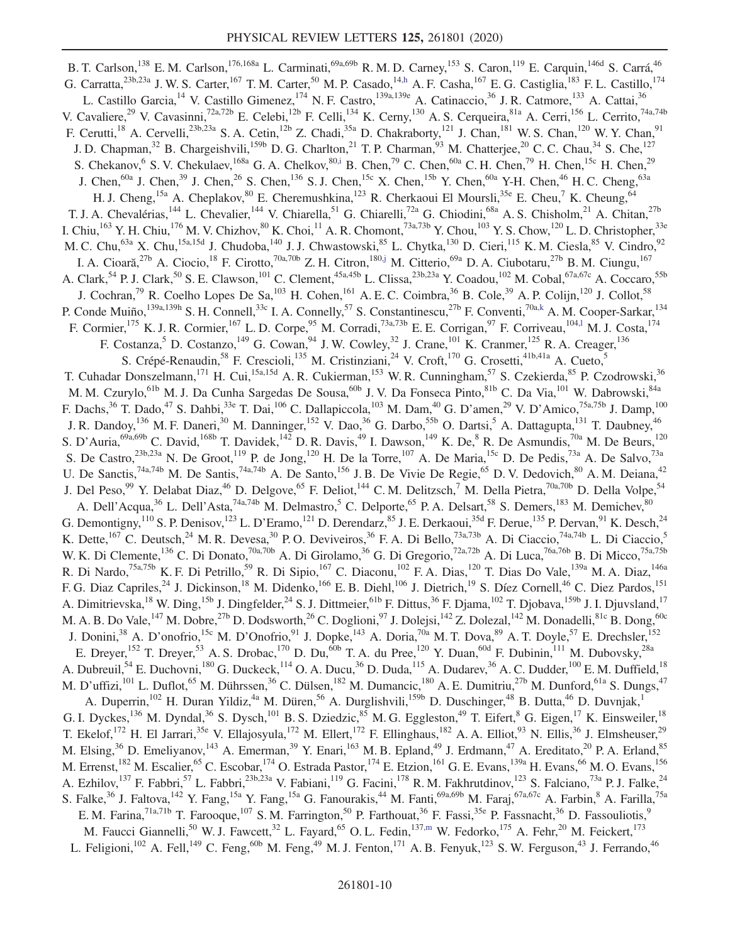<span id="page-9-5"></span><span id="page-9-4"></span><span id="page-9-3"></span><span id="page-9-2"></span><span id="page-9-1"></span><span id="page-9-0"></span>B. T. Carlson,<sup>138</sup> E. M. Carlson,<sup>176,168a</sup> L. Carminati,<sup>69a,69b</sup> R. M. D. Carney,<sup>153</sup> S. Caron,<sup>119</sup> E. Carquin,<sup>146d</sup> S. Carrá,<sup>46</sup> G. Carratta,  $^{23b,23a}$  J. W. S. Carter,  $^{167}$  T. M. Carter,  $^{50}$  M. P. Casado,  $^{14,h}$  $^{14,h}$  $^{14,h}$  A. F. Casha,  $^{167}$  E. G. Castiglia,  $^{183}$  F. L. Castillo,  $^{174}$ L. Castillo Garcia,<sup>14</sup> V. Castillo Gimenez,<sup>174</sup> N. F. Castro,<sup>139a,139e</sup> A. Catinaccio,<sup>36</sup> J. R. Catmore,<sup>133</sup> A. Cattai,<sup>36</sup> V. Cavaliere,<sup>29</sup> V. Cavasinni,<sup>72a,72b</sup> E. Celebi,<sup>12b</sup> F. Celli,<sup>134</sup> K. Cerny,<sup>130</sup> A. S. Cerqueira,<sup>81a</sup> A. Cerri,<sup>156</sup> L. Cerrito,<sup>74a,74b</sup> F. Cerutti,<sup>18</sup> A. Cervelli,<sup>23b,23a</sup> S. A. Cetin,<sup>12b</sup> Z. Chadi,<sup>35a</sup> D. Chakraborty,<sup>121</sup> J. Chan,<sup>181</sup> W. S. Chan,<sup>120</sup> W. Y. Chan,<sup>91</sup> J. D. Chapman,<sup>32</sup> B. Chargeishvili,<sup>159b</sup> D. G. Charlton,<sup>21</sup> T. P. Charman,<sup>93</sup> M. Chatterjee,<sup>20</sup> C. C. Chau,<sup>34</sup> S. Che,<sup>127</sup> S. Chekanov, <sup>6</sup> S. V. Chekulaev, <sup>168a</sup> G. A. Chelkov, <sup>80[,i](#page-20-7)</sup> B. Chen, <sup>79</sup> C. Chen, <sup>60a</sup> C. H. Chen, <sup>79</sup> H. Chen, <sup>15c</sup> H. Chen, <sup>29</sup> J. Chen, $^{60a}$  J. Chen, $^{39}$  J. Chen, $^{26}$  S. Chen, $^{136}$  S. J. Chen, $^{15c}$  X. Chen, $^{15b}$  Y. Chen, $^{60a}$  Y-H. Chen, $^{46}$  H. C. Cheng, $^{63a}$ H. J. Cheng,<sup>15a</sup> A. Cheplakov,<sup>80</sup> E. Cheremushkina,<sup>123</sup> R. Cherkaoui El Moursli,<sup>35e</sup> E. Cheu,<sup>7</sup> K. Cheung,<sup>64</sup> T. J. A. Chevalérias,<sup>144</sup> L. Chevalier,<sup>144</sup> V. Chiarella,<sup>51</sup> G. Chiarelli,<sup>72a</sup> G. Chiodini,<sup>68a</sup> A. S. Chisholm,<sup>21</sup> A. Chitan,<sup>27b</sup> I. Chiu,  $^{163}$  Y. H. Chiu,  $^{176}$  M. V. Chizhov,  $^{80}$  K. Choi,  $^{11}$  A. R. Chomont,  $^{73a,73b}$  Y. Chou,  $^{103}$  Y. S. Chow,  $^{120}$  L. D. Christopher,  $^{33e}$ M. C. Chu,<sup>63a</sup> X. Chu,<sup>15a,15d</sup> J. Chudoba,<sup>140</sup> J. J. Chwastowski,<sup>85</sup> L. Chytka,<sup>130</sup> D. Cieri,<sup>115</sup> K. M. Ciesla,<sup>85</sup> V. Cindro,<sup>92</sup> I. A. Cioară,<sup>27b</sup> A. Ciocio,<sup>18</sup> F. Cirotto,<sup>70a,70b</sup> Z. H. Citron,<sup>18[0,j](#page-20-8)</sup> M. Citterio,<sup>69a</sup> D. A. Ciubotaru,<sup>27b</sup> B. M. Ciungu,<sup>167</sup> A. Clark,<sup>54</sup> P. J. Clark,<sup>50</sup> S. E. Clawson,<sup>101</sup> C. Clement,<sup>45a,45b</sup> L. Clissa,<sup>23b,23a</sup> Y. Coadou,<sup>102</sup> M. Cobal,<sup>67a,67c</sup> A. Coccaro,<sup>55b</sup> J. Cochran,<sup>79</sup> R. Coelho Lopes De Sa,<sup>103</sup> H. Cohen,<sup>161</sup> A. E. C. Coimbra,<sup>36</sup> B. Cole,<sup>39</sup> A. P. Colijn,<sup>120</sup> J. Collot,<sup>58</sup> P. Conde Muiño, <sup>139a,139h</sup> S. H. Connell,<sup>33c</sup> I. A. Connelly,<sup>57</sup> S. Constantinescu,<sup>27b</sup> F. Conventi,<sup>70a[,k](#page-20-9)</sup> A. M. Cooper-Sarkar,<sup>134</sup> F. Cormier,<sup>175</sup> K. J. R. Cormier,<sup>167</sup> L. D. Corpe,<sup>95</sup> M. Corradi,<sup>73a,73b</sup> E. E. Corrigan,<sup>97</sup> F. Corriveau,<sup>104,1</sup> M. J. Costa,<sup>174</sup> F. Costanza,<sup>5</sup> D. Costanzo,<sup>149</sup> G. Cowan,<sup>94</sup> J. W. Cowley,<sup>32</sup> J. Crane,<sup>101</sup> K. Cranmer,<sup>125</sup> R. A. Creager,<sup>136</sup> S. Crépé-Renaudin,<sup>58</sup> F. Crescioli,<sup>135</sup> M. Cristinziani,<sup>24</sup> V. Croft,<sup>170</sup> G. Crosetti,<sup>41b,41a</sup> A. Cueto,<sup>5</sup> T. Cuhadar Donszelmann,<sup>171</sup> H. Cui,<sup>15a,15d</sup> A. R. Cukierman,<sup>153</sup> W. R. Cunningham,<sup>57</sup> S. Czekierda,<sup>85</sup> P. Czodrowski,<sup>36</sup> M. M. Czurylo,<sup>61b</sup> M. J. Da Cunha Sargedas De Sousa,<sup>60b</sup> J. V. Da Fonseca Pinto,<sup>81b</sup> C. Da Via,<sup>101</sup> W. Dabrowski,<sup>84a</sup> F. Dachs, <sup>36</sup> T. Dado, <sup>47</sup> S. Dahbi, <sup>33e</sup> T. Dai, <sup>106</sup> C. Dallapiccola, <sup>103</sup> M. Dam, <sup>40</sup> G. D'amen, <sup>29</sup> V. D'Amico, <sup>75a, 75b</sup> J. Damp, <sup>100</sup> J. R. Dandoy,<sup>136</sup> M. F. Daneri,<sup>30</sup> M. Danninger,<sup>152</sup> V. Dao,<sup>36</sup> G. Darbo,<sup>55b</sup> O. Dartsi,<sup>5</sup> A. Dattagupta,<sup>131</sup> T. Daubney,<sup>46</sup> S. D'Auria, <sup>69a, 69b</sup> C. David, <sup>168b</sup> T. Davidek, <sup>142</sup> D. R. Davis, <sup>49</sup> I. Dawson, <sup>149</sup> K. De, <sup>8</sup> R. De Asmundis, <sup>70a</sup> M. De Beurs, <sup>120</sup> S. De Castro,<sup>23b,23a</sup> N. De Groot,<sup>119</sup> P. de Jong,<sup>120</sup> H. De la Torre,<sup>107</sup> A. De Maria,<sup>15c</sup> D. De Pedis,<sup>73a</sup> A. De Salvo,<sup>73a</sup> U. De Sanctis,  $74a,74b$  M. De Santis,  $74a,74b$  A. De Santo,  $156$  J. B. De Vivie De Regie,  $65$  D. V. Dedovich,  $80$  A. M. Deiana,  $42$ J. Del Peso,<sup>99</sup> Y. Delabat Diaz,<sup>46</sup> D. Delgove,<sup>65</sup> F. Deliot,<sup>144</sup> C.M. Delitzsch,<sup>7</sup> M. Della Pietra,<sup>70a,70b</sup> D. Della Volpe,<sup>54</sup> A. Dell'Acqua,<sup>36</sup> L. Dell'Asta,<sup>74a,74b</sup> M. Delmastro,<sup>5</sup> C. Delporte,<sup>65</sup> P. A. Delsart,<sup>58</sup> S. Demers,<sup>183</sup> M. Demichev,<sup>80</sup> G. Demontigny,<sup>110</sup> S. P. Denisov,<sup>123</sup> L. D'Eramo,<sup>121</sup> D. Derendarz,<sup>85</sup> J. E. Derkaoui,<sup>35d</sup> F. Derue,<sup>135</sup> P. Dervan,<sup>91</sup> K. Desch,<sup>24</sup> K. Dette,<sup>167</sup> C. Deutsch,<sup>24</sup> M. R. Devesa,<sup>30</sup> P. O. Deviveiros,<sup>36</sup> F. A. Di Bello,<sup>73a,73b</sup> A. Di Ciaccio,<sup>74a,74b</sup> L. Di Ciaccio,<sup>5</sup> W. K. Di Clemente,<sup>136</sup> C. Di Donato,<sup>70a,70b</sup> A. Di Girolamo,<sup>36</sup> G. Di Gregorio,<sup>72a,72b</sup> A. Di Luca,<sup>76a,76b</sup> B. Di Micco,<sup>75a,75b</sup> R. Di Nardo,<sup>75a,75b</sup> K. F. Di Petrillo,<sup>59</sup> R. Di Sipio,<sup>167</sup> C. Diaconu,<sup>102</sup> F. A. Dias,<sup>120</sup> T. Dias Do Vale,<sup>139a</sup> M. A. Diaz,<sup>146a</sup> F. G. Diaz Capriles,<sup>24</sup> J. Dickinson,<sup>18</sup> M. Didenko,<sup>166</sup> E. B. Diehl,<sup>106</sup> J. Dietrich,<sup>19</sup> S. Díez Cornell,<sup>46</sup> C. Diez Pardos,<sup>151</sup> A. Dimitrievska,<sup>18</sup> W. Ding,<sup>15b</sup> J. Dingfelder,<sup>24</sup> S. J. Dittmeier,<sup>61b</sup> F. Dittus,<sup>36</sup> F. Djama,<sup>102</sup> T. Djobava,<sup>159b</sup> J. I. Djuvsland,<sup>17</sup> M. A. B. Do Vale,<sup>147</sup> M. Dobre,<sup>27b</sup> D. Dodsworth,<sup>26</sup> C. Doglioni,<sup>97</sup> J. Dolejsi,<sup>142</sup> Z. Dolezal,<sup>142</sup> M. Donadelli,<sup>81c</sup> B. Dong,<sup>60c</sup> J. Donini,<sup>38</sup> A. D'onofrio,<sup>15c</sup> M. D'Onofrio,<sup>91</sup> J. Dopke,<sup>143</sup> A. Doria,<sup>70a</sup> M. T. Dova,<sup>89</sup> A. T. Doyle,<sup>57</sup> E. Drechsler,<sup>152</sup> E. Dreyer,<sup>152</sup> T. Dreyer,<sup>53</sup> A. S. Drobac,<sup>170</sup> D. Du,<sup>60b</sup> T. A. du Pree,<sup>120</sup> Y. Duan,<sup>60d</sup> F. Dubinin,<sup>111</sup> M. Dubovsky,<sup>28a</sup> A. Dubreuil,<sup>54</sup> E. Duchovni,<sup>180</sup> G. Duckeck,<sup>114</sup> O. A. Ducu,<sup>36</sup> D. Duda,<sup>115</sup> A. Dudarev,<sup>36</sup> A. C. Dudder,<sup>100</sup> E. M. Duffield,<sup>18</sup> M. D'uffizi,<sup>101</sup> L. Duflot,<sup>65</sup> M. Dührssen,<sup>36</sup> C. Dülsen,<sup>182</sup> M. Dumancic,<sup>180</sup> A. E. Dumitriu,<sup>27b</sup> M. Dunford,<sup>61a</sup> S. Dungs,<sup>47</sup> A. Duperrin,<sup>102</sup> H. Duran Yildiz,<sup>4a</sup> M. Düren,<sup>56</sup> A. Durglishvili,<sup>159b</sup> D. Duschinger,<sup>48</sup> B. Dutta,<sup>46</sup> D. Duvnjak,<sup>1</sup> G. I. Dyckes,<sup>136</sup> M. Dyndal,<sup>36</sup> S. Dysch,<sup>101</sup> B. S. Dziedzic,<sup>85</sup> M. G. Eggleston,<sup>49</sup> T. Eifert,<sup>8</sup> G. Eigen,<sup>17</sup> K. Einsweiler,<sup>18</sup> T. Ekelof,<sup>172</sup> H. El Jarrari,<sup>35e</sup> V. Ellajosyula,<sup>172</sup> M. Ellert,<sup>172</sup> F. Ellinghaus,<sup>182</sup> A. A. Elliot,<sup>93</sup> N. Ellis,<sup>36</sup> J. Elmsheuser,<sup>29</sup> M. Elsing,<sup>36</sup> D. Emeliyanov,<sup>143</sup> A. Emerman,<sup>39</sup> Y. Enari,<sup>163</sup> M. B. Epland,<sup>49</sup> J. Erdmann,<sup>47</sup> A. Ereditato,<sup>20</sup> P. A. Erland,<sup>85</sup> M. Errenst, <sup>182</sup> M. Escalier, <sup>65</sup> C. Escobar, <sup>174</sup> O. Estrada Pastor, <sup>174</sup> E. Etzion, <sup>161</sup> G. E. Evans, <sup>139a</sup> H. Evans, <sup>66</sup> M. O. Evans, <sup>156</sup> A. Ezhilov,  $^{137}$  F. Fabbri,  $^{57}$  L. Fabbri,  $^{23b,23a}$  V. Fabiani,  $^{119}$  G. Facini,  $^{178}$  R. M. Fakhrutdinov,  $^{123}$  S. Falciano,  $^{73a}$  P. J. Falke,  $^{24}$ S. Falke,<sup>36</sup> J. Faltova,<sup>142</sup> Y. Fang,<sup>15a</sup> Y. Fang,<sup>15a</sup> G. Fanourakis,<sup>44</sup> M. Fanti,<sup>69a,69b</sup> M. Faraj,<sup>67a,67c</sup> A. Farbin,<sup>8</sup> A. Farilla,<sup>75a</sup> E. M. Farina,<sup>71a,71b</sup> T. Farooque,<sup>107</sup> S. M. Farrington,<sup>50</sup> P. Farthouat,<sup>36</sup> F. Fassi,<sup>35e</sup> P. Fassnacht,<sup>36</sup> D. Fassouliotis,<sup>9</sup> M. Faucci Giannelli,<sup>50</sup> W. J. Fawcett,<sup>32</sup> L. Fayard,<sup>65</sup> O. L. Fedin,<sup>13[7,m](#page-20-11)</sup> W. Fedorko,<sup>175</sup> A. Fehr,<sup>20</sup> M. Feickert,<sup>173</sup> L. Feligioni,<sup>102</sup> A. Fell,<sup>149</sup> C. Feng,<sup>60b</sup> M. Feng,<sup>49</sup> M. J. Fenton,<sup>171</sup> A. B. Fenyuk,<sup>123</sup> S. W. Ferguson,<sup>43</sup> J. Ferrando,<sup>46</sup>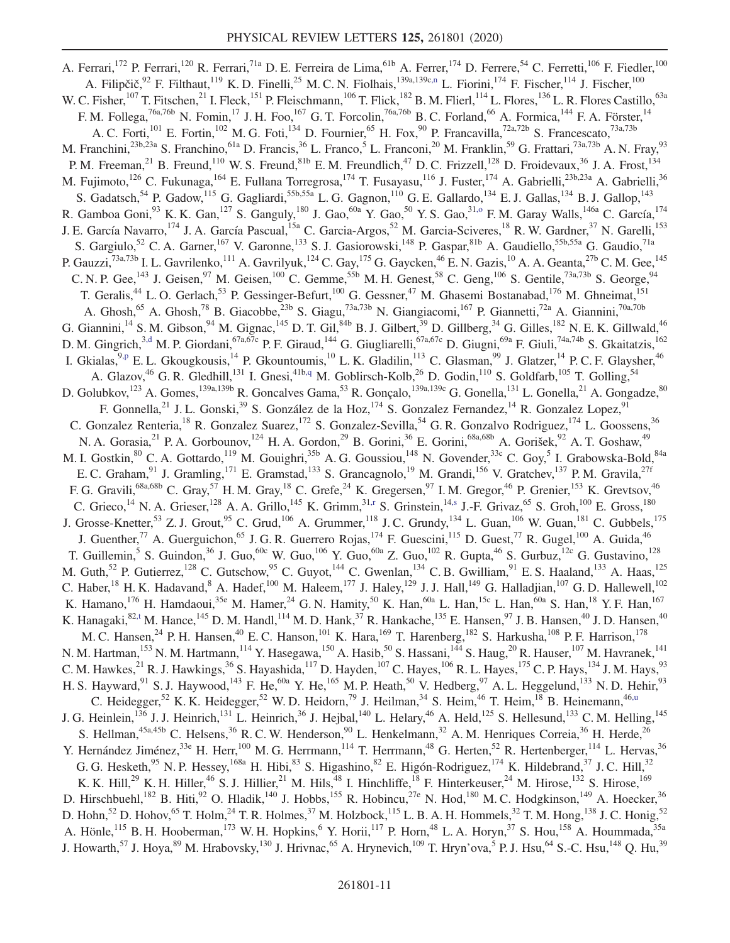<span id="page-10-6"></span><span id="page-10-5"></span><span id="page-10-4"></span><span id="page-10-3"></span><span id="page-10-2"></span><span id="page-10-1"></span><span id="page-10-0"></span>A. Ferrari,<sup>172</sup> P. Ferrari,<sup>120</sup> R. Ferrari,<sup>71a</sup> D. E. Ferreira de Lima,<sup>61b</sup> A. Ferrer,<sup>174</sup> D. Ferrere,<sup>54</sup> C. Ferretti,<sup>106</sup> F. Fiedler,<sup>100</sup> A. Filipčič,<sup>92</sup> F. Filthaut,<sup>119</sup> K. D. Finelli,<sup>25</sup> M. C. N. Fiolhais,<sup>139a,139c[,n](#page-20-12)</sup> L. Fiorini,<sup>174</sup> F. Fischer,<sup>114</sup> J. Fischer,<sup>100</sup> W. C. Fisher,  $^{107}$  T. Fitschen,  $^{21}$  I. Fleck,  $^{151}$  P. Fleischmann,  $^{106}$  T. Flick,  $^{182}$  B. M. Flierl,  $^{114}$  L. Flores,  $^{136}$  L. R. Flores Castillo,  $^{63a}$ F. M. Follega,<sup>76a,76b</sup> N. Fomin,<sup>17</sup> J. H. Foo,<sup>167</sup> G. T. Forcolin,<sup>76a,76b</sup> B. C. Forland,<sup>66</sup> A. Formica,<sup>144</sup> F. A. Förster,<sup>14</sup> A. C. Forti,<sup>101</sup> E. Fortin,<sup>102</sup> M. G. Foti,<sup>134</sup> D. Fournier,<sup>65</sup> H. Fox,<sup>90</sup> P. Francavilla,<sup>72a,72b</sup> S. Francescato,<sup>73a,73b</sup> M. Franchini,<sup>23b,23a</sup> S. Franchino,<sup>61a</sup> D. Francis,<sup>36</sup> L. Franco,<sup>5</sup> L. Franconi,<sup>20</sup> M. Franklin,<sup>59</sup> G. Frattari,<sup>73a,73b</sup> A. N. Fray,<sup>93</sup> P. M. Freeman,<sup>21</sup> B. Freund,<sup>110</sup> W. S. Freund,<sup>81b</sup> E. M. Freundlich,<sup>47</sup> D. C. Frizzell,<sup>128</sup> D. Froidevaux,<sup>36</sup> J. A. Frost,<sup>134</sup> M. Fujimoto,<sup>126</sup> C. Fukunaga,<sup>164</sup> E. Fullana Torregrosa,<sup>174</sup> T. Fusayasu,<sup>116</sup> J. Fuster,<sup>174</sup> A. Gabrielli,<sup>23b,23a</sup> A. Gabrielli,<sup>36</sup> S. Gadatsch,<sup>54</sup> P. Gadow,<sup>115</sup> G. Gagliardi,<sup>55b,55a</sup> L. G. Gagnon,<sup>110</sup> G. E. Gallardo,<sup>134</sup> E. J. Gallas,<sup>134</sup> B. J. Gallop,<sup>143</sup> R. Gamboa Goni,<sup>93</sup> K. K. Gan,<sup>127</sup> S. Ganguly,<sup>180</sup> J. Gao,<sup>60a</sup> Y. Gao,<sup>50</sup> Y. S. Gao,<sup>31,0</sup> F. M. Garay Walls,<sup>146a</sup> C. García,<sup>174</sup> J. E. García Navarro,<sup>174</sup> J. A. García Pascual,<sup>15a</sup> C. Garcia-Argos,<sup>52</sup> M. Garcia-Sciveres,<sup>18</sup> R. W. Gardner,<sup>37</sup> N. Garelli,<sup>153</sup> S. Gargiulo,<sup>52</sup> C. A. Garner,<sup>167</sup> V. Garonne,<sup>133</sup> S. J. Gasiorowski,<sup>148</sup> P. Gaspar,<sup>81b</sup> A. Gaudiello,<sup>55b,55a</sup> G. Gaudio,<sup>71a</sup> P. Gauzzi,<sup>73a,73b</sup> I. L. Gavrilenko,<sup>111</sup> A. Gavrilyuk,<sup>124</sup> C. Gay,<sup>175</sup> G. Gaycken,<sup>46</sup> E. N. Gazis,<sup>10</sup> A. A. Geanta,<sup>27b</sup> C. M. Gee,<sup>145</sup> C. N. P. Gee,  $^{143}$  J. Geisen,  $^{97}$  M. Geisen,  $^{100}$  C. Gemme,  $^{55b}$  M. H. Genest,  $^{58}$  C. Geng,  $^{106}$  S. Gentile,  $^{73a,73b}$  S. George,  $^{94}$ T. Geralis,<sup>44</sup> L. O. Gerlach,<sup>53</sup> P. Gessinger-Befurt,<sup>100</sup> G. Gessner,<sup>47</sup> M. Ghasemi Bostanabad,<sup>176</sup> M. Ghneimat,<sup>151</sup> T. Geralis,<sup>44</sup> L. O. Gerlach,<sup>53</sup> P. Gessinger-Befurt,<sup>100</sup> G. Gessner,<sup>47</sup> M. Ghasemi Bostanabad,<sup>176</sup> M. Ghneimat,<sup>151</sup> A. Ghosh,<sup>65</sup> A. Ghosh,<sup>78</sup> B. Giacobbe,<sup>23b</sup> S. Giagu,<sup>73a,73b</sup> N. Giangiacomi,<sup>167</sup> P. Giannetti G. Giannini,<sup>14</sup> S. M. Gibson,<sup>94</sup> M. Gignac,<sup>145</sup> D. T. Gil,<sup>84b</sup> B. J. Gilbert,<sup>39</sup> D. Gillberg,<sup>34</sup> G. Gilles,<sup>182</sup> N. E. K. Gillwald,<sup>46</sup> D. M. Gingrich,<sup>[3,d](#page-20-2)</sup> M. P. Giordani,<sup>67a,67c</sup> P. F. Giraud,<sup>144</sup> G. Giugliarelli,<sup>67a,67c</sup> D. Giugni,<sup>69a</sup> F. Giuli,<sup>74a,74b</sup> S. Gkaitatzis,<sup>162</sup> I. Gkialas, <sup>9[,p](#page-20-14)</sup> E. L. Gkougkousis, <sup>14</sup> P. Gkountoumis, <sup>10</sup> L. K. Gladilin, <sup>113</sup> C. Glasman, <sup>99</sup> J. Glatzer, <sup>14</sup> P. C. F. Glaysher, <sup>46</sup> A. Glazov,<sup>46</sup> G. R. Gledhill,<sup>131</sup> I. Gnesi,<sup>41[b,q](#page-20-15)</sup> M. Goblirsch-Kolb,<sup>26</sup> D. Godin,<sup>110</sup> S. Goldfarb,<sup>105</sup> T. Golling,<sup>54</sup> D. Golubkov,<sup>123</sup> A. Gomes,<sup>139a,139b</sup> R. Goncalves Gama,<sup>53</sup> R. Gonçalo,<sup>139a,139c</sup> G. Gonella,<sup>131</sup> L. Gonella,<sup>21</sup> A. Gongadze,<sup>80</sup> F. Gonnella,<sup>21</sup> J. L. Gonski,<sup>39</sup> S. González de la Hoz,<sup>174</sup> S. Gonzalez Fernandez,<sup>14</sup> R. Gonzalez Lopez,<sup>91</sup> C. Gonzalez Renteria,<sup>18</sup> R. Gonzalez Suarez,<sup>172</sup> S. Gonzalez-Sevilla,<sup>54</sup> G. R. Gonzalvo Rodriguez,<sup>174</sup> L. Goossens,<sup>36</sup> N. A. Gorasia,<sup>21</sup> P. A. Gorbounov,<sup>124</sup> H. A. Gordon,<sup>29</sup> B. Gorini,<sup>36</sup> E. Gorini,<sup>68a,68b</sup> A. Gorišek,<sup>92</sup> A. T. Goshaw,<sup>49</sup> M. I. Gostkin,  ${}^{80}$  C. A. Gottardo,  ${}^{119}$  M. Gouighri,  ${}^{35b}$  A. G. Goussiou,  ${}^{148}$  N. Govender,  ${}^{33c}$  C. Goy,  ${}^{5}$  I. Grabowska-Bold,  ${}^{84a}$ E. C. Graham,<sup>91</sup> J. Gramling,<sup>171</sup> E. Gramstad,<sup>133</sup> S. Grancagnolo,<sup>19</sup> M. Grandi,<sup>156</sup> V. Gratchev,<sup>137</sup> P. M. Gravila,<sup>27f</sup> F. G. Gravili,<sup>68a,68b</sup> C. Gray,<sup>57</sup> H. M. Gray,<sup>18</sup> C. Grefe,<sup>24</sup> K. Gregersen,<sup>97</sup> I. M. Gregor,<sup>46</sup> P. Grenier,<sup>153</sup> K. Grevtsov,<sup>46</sup> C. Grieco,<sup>14</sup> N. A. Grieser,<sup>128</sup> A. A. Grillo,<sup>145</sup> K. Grimm,<sup>31[,r](#page-20-16)</sup> S. Grinstein,<sup>14[,s](#page-20-17)</sup> J.-F. Grivaz,<sup>65</sup> S. Groh,<sup>100</sup> E. Gross,<sup>180</sup> J. Grosse-Knetter,<sup>53</sup> Z. J. Grout,<sup>95</sup> C. Grud,<sup>106</sup> A. Grummer,<sup>118</sup> J. C. Grundy,<sup>134</sup> L. Guan,<sup>106</sup> W. Guan,<sup>181</sup> C. Gubbels,<sup>175</sup> J. Guenther,<sup>77</sup> A. Guerguichon,<sup>65</sup> J. G. R. Guerrero Rojas,<sup>174</sup> F. Guescini,<sup>115</sup> D. Guest,<sup>77</sup> R. Gugel,<sup>100</sup> A. Guida,<sup>46</sup> T. Guillemin,<sup>5</sup> S. Guindon,<sup>36</sup> J. Guo,<sup>60c</sup> W. Guo,<sup>106</sup> Y. Guo,<sup>60a</sup> Z. Guo,<sup>102</sup> R. Gupta,<sup>46</sup> S. Gurbuz,<sup>12c</sup> G. Gustavino,<sup>128</sup> M. Guth, <sup>52</sup> P. Gutierrez, <sup>128</sup> C. Gutschow, <sup>95</sup> C. Guyot, <sup>144</sup> C. Gwenlan, <sup>134</sup> C. B. Gwilliam, <sup>91</sup> E. S. Haaland, <sup>133</sup> A. Haas, <sup>125</sup> C. Haber,<sup>18</sup> H. K. Hadavand, <sup>8</sup> A. Hadef,<sup>100</sup> M. Haleem,<sup>177</sup> J. Haley,<sup>129</sup> J. J. Hall,<sup>149</sup> G. Halladjian,<sup>107</sup> G. D. Hallewell,<sup>102</sup> K. Hamano,  $^{176}$  H. Hamdaoui,  $^{35e}$  M. Hamer,  $^{24}$  G. N. Hamity,  $^{50}$  K. Han,  $^{60a}$  L. Han,  $^{15c}$  L. Han,  $^{60a}$  S. Han,  $^{18}$  Y. F. Han,  $^{167}$ K. Hanagaki, $82, t$  M. Hance, $145$  D. M. Handl, $114$  M. D. Hank, $37$  R. Hankache, $135$  E. Hansen, $97$  J. B. Hansen, $40$  J. D. Hansen, $40$ M. C. Hansen,<sup>24</sup> P. H. Hansen,<sup>40</sup> E. C. Hanson,<sup>101</sup> K. Hara,<sup>169</sup> T. Harenberg,<sup>182</sup> S. Harkusha,<sup>108</sup> P. F. Harrison,<sup>178</sup> N. M. Hartman,<sup>153</sup> N. M. Hartmann,<sup>114</sup> Y. Hasegawa,<sup>150</sup> A. Hasib,<sup>50</sup> S. Hassani,<sup>144</sup> S. Haug,<sup>20</sup> R. Hauser,<sup>107</sup> M. Havranek,<sup>141</sup> C. M. Hawkes,  $^{21}$  R. J. Hawkings,  $^{36}$  S. Hayashida,  $^{117}$  D. Hayden,  $^{107}$  C. Hayes,  $^{106}$  R. L. Hayes,  $^{175}$  C. P. Hays,  $^{134}$  J. M. Hays,  $^{93}$ H. S. Hayward, <sup>91</sup> S. J. Haywood, <sup>143</sup> F. He, <sup>60a</sup> Y. He, <sup>165</sup> M. P. Heath, <sup>50</sup> V. Hedberg, <sup>97</sup> A. L. Heggelund, <sup>133</sup> N. D. Hehir, <sup>93</sup> C. Heidegger,<sup>52</sup> K. K. Heidegger,<sup>52</sup> W. D. Heidorn,<sup>79</sup> J. Heilman,<sup>34</sup> S. Heim,<sup>46</sup> T. Heim,<sup>18</sup> B. Heinemann,<sup>4[6,u](#page-20-19)</sup> J. G. Heinlein,<sup>136</sup> J. J. Heinrich,<sup>131</sup> L. Heinrich,<sup>36</sup> J. Hejbal,<sup>140</sup> L. Helary,<sup>46</sup> A. Held,<sup>125</sup> S. Hellesund,<sup>133</sup> C. M. Helling,<sup>145</sup> S. Hellman,  $45a,45b$  C. Helsens,  $36$  R. C. W. Henderson,  $90$  L. Henkelmann,  $32$  A. M. Henriques Correia,  $36$  H. Herde,  $26$ Y. Hernández Jiménez,<sup>33e</sup> H. Herr,<sup>100</sup> M. G. Herrmann,<sup>114</sup> T. Herrmann,<sup>48</sup> G. Herten,<sup>52</sup> R. Hertenberger,<sup>114</sup> L. Hervas,<sup>36</sup> G. G. Hesketh,  $95$  N. P. Hessey,  $168a$  H. Hibi,  $83$  S. Higashino,  $82$  E. Higón-Rodriguez,  $174$  K. Hildebrand,  $37$  J. C. Hill,  $32$ K. K. Hill,<sup>29</sup> K. H. Hiller,<sup>46</sup> S. J. Hillier,<sup>21</sup> M. Hils,<sup>48</sup> I. Hinchliffe,<sup>18</sup> F. Hinterkeuser,<sup>24</sup> M. Hirose,<sup>132</sup> S. Hirose,<sup>169</sup> D. Hirschbuehl,<sup>182</sup> B. Hiti,<sup>92</sup> O. Hladik,<sup>140</sup> J. Hobbs,<sup>155</sup> R. Hobincu,<sup>27e</sup> N. Hod,<sup>180</sup> M. C. Hodgkinson,<sup>149</sup> A. Hoecker,<sup>36</sup> D. Hohn,<sup>52</sup> D. Hohov,<sup>65</sup> T. Holm,<sup>24</sup> T. R. Holmes,<sup>37</sup> M. Holzbock,<sup>115</sup> L. B. A. H. Hommels,<sup>32</sup> T. M. Hong,<sup>138</sup> J. C. Honig,<sup>52</sup> A. Hönle,<sup>115</sup> B. H. Hooberman,<sup>173</sup> W. H. Hopkins, <sup>6</sup> Y. Horii,<sup>117</sup> P. Horn, <sup>48</sup> L. A. Horyn, <sup>37</sup> S. Hou, <sup>158</sup> A. Hoummada, <sup>35a</sup> J. Howarth,  $^{57}$  J. Hoya,  $^{89}$  M. Hrabovsky,  $^{130}$  J. Hrivnac,  $^{65}$  A. Hrynevich,  $^{109}$  T. Hryn'ova,  $^5$  P. J. Hsu,  $^{64}$  S.-C. Hsu,  $^{148}$  Q. Hu,  $^{39}$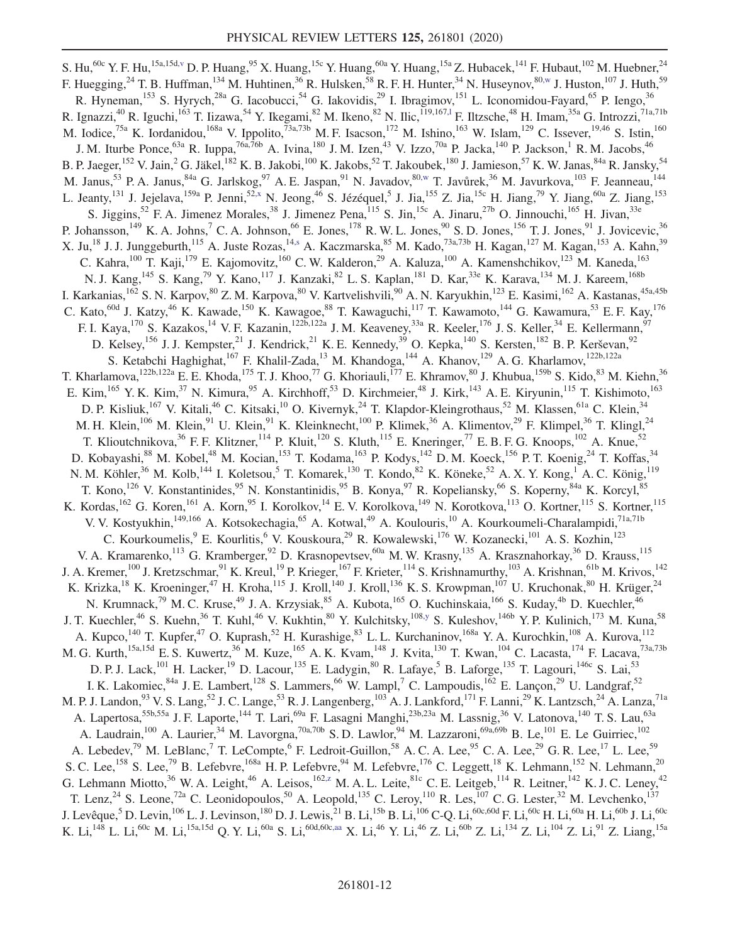<span id="page-11-5"></span><span id="page-11-4"></span><span id="page-11-3"></span><span id="page-11-2"></span><span id="page-11-1"></span><span id="page-11-0"></span>S. Hu,<sup>60c</sup> Y. F. Hu,<sup>15a,15[d,v](#page-20-20)</sup> D. P. Huang,<sup>95</sup> X. Huang,<sup>15c</sup> Y. Huang,<sup>60a</sup> Y. Huang,<sup>15a</sup> Z. Hubacek,<sup>141</sup> F. Hubaut,<sup>102</sup> M. Huebner,<sup>24</sup> F. Huegging,<sup>24</sup> T. B. Huffman,<sup>134</sup> M. Huhtinen,<sup>36</sup> R. Hulsken,<sup>58</sup> R. F. H. Hunter,<sup>34</sup> N. Huseynov,<sup>8[0,w](#page-20-21)</sup> J. Huston,<sup>107</sup> J. Huth,<sup>59</sup> R. Hyneman,<sup>153</sup> S. Hyrych,<sup>28a</sup> G. Iacobucci,<sup>54</sup> G. Iakovidis,<sup>29</sup> I. Ibragimov,<sup>151</sup> L. Iconomidou-Fayard,<sup>65</sup> P. Iengo,<sup>36</sup> R. Ignazzi,<sup>40</sup> R. Iguchi,<sup>163</sup> T. Iizawa,<sup>54</sup> Y. Ikegami,<sup>82</sup> M. Ikeno,<sup>82</sup> N. Ilic,<sup>119,167,1</sup> F. Iltzsche,<sup>48</sup> H. Imam,<sup>35a</sup> G. Introzzi,<sup>71a,71b</sup> M. Iodice,<sup>75a</sup> K. Iordanidou,<sup>168a</sup> V. Ippolito,<sup>73a,73b</sup> M. F. Isacson,<sup>172</sup> M. Ishino,<sup>163</sup> W. Islam,<sup>129</sup> C. Issever,<sup>19,46</sup> S. Istin,<sup>160</sup> J. M. Iturbe Ponce,<sup>63a</sup> R. Iuppa,<sup>76a,76b</sup> A. Ivina,<sup>180</sup> J. M. Izen,<sup>43</sup> V. Izzo,<sup>70a</sup> P. Jacka,<sup>140</sup> P. Jackson,<sup>1</sup> R. M. Jacobs,<sup>46</sup> B. P. Jaeger,<sup>152</sup> V. Jain,<sup>2</sup> G. Jäkel,<sup>182</sup> K. B. Jakobi,<sup>100</sup> K. Jakobs,<sup>52</sup> T. Jakoubek,<sup>180</sup> J. Jamieson,<sup>57</sup> K. W. Janas,<sup>84a</sup> R. Jansky,<sup>54</sup> M. Janus,<sup>53</sup> P. A. Janus,<sup>84a</sup> G. Jarlskog,<sup>97</sup> A. E. Jaspan,<sup>91</sup> N. Javadov,<sup>80[,w](#page-20-21)</sup> T. Javůrek,<sup>36</sup> M. Javurkova,<sup>103</sup> F. Jeanneau,<sup>144</sup> L. Jeanty,<sup>131</sup> J. Jejelava,<sup>159a</sup> P. Jenni,<sup>5[2,x](#page-20-22)</sup> N. Jeong,<sup>46</sup> S. Jézéquel,<sup>5</sup> J. Jia,<sup>155</sup> Z. Jia,<sup>15c</sup> H. Jiang,<sup>79</sup> Y. Jiang,<sup>60a</sup> Z. Jiang,<sup>153</sup> S. Jiggins,<sup>52</sup> F. A. Jimenez Morales,<sup>38</sup> J. Jimenez Pena,<sup>115</sup> S. Jin,<sup>15c</sup> A. Jinaru,<sup>27b</sup> O. Jinnouchi,<sup>165</sup> H. Jivan,<sup>33e</sup> P. Johansson,<sup>149</sup> K. A. Johns,<sup>7</sup> C. A. Johnson,<sup>66</sup> E. Jones,<sup>178</sup> R. W. L. Jones,<sup>90</sup> S. D. Jones,<sup>156</sup> T. J. Jones,<sup>91</sup> J. Jovicevic,<sup>36</sup> X. Ju,<sup>18</sup> J. J. Junggeburth,<sup>115</sup> A. Juste Rozas,<sup>14[,s](#page-20-17)</sup> A. Kaczmarska,<sup>85</sup> M. Kado,<sup>73a,73b</sup> H. Kagan,<sup>127</sup> M. Kagan,<sup>153</sup> A. Kahn,<sup>39</sup> C. Kahra,<sup>100</sup> T. Kaji,<sup>179</sup> E. Kajomovitz,<sup>160</sup> C. W. Kalderon,<sup>29</sup> A. Kaluza,<sup>100</sup> A. Kamenshchikov,<sup>123</sup> M. Kaneda,<sup>163</sup> N. J. Kang, <sup>145</sup> S. Kang, <sup>79</sup> Y. Kano, <sup>117</sup> J. Kanzaki, <sup>82</sup> L. S. Kaplan, <sup>181</sup> D. Kar, <sup>33e</sup> K. Karava, <sup>134</sup> M. J. Kareem, <sup>168b</sup> I. Karkanias, <sup>162</sup> S. N. Karpov, <sup>80</sup> Z. M. Karpova, <sup>80</sup> V. Kartvelishvili, <sup>90</sup> A. N. Karyukhin, <sup>123</sup> E. Kasimi, <sup>162</sup> A. Kastanas, <sup>45a, 45b</sup> C. Kato,<sup>60d</sup> J. Katzy,<sup>46</sup> K. Kawade,<sup>150</sup> K. Kawagoe,<sup>88</sup> T. Kawaguchi,<sup>117</sup> T. Kawamoto,<sup>144</sup> G. Kawamura,<sup>53</sup> E. F. Kay,<sup>176</sup> F. I. Kaya,<sup>170</sup> S. Kazakos,<sup>14</sup> V. F. Kazanin,<sup>122b,122a</sup> J. M. Keaveney,<sup>33a</sup> R. Keeler,<sup>176</sup> J. S. Keller,<sup>34</sup> E. Kellermann,<sup>97</sup> D. Kelsey,<sup>156</sup> J. J. Kempster,<sup>21</sup> J. Kendrick,<sup>21</sup> K. E. Kennedy,<sup>39</sup> O. Kepka,<sup>140</sup> S. Kersten,<sup>182</sup> B. P. Kerševan,<sup>92</sup> S. Ketabchi Haghighat,<sup>167</sup> F. Khalil-Zada,<sup>13</sup> M. Khandoga,<sup>144</sup> A. Khanov,<sup>129</sup> A. G. Kharlamov,<sup>122b,122a</sup> T. Kharlamova,<sup>122b,122a</sup> E. E. Khoda,<sup>175</sup> T. J. Khoo,<sup>77</sup> G. Khoriauli,<sup>177</sup> E. Khramov,<sup>80</sup> J. Khubua,<sup>159b</sup> S. Kido,<sup>83</sup> M. Kiehn,<sup>36</sup> E. Kim,  $^{165}$  Y. K. Kim,  $^{37}$  N. Kimura,  $^{95}$  A. Kirchhoff,  $^{53}$  D. Kirchmeier,  $^{48}$  J. Kirk,  $^{143}$  A. E. Kiryunin,  $^{115}$  T. Kishimoto,  $^{163}$ D. P. Kisliuk,<sup>167</sup> V. Kitali,<sup>46</sup> C. Kitsaki,<sup>10</sup> O. Kivernyk,<sup>24</sup> T. Klapdor-Kleingrothaus,<sup>52</sup> M. Klassen,<sup>61a</sup> C. Klein,<sup>34</sup> M. H. Klein,<sup>106</sup> M. Klein,<sup>91</sup> U. Klein,<sup>91</sup> K. Kleinknecht,<sup>100</sup> P. Klimek,<sup>36</sup> A. Klimentov,<sup>29</sup> F. Klimpel,<sup>36</sup> T. Klingl,<sup>24</sup> T. Klioutchnikova,  $36$  F. F. Klitzner,  $114$  P. Kluit,  $120$  S. Kluth,  $115$  E. Kneringer,  $77$  E. B. F. G. Knoops,  $102$  A. Knue,  $52$ D. Kobayashi,<sup>88</sup> M. Kobel,<sup>48</sup> M. Kocian,<sup>153</sup> T. Kodama,<sup>163</sup> P. Kodys,<sup>142</sup> D. M. Koeck,<sup>156</sup> P. T. Koenig,<sup>24</sup> T. Koffas,<sup>34</sup> N. M. Köhler,<sup>36</sup> M. Kolb,<sup>144</sup> I. Koletsou,<sup>5</sup> T. Komarek,<sup>130</sup> T. Kondo,<sup>82</sup> K. Köneke,<sup>52</sup> A. X. Y. Kong,<sup>1</sup> A. C. König,<sup>119</sup> T. Kono,<sup>126</sup> V. Konstantinides,<sup>95</sup> N. Konstantinidis,<sup>95</sup> B. Konya,<sup>97</sup> R. Kopeliansky,<sup>66</sup> S. Koperny,<sup>84a</sup> K. Korcyl,<sup>85</sup> K. Kordas, <sup>162</sup> G. Koren, <sup>161</sup> A. Korn, <sup>95</sup> I. Korolkov, <sup>14</sup> E. V. Korolkova, <sup>149</sup> N. Korotkova, <sup>113</sup> O. Kortner, <sup>115</sup> S. Kortner, <sup>115</sup> V. V. Kostyukhin,<sup>149,166</sup> A. Kotsokechagia,<sup>65</sup> A. Kotwal,<sup>49</sup> A. Koulouris,<sup>10</sup> A. Kourkoumeli-Charalampidi,<sup>71a,71b</sup> C. Kourkoumelis, <sup>9</sup> E. Kourlitis, <sup>6</sup> V. Kouskoura, <sup>29</sup> R. Kowalewski, <sup>176</sup> W. Kozanecki, <sup>101</sup> A. S. Kozhin, <sup>123</sup> V. A. Kramarenko,<sup>113</sup> G. Kramberger,<sup>92</sup> D. Krasnopevtsev,<sup>60a</sup> M. W. Krasny,<sup>135</sup> A. Krasznahorkay,<sup>36</sup> D. Krauss,<sup>115</sup> J. A. Kremer,<sup>100</sup> J. Kretzschmar,<sup>91</sup> K. Kreul,<sup>19</sup> P. Krieger,<sup>167</sup> F. Krieter,<sup>114</sup> S. Krishnamurthy,<sup>103</sup> A. Krishnan,<sup>61b</sup> M. Krivos,<sup>142</sup> K. Krizka,<sup>18</sup> K. Kroeninger,<sup>47</sup> H. Kroha,<sup>115</sup> J. Kroll,<sup>140</sup> J. Kroll,<sup>136</sup> K. S. Krowpman,<sup>107</sup> U. Kruchonak,<sup>80</sup> H. Krüger,<sup>24</sup> N. Krumnack,<sup>79</sup> M. C. Kruse,<sup>49</sup> J. A. Krzysiak,<sup>85</sup> A. Kubota,<sup>165</sup> O. Kuchinskaia,<sup>166</sup> S. Kuday,<sup>4b</sup> D. Kuechler,<sup>46</sup> J. T. Kuechler,<sup>46</sup> S. Kuehn,<sup>36</sup> T. Kuhl,<sup>46</sup> V. Kukhtin,<sup>80</sup> Y. Kulchitsky,<sup>108[,y](#page-20-23)</sup> S. Kuleshov,<sup>146b</sup> Y. P. Kulinich,<sup>173</sup> M. Kuna,<sup>58</sup> A. Kupco,<sup>140</sup> T. Kupfer,<sup>47</sup> O. Kuprash,<sup>52</sup> H. Kurashige,<sup>83</sup> L. L. Kurchaninov,<sup>168a</sup> Y. A. Kurochkin,<sup>108</sup> A. Kurova,<sup>112</sup> M. G. Kurth,<sup>15a,15d</sup> E. S. Kuwertz,<sup>36</sup> M. Kuze,<sup>165</sup> A. K. Kvam,<sup>148</sup> J. Kvita,<sup>130</sup> T. Kwan,<sup>104</sup> C. Lacasta,<sup>174</sup> F. Lacava,<sup>73a,73b</sup> D. P. J. Lack,<sup>101</sup> H. Lacker,<sup>19</sup> D. Lacour,<sup>135</sup> E. Ladygin,<sup>80</sup> R. Lafaye,<sup>5</sup> B. Laforge,<sup>135</sup> T. Lagouri,<sup>146c</sup> S. Lai,<sup>53</sup> I. K. Lakomiec, <sup>84a</sup> J. E. Lambert, <sup>128</sup> S. Lammers, <sup>66</sup> W. Lampl, <sup>7</sup> C. Lampoudis, <sup>162</sup> E. Lançon, <sup>29</sup> U. Landgraf, <sup>52</sup> M. P. J. Landon,<sup>93</sup> V. S. Lang,<sup>52</sup> J. C. Lange,<sup>53</sup> R. J. Langenberg,<sup>103</sup> A. J. Lankford,<sup>171</sup> F. Lanni,<sup>29</sup> K. Lantzsch,<sup>24</sup> A. Lanza,<sup>71a</sup> A. Lapertosa,<sup>55b,55a</sup> J. F. Laporte,<sup>144</sup> T. Lari,<sup>69a</sup> F. Lasagni Manghi,<sup>23b,23a</sup> M. Lassnig,<sup>36</sup> V. Latonova,<sup>140</sup> T. S. Lau,<sup>63a</sup> A. Laudrain,<sup>100</sup> A. Laurier,<sup>34</sup> M. Lavorgna,<sup>70a,70b</sup> S. D. Lawlor,<sup>94</sup> M. Lazzaroni,<sup>69a,69b</sup> B. Le,<sup>101</sup> E. Le Guirriec,<sup>102</sup> A. Lebedev,<sup>79</sup> M. LeBlanc,<sup>7</sup> T. LeCompte,<sup>6</sup> F. Ledroit-Guillon,<sup>58</sup> A. C. A. Lee,<sup>95</sup> C. A. Lee,<sup>29</sup> G. R. Lee,<sup>17</sup> L. Lee,<sup>59</sup> S. C. Lee,<sup>158</sup> S. Lee,<sup>79</sup> B. Lefebvre,<sup>168a</sup> H. P. Lefebvre,<sup>94</sup> M. Lefebvre,<sup>176</sup> C. Leggett,<sup>18</sup> K. Lehmann,<sup>152</sup> N. Lehmann,<sup>20</sup> G. Lehmann Miotto,<sup>36</sup> W. A. Leight,<sup>46</sup> A. Leisos,<sup>162[,z](#page-20-24)</sup> M. A. L. Leite,<sup>81c</sup> C. E. Leitgeb,<sup>114</sup> R. Leitner,<sup>142</sup> K. J. C. Leney,<sup>42</sup> T. Lenz,<sup>24</sup> S. Leone,<sup>72a</sup> C. Leonidopoulos,<sup>50</sup> A. Leopold,<sup>135</sup> C. Leroy,<sup>110</sup> R. Les,<sup>107</sup> C. G. Lester,<sup>32</sup> M. Levchenko,<sup>137</sup> J. Levêque,<sup>5</sup> D. Levin,<sup>106</sup> L. J. Levinson,<sup>180</sup> D. J. Lewis,<sup>21</sup> B. Li,<sup>15b</sup> B. Li,<sup>106</sup> C-Q. Li,<sup>60c,60d</sup> F. Li,<sup>60c</sup> H. Li,<sup>60a</sup> H. Li,<sup>60b</sup> J. Li,<sup>60c</sup> K. Li,<sup>148</sup> L. Li,<sup>60c</sup> M. Li,<sup>15a,15d</sup> Q. Y. Li,<sup>60a</sup> S. Li,<sup>60d,60c[,aa](#page-20-25)</sup> X. Li,<sup>46</sup> Y. Li,<sup>46</sup> Z. Li,<sup>60b</sup> Z. Li,<sup>134</sup> Z. Li,<sup>104</sup> Z. Li,<sup>91</sup> Z. Liang,<sup>15a</sup>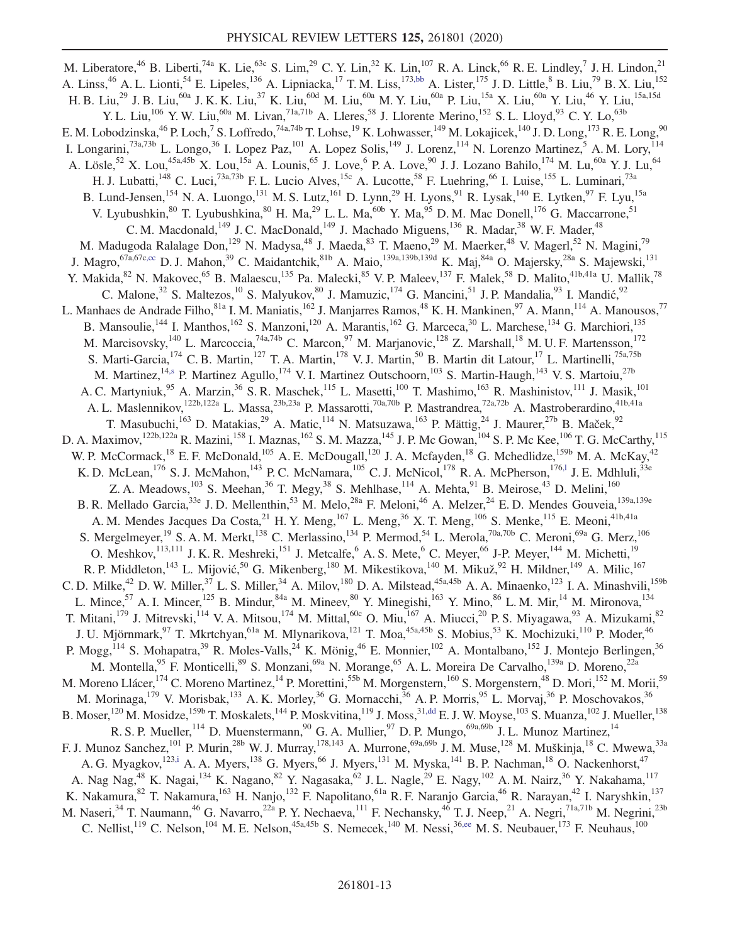<span id="page-12-3"></span><span id="page-12-2"></span><span id="page-12-1"></span><span id="page-12-0"></span>M. Liberatore, <sup>46</sup> B. Liberti, <sup>74a</sup> K. Lie, <sup>63c</sup> S. Lim, <sup>29</sup> C. Y. Lin, <sup>32</sup> K. Lin, <sup>107</sup> R. A. Linck, <sup>66</sup> R. E. Lindley, <sup>7</sup> J. H. Lindon, <sup>21</sup> A. Linss,<sup>46</sup> A. L. Lionti,<sup>54</sup> E. Lipeles,<sup>136</sup> A. Lipniacka,<sup>17</sup> T. M. Liss,<sup>17[3,bb](#page-20-26)</sup> A. Lister,<sup>175</sup> J. D. Little,<sup>8</sup> B. Liu,<sup>79</sup> B. X. Liu,<sup>152</sup> H. B. Liu,<sup>29</sup> J. B. Liu,<sup>60a</sup> J. K. K. Liu,<sup>37</sup> K. Liu,<sup>60d</sup> M. Liu,<sup>60a</sup> M. Y. Liu,<sup>60a</sup> P. Liu,<sup>15a</sup> X. Liu,<sup>60a</sup> Y. Liu,<sup>46</sup> Y. Liu,<sup>15a,15d</sup> Y. L. Liu,<sup>106</sup> Y. W. Liu,<sup>60a</sup> M. Livan,<sup>71a,71b</sup> A. Lleres,<sup>58</sup> J. Llorente Merino,<sup>152</sup> S. L. Lloyd,<sup>93</sup> C. Y. Lo,<sup>63b</sup> E. M. Lobodzinska,<sup>46</sup> P. Loch,<sup>7</sup> S. Loffredo,<sup>74a,74b</sup> T. Lohse,<sup>19</sup> K. Lohwasser,<sup>149</sup> M. Lokajicek,<sup>140</sup> J. D. Long,<sup>173</sup> R. E. Long,<sup>90</sup> I. Longarini,<sup>73a,73b</sup> L. Longo,<sup>36</sup> I. Lopez Paz,<sup>101</sup> A. Lopez Solis,<sup>149</sup> J. Lorenz,<sup>114</sup> N. Lorenzo Martinez,<sup>5</sup> A. M. Lory,<sup>114</sup> A. Lösle,<sup>52</sup> X. Lou,<sup>45a,45b</sup> X. Lou,<sup>15a</sup> A. Lounis,<sup>65</sup> J. Love,<sup>6</sup> P. A. Love,<sup>90</sup> J. J. Lozano Bahilo,<sup>174</sup> M. Lu,<sup>60a</sup> Y. J. Lu,<sup>64</sup> H. J. Lubatti,<sup>148</sup> C. Luci,<sup>73a,73b</sup> F. L. Lucio Alves,<sup>15c</sup> A. Lucotte,<sup>58</sup> F. Luehring,<sup>66</sup> I. Luise,<sup>155</sup> L. Luminari,<sup>73a</sup> B. Lund-Jensen,<sup>154</sup> N. A. Luongo,<sup>131</sup> M. S. Lutz,<sup>161</sup> D. Lynn,<sup>29</sup> H. Lyons,<sup>91</sup> R. Lysak,<sup>140</sup> E. Lytken,<sup>97</sup> F. Lyu,<sup>15a</sup> V. Lyubushkin,  $80$  T. Lyubushkina,  $80$  H. Ma,  $29$  L. L. Ma,  $60$  Y. Ma,  $95$  D. M. Mac Donell,  $176$  G. Maccarrone,  $51$ C. M. Macdonald,<sup>149</sup> J. C. MacDonald,<sup>149</sup> J. Machado Miguens,<sup>136</sup> R. Madar,<sup>38</sup> W. F. Mader,<sup>48</sup> M. Madugoda Ralalage Don,<sup>129</sup> N. Madysa,<sup>48</sup> J. Maeda,<sup>83</sup> T. Maeno,<sup>29</sup> M. Maerker,<sup>48</sup> V. Magerl,<sup>52</sup> N. Magini,<sup>79</sup> J. Magro,<sup>67a,67c[,cc](#page-20-27)</sup> D. J. Mahon,<sup>39</sup> C. Maidantchik,<sup>81b</sup> A. Maio,<sup>139a,139b,139d</sup> K. Maj,<sup>84a</sup> O. Majersky,<sup>28a</sup> S. Majewski,<sup>131</sup> Y. Makida,<sup>82</sup> N. Makovec,<sup>65</sup> B. Malaescu,<sup>135</sup> Pa. Malecki,<sup>85</sup> V. P. Maleev,<sup>137</sup> F. Malek,<sup>58</sup> D. Malito,<sup>41b,41a</sup> U. Mallik,<sup>78</sup> C. Malone,  $32$  S. Maltezos,  $10$  S. Malyukov,  $80$  J. Mamuzic,  $174$  G. Mancini,  $51$  J. P. Mandalia,  $93$  I. Mandić,  $92$ L. Manhaes de Andrade Filho,<sup>81a</sup> I. M. Maniatis,<sup>162</sup> J. Manjarres Ramos,<sup>48</sup> K. H. Mankinen,<sup>97</sup> A. Mann,<sup>114</sup> A. Manousos,<sup>77</sup> B. Mansoulie, <sup>144</sup> I. Manthos, <sup>162</sup> S. Manzoni, <sup>120</sup> A. Marantis, <sup>162</sup> G. Marceca, <sup>30</sup> L. Marchese, <sup>134</sup> G. Marchiori, <sup>135</sup> M. Marcisovsky,<sup>140</sup> L. Marcoccia,<sup>74a,74b</sup> C. Marcon,<sup>97</sup> M. Marjanovic,<sup>128</sup> Z. Marshall,<sup>18</sup> M. U. F. Martensson,<sup>172</sup> S. Marti-Garcia,<sup>174</sup> C. B. Martin,<sup>127</sup> T. A. Martin,<sup>178</sup> V. J. Martin,<sup>50</sup> B. Martin dit Latour,<sup>17</sup> L. Martinelli,<sup>75a,75b</sup> M. Martinez,<sup>14[,s](#page-20-17)</sup> P. Martinez Agullo,<sup>174</sup> V. I. Martinez Outschoorn,<sup>103</sup> S. Martin-Haugh,<sup>143</sup> V. S. Martoiu,<sup>27b</sup> A. C. Martyniuk, <sup>95</sup> A. Marzin, <sup>36</sup> S. R. Maschek, <sup>115</sup> L. Masetti, <sup>100</sup> T. Mashimo, <sup>163</sup> R. Mashinistov, <sup>111</sup> J. Masik, <sup>101</sup> A. L. Maslennikov, <sup>122b,122a</sup> L. Massa, <sup>23b,23a</sup> P. Massarotti, <sup>70a,70b</sup> P. Mastrandrea, <sup>72a,72b</sup> A. Mastroberardino, <sup>41b,41a</sup> T. Masubuchi,<sup>163</sup> D. Matakias,<sup>29</sup> A. Matic,<sup>114</sup> N. Matsuzawa,<sup>163</sup> P. Mättig,<sup>24</sup> J. Maurer,<sup>27b</sup> B. Maček,<sup>92</sup> D. A. Maximov,<sup>122b,122a</sup> R. Mazini,<sup>158</sup> I. Maznas,<sup>162</sup> S. M. Mazza,<sup>145</sup> J. P. Mc Gowan,<sup>104</sup> S. P. Mc Kee,<sup>106</sup> T. G. McCarthy,<sup>115</sup> W. P. McCormack,<sup>18</sup> E. F. McDonald,<sup>105</sup> A. E. McDougall,<sup>120</sup> J. A. Mcfayden,<sup>18</sup> G. Mchedlidze,<sup>159b</sup> M. A. McKay,<sup>42</sup> K. D. McLean,<sup>176</sup> S. J. McMahon,<sup>143</sup> P. C. McNamara,<sup>105</sup> C. J. McNicol,<sup>178</sup> R. A. McPherson,<sup>176,1</sup> J. E. Mdhluli,<sup>33e</sup> Z. A. Meadows,  $^{103}$  S. Meehan,  $^{36}$  T. Megy,  $^{38}$  S. Mehlhase,  $^{114}$  A. Mehta,  $^{91}$  B. Meirose,  $^{43}$  D. Melini,  $^{160}$ B. R. Mellado Garcia,<sup>33e</sup> J. D. Mellenthin,<sup>53</sup> M. Melo,<sup>28a</sup> F. Meloni,<sup>46</sup> A. Melzer,<sup>24</sup> E. D. Mendes Gouveia,<sup>139a,139e</sup> A. M. Mendes Jacques Da Costa,  $^{21}$  H. Y. Meng,  $^{167}$  L. Meng,  $^{36}$  X. T. Meng,  $^{106}$  S. Menke,  $^{115}$  E. Meoni,  $^{41b,41a}$ S. Mergelmeyer,<sup>19</sup> S. A. M. Merkt,<sup>138</sup> C. Merlassino,<sup>134</sup> P. Mermod,<sup>54</sup> L. Merola,<sup>70a,70b</sup> C. Meroni,<sup>69a</sup> G. Merz,<sup>106</sup> O. Meshkov,<sup>113,111</sup> J. K. R. Meshreki,<sup>151</sup> J. Metcalfe,<sup>6</sup> A. S. Mete,<sup>6</sup> C. Meyer,<sup>66</sup> J-P. Meyer,<sup>144</sup> M. Michetti,<sup>19</sup> R. P. Middleton, <sup>143</sup> L. Mijović, <sup>50</sup> G. Mikenberg, <sup>180</sup> M. Mikestikova, <sup>140</sup> M. Mikuž, <sup>92</sup> H. Mildner, <sup>149</sup> A. Milic, <sup>167</sup> C. D. Milke,<sup>42</sup> D. W. Miller,<sup>37</sup> L. S. Miller,<sup>34</sup> A. Milov,<sup>180</sup> D. A. Milstead,<sup>45a,45b</sup> A. A. Minaenko,<sup>123</sup> I. A. Minashvili,<sup>159b</sup> L. Mince,<sup>57</sup> A. I. Mincer,<sup>125</sup> B. Mindur,<sup>84a</sup> M. Mineev,<sup>80</sup> Y. Minegishi,<sup>163</sup> Y. Mino,<sup>86</sup> L. M. Mir,<sup>14</sup> M. Mironova,<sup>134</sup> T. Mitani,<sup>179</sup> J. Mitrevski,<sup>114</sup> V. A. Mitsou,<sup>174</sup> M. Mittal,<sup>60c</sup> O. Miu,<sup>167</sup> A. Miucci,<sup>20</sup> P. S. Miyagawa,<sup>93</sup> A. Mizukami,<sup>82</sup> J. U. Mjörnmark,<sup>97</sup> T. Mkrtchyan,<sup>61a</sup> M. Mlynarikova,<sup>121</sup> T. Moa,<sup>45a,45b</sup> S. Mobius,<sup>53</sup> K. Mochizuki,<sup>110</sup> P. Moder,<sup>46</sup> P. Mogg,  $^{114}$  S. Mohapatra, <sup>39</sup> R. Moles-Valls, <sup>24</sup> K. Mönig, <sup>46</sup> E. Monnier, <sup>102</sup> A. Montalbano, <sup>152</sup> J. Montejo Berlingen, <sup>36</sup> M. Montella, <sup>95</sup> F. Monticelli, <sup>89</sup> S. Monzani, <sup>69a</sup> N. Morange, <sup>65</sup> A. L. Moreira De Carvalho, <sup>139a</sup> D. Moreno, <sup>22a</sup> M. Moreno Llácer, <sup>174</sup> C. Moreno Martinez, <sup>14</sup> P. Morettini, <sup>55b</sup> M. Morgenstern, <sup>160</sup> S. Morgenstern, <sup>48</sup> D. Mori, <sup>152</sup> M. Morii, <sup>59</sup> M. Morinaga, <sup>179</sup> V. Morisbak, <sup>133</sup> A. K. Morley, <sup>36</sup> G. Mornacchi, <sup>36</sup> A. P. Morris, <sup>95</sup> L. Morvaj, <sup>36</sup> P. Moschovakos, <sup>36</sup> B. Moser,<sup>120</sup> M. Mosidze,<sup>159b</sup> T. Moskalets,<sup>144</sup> P. Moskvitina,<sup>119</sup> J. Moss,<sup>3[1,dd](#page-20-28)</sup> E. J. W. Moyse,<sup>103</sup> S. Muanza,<sup>102</sup> J. Mueller,<sup>138</sup> R. S. P. Mueller,  $114$  D. Muenstermann,  $90$  G. A. Mullier,  $97$  D. P. Mungo,  $69a,69b$  J. L. Munoz Martinez,  $14$ F. J. Munoz Sanchez, <sup>101</sup> P. Murin, <sup>28b</sup> W. J. Murray, <sup>178,143</sup> A. Murrone, <sup>69a,69b</sup> J. M. Muse, <sup>128</sup> M. Muškinja, <sup>18</sup> C. Mwewa, <sup>33a</sup> A. G. Myagkov,<sup>123[,i](#page-20-7)</sup> A. A. Myers,<sup>138</sup> G. Myers,<sup>66</sup> J. Myers,<sup>131</sup> M. Myska,<sup>141</sup> B. P. Nachman,<sup>18</sup> O. Nackenhorst,<sup>47</sup> A. Nag Nag,<sup>48</sup> K. Nagai,<sup>134</sup> K. Nagano,<sup>82</sup> Y. Nagasaka,<sup>62</sup> J. L. Nagle,<sup>29</sup> E. Nagy,<sup>102</sup> A. M. Nairz,<sup>36</sup> Y. Nakahama,<sup>117</sup> K. Nakamura,  $82$  T. Nakamura,  $163$  H. Nanjo,  $132$  F. Napolitano,  $61a$  R. F. Naranjo Garcia,  $46$  R. Narayan,  $42$  I. Naryshkin,  $137$ M. Naseri,<sup>34</sup> T. Naumann,<sup>46</sup> G. Navarro,<sup>22a</sup> P. Y. Nechaeva,<sup>111</sup> F. Nechansky,<sup>46</sup> T. J. Neep,<sup>21</sup> A. Negri,<sup>71a,71b</sup> M. Negrini,<sup>23b</sup> C. Nellist,<sup>119</sup> C. Nelson,<sup>104</sup> M. E. Nelson,<sup>45a,45b</sup> S. Nemecek,<sup>140</sup> M. Nessi,<sup>36[,ee](#page-20-29)</sup> M. S. Neubauer,<sup>173</sup> F. Neuhaus,<sup>100</sup>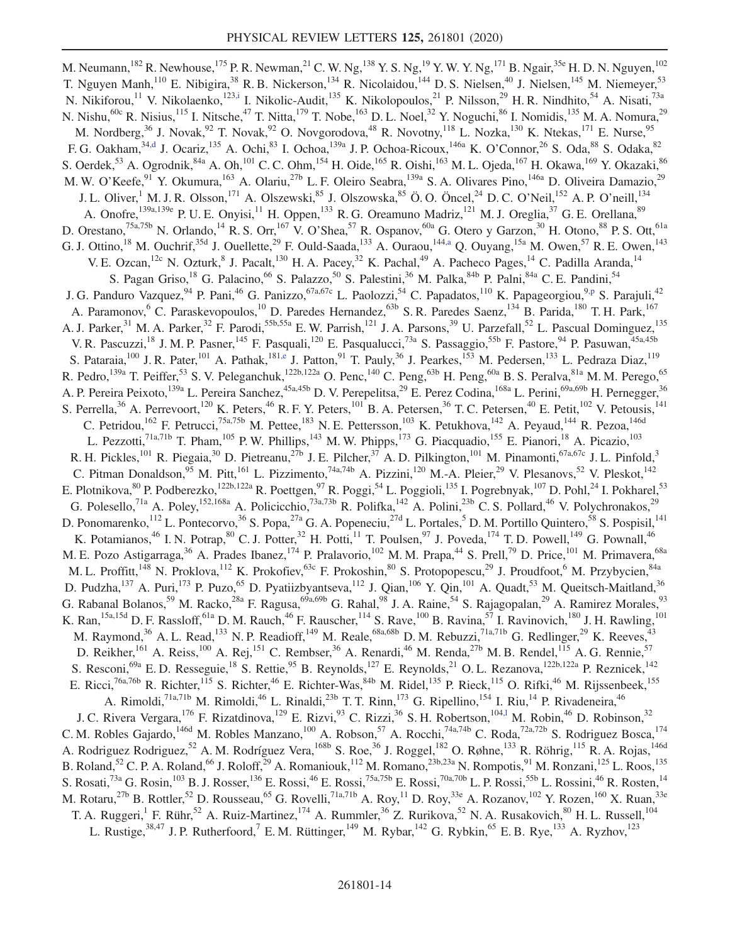<span id="page-13-0"></span>M. Neumann,<sup>182</sup> R. Newhouse,<sup>175</sup> P. R. Newman,<sup>21</sup> C. W. Ng,<sup>138</sup> Y. S. Ng,<sup>19</sup> Y. W. Y. Ng,<sup>171</sup> B. Ngair,<sup>35e</sup> H. D. N. Nguyen,<sup>102</sup> T. Nguyen Manh,<sup>110</sup> E. Nibigira,<sup>38</sup> R. B. Nickerson,<sup>134</sup> R. Nicolaidou,<sup>144</sup> D. S. Nielsen,<sup>40</sup> J. Nielsen,<sup>145</sup> M. Niemeyer,<sup>53</sup> N. Nikiforou,<sup>11</sup> V. Nikolaenko,<sup>123[,i](#page-20-7)</sup> I. Nikolic-Audit,<sup>135</sup> K. Nikolopoulos,<sup>21</sup> P. Nilsson,<sup>29</sup> H. R. Nindhito,<sup>54</sup> A. Nisati,<sup>73a</sup> N. Nishu,  $60c$  R. Nisius,  $^{115}$  I. Nitsche,  $^{47}$  T. Nitta,  $^{179}$  T. Nobe,  $^{163}$  D. L. Noel,  $^{32}$  Y. Noguchi,  $^{86}$  I. Nomidis,  $^{135}$  M. A. Nomura,  $^{29}$ M. Nordberg,<sup>36</sup> J. Novak,<sup>92</sup> T. Novak,<sup>92</sup> O. Novgorodova,<sup>48</sup> R. Novotny,<sup>118</sup> L. Nozka,<sup>130</sup> K. Ntekas,<sup>171</sup> E. Nurse,<sup>95</sup> F. G. Oakham,<sup>34[,d](#page-20-2)</sup> J. Ocariz,<sup>135</sup> A. Ochi,<sup>83</sup> I. Ochoa,<sup>139a</sup> J. P. Ochoa-Ricoux,<sup>146a</sup> K. O'Connor,<sup>26</sup> S. Oda,<sup>88</sup> S. Odaka,<sup>82</sup> S. Oerdek,<sup>53</sup> A. Ogrodnik,<sup>84a</sup> A. Oh,<sup>101</sup> C. C. Ohm,<sup>154</sup> H. Oide,<sup>165</sup> R. Oishi,<sup>163</sup> M. L. Ojeda,<sup>167</sup> H. Okawa,<sup>169</sup> Y. Okazaki,<sup>86</sup> M. W. O'Keefe,<sup>91</sup> Y. Okumura,<sup>163</sup> A. Olariu,<sup>27b</sup> L. F. Oleiro Seabra,<sup>139a</sup> S. A. Olivares Pino,<sup>146a</sup> D. Oliveira Damazio,<sup>29</sup> J. L. Oliver,<sup>1</sup> M. J. R. Olsson,<sup>171</sup> A. Olszewski,<sup>85</sup> J. Olszowska,<sup>85</sup> Ö. O. Öncel,<sup>24</sup> D. C. O'Neil,<sup>152</sup> A. P. O'neill,<sup>134</sup> A. Onofre,<sup>139a,139e</sup> P. U. E. Onyisi,<sup>11</sup> H. Oppen,<sup>133</sup> R. G. Oreamuno Madriz,<sup>121</sup> M. J. Oreglia,<sup>37</sup> G. E. Orellana,<sup>89</sup> D. Orestano,<sup>75a,75b</sup> N. Orlando,<sup>14</sup> R. S. Orr,<sup>167</sup> V. O'Shea,<sup>57</sup> R. Ospanov,<sup>60a</sup> G. Otero y Garzon,<sup>30</sup> H. Otono,<sup>88</sup> P. S. Ott,<sup>61a</sup> G. J. Ottino,<sup>18</sup> M. Ouchrif,<sup>35d</sup> J. Ouellette,<sup>29</sup> F. Ould-Saada,<sup>133</sup> A. Ouraou,<sup>144[,a](#page-20-30)</sup> Q. Ouyang,<sup>15a</sup> M. Owen,<sup>57</sup> R. E. Owen,<sup>143</sup> V. E. Ozcan, <sup>12c</sup> N. Ozturk, <sup>8</sup> J. Pacalt, <sup>130</sup> H. A. Pacey, <sup>32</sup> K. Pachal, <sup>49</sup> A. Pacheco Pages, <sup>14</sup> C. Padilla Aranda, <sup>14</sup> S. Pagan Griso,<sup>18</sup> G. Palacino,<sup>66</sup> S. Palazzo,<sup>50</sup> S. Palestini,<sup>36</sup> M. Palka,<sup>84b</sup> P. Palni,<sup>84a</sup> C. E. Pandini,<sup>54</sup> J. G. Panduro Vazquez,  $94$  P. Pani,  $46$  G. Panizzo,  $67a,67c$  L. Paolozzi,  $54$  C. Papadatos,  $110$  K. Papageorgiou,  $9.9$  S. Parajuli,  $42$ A. Paramonov,<sup>6</sup> C. Paraskevopoulos,<sup>10</sup> D. Paredes Hernandez,<sup>63b</sup> S. R. Paredes Saenz,<sup>134</sup> B. Parida,<sup>180</sup> T. H. Park,<sup>167</sup> A. J. Parker,<sup>31</sup> M. A. Parker,<sup>32</sup> F. Parodi,<sup>55b,55a</sup> E. W. Parrish,<sup>121</sup> J. A. Parsons,<sup>39</sup> U. Parzefall,<sup>52</sup> L. Pascual Dominguez,<sup>135</sup> V. R. Pascuzzi,<sup>18</sup> J. M. P. Pasner,<sup>145</sup> F. Pasquali,<sup>120</sup> E. Pasqualucci,<sup>73a</sup> S. Passaggio,<sup>55b</sup> F. Pastore,<sup>94</sup> P. Pasuwan,<sup>45a,45b</sup> S. Pataraia,<sup>100</sup> J. R. Pater,<sup>101</sup> A. Pathak,<sup>181[,e](#page-20-3)</sup> J. Patton,<sup>91</sup> T. Pauly,<sup>36</sup> J. Pearkes,<sup>153</sup> M. Pedersen,<sup>133</sup> L. Pedraza Diaz,<sup>119</sup> R. Pedro, <sup>139a</sup> T. Peiffer,<sup>53</sup> S. V. Peleganchuk, <sup>122b,122a</sup> O. Penc, <sup>140</sup> C. Peng, <sup>63b</sup> H. Peng, <sup>60a</sup> B. S. Peralva, <sup>81a</sup> M. M. Perego, <sup>65</sup> A. P. Pereira Peixoto,<sup>139a</sup> L. Pereira Sanchez,<sup>45a,45b</sup> D. V. Perepelitsa,<sup>29</sup> E. Perez Codina,<sup>168a</sup> L. Perini,<sup>69a,69b</sup> H. Pernegger,<sup>36</sup> S. Perrella,<sup>36</sup> A. Perrevoort,<sup>120</sup> K. Peters,<sup>46</sup> R. F. Y. Peters,<sup>101</sup> B. A. Petersen,<sup>36</sup> T. C. Petersen,<sup>40</sup> E. Petit,<sup>102</sup> V. Petousis,<sup>141</sup> C. Petridou,<sup>162</sup> F. Petrucci,<sup>75a,75b</sup> M. Pettee,<sup>183</sup> N. E. Pettersson,<sup>103</sup> K. Petukhova,<sup>142</sup> A. Peyaud,<sup>144</sup> R. Pezoa,<sup>146d</sup> L. Pezzotti,<sup>71a,71b</sup> T. Pham,<sup>105</sup> P.W. Phillips,<sup>143</sup> M.W. Phipps,<sup>173</sup> G. Piacquadio,<sup>155</sup> E. Pianori,<sup>18</sup> A. Picazio,<sup>103</sup> R. H. Pickles,  $^{101}$  R. Piegaia,  $^{30}$  D. Pietreanu,  $^{27b}$  J. E. Pilcher,  $^{37}$  A. D. Pilkington,  $^{101}$  M. Pinamonti,  $^{67a,67c}$  J. L. Pinfold,  $^{3}$ C. Pitman Donaldson, <sup>95</sup> M. Pitt, <sup>161</sup> L. Pizzimento, <sup>74a, 74b</sup> A. Pizzini, <sup>120</sup> M.-A. Pleier, <sup>29</sup> V. Plesanovs, <sup>52</sup> V. Pleskot, <sup>142</sup> E. Plotnikova, <sup>80</sup> P. Podberezko, <sup>122b,122a</sup> R. Poettgen, <sup>97</sup> R. Poggi, <sup>54</sup> L. Poggioli, <sup>135</sup> I. Pogrebnyak, <sup>107</sup> D. Pohl, <sup>24</sup> I. Pokharel, <sup>53</sup> G. Polesello,<sup>71a</sup> A. Poley,<sup>152,168a</sup> A. Policicchio,<sup>73a,73b</sup> R. Polifka,<sup>142</sup> A. Polini,<sup>23b</sup> C. S. Pollard,<sup>46</sup> V. Polychronakos,<sup>29</sup> D. Ponomarenko, <sup>112</sup> L. Pontecorvo, <sup>36</sup> S. Popa, <sup>27a</sup> G. A. Popeneciu, <sup>27d</sup> L. Portales, <sup>5</sup> D. M. Portillo Quintero, <sup>58</sup> S. Pospisil, <sup>141</sup> K. Potamianos,<sup>46</sup> I. N. Potrap,<sup>80</sup> C. J. Potter,<sup>32</sup> H. Potti,<sup>11</sup> T. Poulsen,<sup>97</sup> J. Poveda,<sup>174</sup> T. D. Powell,<sup>149</sup> G. Pownall,<sup>46</sup> M. E. Pozo Astigarraga,<sup>36</sup> A. Prades Ibanez,<sup>174</sup> P. Pralavorio,<sup>102</sup> M. M. Prapa,<sup>44</sup> S. Prell,<sup>79</sup> D. Price,<sup>101</sup> M. Primavera,<sup>68a</sup> M. L. Proffitt,<sup>148</sup> N. Proklova,<sup>112</sup> K. Prokofiev,<sup>63c</sup> F. Prokoshin,<sup>80</sup> S. Protopopescu,<sup>29</sup> J. Proudfoot,<sup>6</sup> M. Przybycien,<sup>84a</sup> D. Pudzha,<sup>137</sup> A. Puri,<sup>173</sup> P. Puzo,<sup>65</sup> D. Pyatiizbyantseva,<sup>112</sup> J. Qian,<sup>106</sup> Y. Qin,<sup>101</sup> A. Quadt,<sup>53</sup> M. Queitsch-Maitland,<sup>36</sup> G. Rabanal Bolanos,<sup>59</sup> M. Racko,<sup>28a</sup> F. Ragusa,<sup>69a,69b</sup> G. Rahal,<sup>98</sup> J. A. Raine,<sup>54</sup> S. Rajagopalan,<sup>29</sup> A. Ramirez Morales,<sup>93</sup> K. Ran,<sup>15a,15d</sup> D. F. Rassloff,<sup>61a</sup> D. M. Rauch,<sup>46</sup> F. Rauscher,<sup>114</sup> S. Rave,<sup>100</sup> B. Ravina,<sup>57</sup> I. Ravinovich,<sup>180</sup> J. H. Rawling,<sup>101</sup> M. Raymond,<sup>36</sup> A. L. Read,<sup>133</sup> N. P. Readioff,<sup>149</sup> M. Reale,<sup>68a,68b</sup> D. M. Rebuzzi,<sup>71a,71b</sup> G. Redlinger,<sup>29</sup> K. Reeves,<sup>43</sup> D. Reikher, <sup>161</sup> A. Reiss, <sup>100</sup> A. Rej, <sup>151</sup> C. Rembser, <sup>36</sup> A. Renardi, <sup>46</sup> M. Renda, <sup>27b</sup> M. B. Rendel, <sup>115</sup> A. G. Rennie, <sup>57</sup> S. Resconi, <sup>69a</sup> E. D. Resseguie, <sup>18</sup> S. Rettie, <sup>95</sup> B. Reynolds, <sup>127</sup> E. Reynolds, <sup>21</sup> O. L. Rezanova, <sup>122b,122a</sup> P. Reznicek, <sup>142</sup> E. Ricci,<sup>76a,76b</sup> R. Richter,<sup>115</sup> S. Richter,<sup>46</sup> E. Richter-Was,<sup>84b</sup> M. Ridel,<sup>135</sup> P. Rieck,<sup>115</sup> O. Rifki,<sup>46</sup> M. Rijssenbeek,<sup>155</sup> A. Rimoldi,<sup>71a,71b</sup> M. Rimoldi,<sup>46</sup> L. Rinaldi,<sup>23b</sup> T. T. Rinn,<sup>173</sup> G. Ripellino,<sup>154</sup> I. Riu,<sup>14</sup> P. Rivadeneira,<sup>46</sup> J. C. Rivera Vergara,<sup>176</sup> F. Rizatdinova,<sup>129</sup> E. Rizvi,<sup>93</sup> C. Rizzi,<sup>36</sup> S. H. Robertson,<sup>104,1</sup> M. Robin,<sup>46</sup> D. Robinson,<sup>32</sup> C. M. Robles Gajardo,<sup>146d</sup> M. Robles Manzano,<sup>100</sup> A. Robson,<sup>57</sup> A. Rocchi,<sup>74a,74b</sup> C. Roda,<sup>72a,72b</sup> S. Rodriguez Bosca,<sup>174</sup> A. Rodriguez Rodriguez,<sup>52</sup> A. M. Rodríguez Vera,<sup>168b</sup> S. Roe,<sup>36</sup> J. Roggel,<sup>182</sup> O. Røhne,<sup>133</sup> R. Röhrig,<sup>115</sup> R. A. Rojas,<sup>146d</sup> B. Roland,<sup>52</sup> C. P. A. Roland,<sup>66</sup> J. Roloff,<sup>29</sup> A. Romaniouk,<sup>112</sup> M. Romano,<sup>23b,23a</sup> N. Rompotis,<sup>91</sup> M. Ronzani,<sup>125</sup> L. Roos,<sup>135</sup> S. Rosati,<sup>73a</sup> G. Rosin,<sup>103</sup> B. J. Rosser,<sup>136</sup> E. Rossi,<sup>46</sup> E. Rossi,<sup>75a,75b</sup> E. Rossi,<sup>70a,70b</sup> L. P. Rossi,<sup>55b</sup> L. Rossini,<sup>46</sup> R. Rosten,<sup>14</sup> M. Rotaru,<sup>27b</sup> B. Rottler,<sup>52</sup> D. Rousseau,<sup>65</sup> G. Rovelli,<sup>71a,71b</sup> A. Roy,<sup>11</sup> D. Roy,<sup>33e</sup> A. Rozanov,<sup>102</sup> Y. Rozen,<sup>160</sup> X. Ruan,<sup>33e</sup> T. A. Ruggeri,<sup>1</sup> F. Rühr,<sup>52</sup> A. Ruiz-Martinez,<sup>174</sup> A. Rummler,<sup>36</sup> Z. Rurikova,<sup>52</sup> N. A. Rusakovich,<sup>80</sup> H. L. Russell,<sup>104</sup> L. Rustige,<sup>38,47</sup> J. P. Rutherfoord,<sup>7</sup> E. M. Rüttinger,<sup>149</sup> M. Rybar,<sup>142</sup> G. Rybkin,<sup>65</sup> E. B. Rye,<sup>133</sup> A. Ryzhov,<sup>123</sup>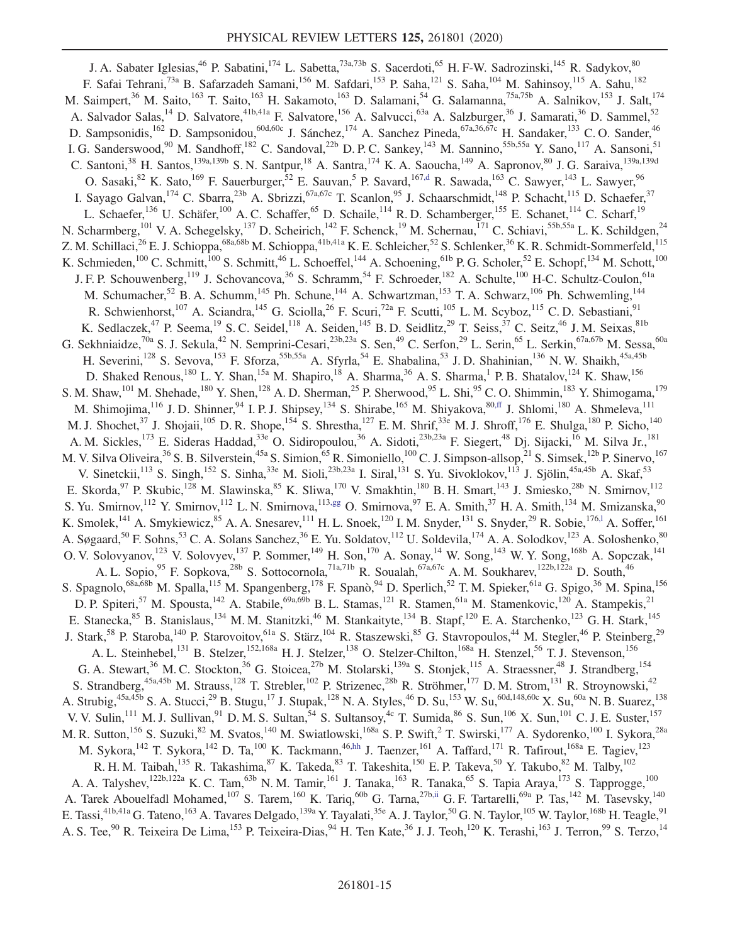<span id="page-14-3"></span><span id="page-14-2"></span><span id="page-14-1"></span><span id="page-14-0"></span>J. A. Sabater Iglesias,<sup>46</sup> P. Sabatini,<sup>174</sup> L. Sabetta,<sup>73a,73b</sup> S. Sacerdoti,<sup>65</sup> H. F-W. Sadrozinski,<sup>145</sup> R. Sadykov,<sup>80</sup> F. Safai Tehrani,<sup>73a</sup> B. Safarzadeh Samani,<sup>156</sup> M. Safdari,<sup>153</sup> P. Saha,<sup>121</sup> S. Saha,<sup>104</sup> M. Sahinsoy,<sup>115</sup> A. Sahu,<sup>182</sup> M. Saimpert,<sup>36</sup> M. Saito,<sup>163</sup> T. Saito,<sup>163</sup> H. Sakamoto,<sup>163</sup> D. Salamani,<sup>54</sup> G. Salamanna,<sup>75a,75b</sup> A. Salnikov,<sup>153</sup> J. Salt,<sup>174</sup> A. Salvador Salas, <sup>14</sup> D. Salvatore, <sup>41b,41a</sup> F. Salvatore, <sup>156</sup> A. Salvucci, <sup>63a</sup> A. Salzburger, <sup>36</sup> J. Samarati, <sup>36</sup> D. Sammel, <sup>52</sup> D. Sampsonidis,<sup>162</sup> D. Sampsonidou,<sup>60d,60c</sup> J. Sánchez,<sup>174</sup> A. Sanchez Pineda,<sup>67a,36,67c</sup> H. Sandaker,<sup>133</sup> C.O. Sander,<sup>46</sup> I. G. Sanderswood,<sup>90</sup> M. Sandhoff,<sup>182</sup> C. Sandoval,<sup>22b</sup> D. P. C. Sankey,<sup>143</sup> M. Sannino,<sup>55b,55a</sup> Y. Sano,<sup>117</sup> A. Sansoni,<sup>51</sup> C. Santoni,<sup>38</sup> H. Santos,<sup>139a,139b</sup> S. N. Santpur,<sup>18</sup> A. Santra,<sup>174</sup> K. A. Saoucha,<sup>149</sup> A. Sapronov,<sup>80</sup> J. G. Saraiva,<sup>139a,139d</sup> O. Sasaki,  $82$  K. Sato,  $169$  F. Sauerburger,  $52$  E. Sauvan, <sup>5</sup> P. Savard,  $167$ , d R. Sawada,  $163$  C. Sawyer,  $143$  L. Sawyer,  $96$ I. Sayago Galvan,<sup>174</sup> C. Sbarra,<sup>23b</sup> A. Sbrizzi,<sup>67a,67c</sup> T. Scanlon,<sup>95</sup> J. Schaarschmidt,<sup>148</sup> P. Schacht,<sup>115</sup> D. Schaefer,<sup>37</sup> L. Schaefer,<sup>136</sup> U. Schäfer,<sup>100</sup> A. C. Schaffer,<sup>65</sup> D. Schaile,<sup>114</sup> R. D. Schamberger,<sup>155</sup> E. Schanet,<sup>114</sup> C. Scharf,<sup>19</sup> N. Scharmberg,<sup>101</sup> V. A. Schegelsky,<sup>137</sup> D. Scheirich,<sup>142</sup> F. Schenck,<sup>19</sup> M. Schernau,<sup>171</sup> C. Schiavi,<sup>55b,55a</sup> L. K. Schildgen,<sup>24</sup> Z. M. Schillaci,<sup>26</sup> E. J. Schioppa,<sup>68a,68b</sup> M. Schioppa,<sup>41b,41a</sup> K. E. Schleicher,<sup>52</sup> S. Schlenker,<sup>36</sup> K. R. Schmidt-Sommerfeld,<sup>115</sup> K. Schmieden,<sup>100</sup> C. Schmitt,<sup>100</sup> S. Schmitt,<sup>46</sup> L. Schoeffel,<sup>144</sup> A. Schoening,<sup>61b</sup> P. G. Scholer,<sup>52</sup> E. Schopf,<sup>134</sup> M. Schott,<sup>100</sup> J. F. P. Schouwenberg,<sup>119</sup> J. Schovancova,<sup>36</sup> S. Schramm,<sup>54</sup> F. Schroeder,<sup>182</sup> A. Schulte,<sup>100</sup> H-C. Schultz-Coulon,<sup>61a</sup> M. Schumacher,<sup>52</sup> B. A. Schumm,<sup>145</sup> Ph. Schune,<sup>144</sup> A. Schwartzman,<sup>153</sup> T. A. Schwarz,<sup>106</sup> Ph. Schwemling,<sup>144</sup> R. Schwienhorst,<sup>107</sup> A. Sciandra,<sup>145</sup> G. Sciolla,<sup>26</sup> F. Scuri,<sup>72a</sup> F. Scutti,<sup>105</sup> L. M. Scyboz,<sup>115</sup> C. D. Sebastiani,<sup>91</sup> K. Sedlaczek,<sup>47</sup> P. Seema,<sup>19</sup> S. C. Seidel,<sup>118</sup> A. Seiden,<sup>145</sup> B. D. Seidlitz,<sup>29</sup> T. Seiss,<sup>37</sup> C. Seitz,<sup>46</sup> J. M. Seixas,<sup>81b</sup> G. Sekhniaidze,<sup>70a</sup> S. J. Sekula,<sup>42</sup> N. Semprini-Cesari,<sup>23b,23a</sup> S. Sen,<sup>49</sup> C. Serfon,<sup>29</sup> L. Serin,<sup>65</sup> L. Serkin,<sup>67a,67b</sup> M. Sessa,<sup>60a</sup> H. Severini,<sup>128</sup> S. Sevova,<sup>153</sup> F. Sforza,<sup>55b,55a</sup> A. Sfyrla,<sup>54</sup> E. Shabalina,<sup>53</sup> J.D. Shahinian,<sup>136</sup> N.W. Shaikh,<sup>45a,45b</sup> D. Shaked Renous,<sup>180</sup> L. Y. Shan,<sup>15a</sup> M. Shapiro,<sup>18</sup> A. Sharma,<sup>36</sup> A. S. Sharma,<sup>1</sup> P. B. Shatalov,<sup>124</sup> K. Shaw,<sup>156</sup> S. M. Shaw,<sup>101</sup> M. Shehade,<sup>180</sup> Y. Shen,<sup>128</sup> A. D. Sherman,<sup>25</sup> P. Sherwood,<sup>95</sup> L. Shi,<sup>95</sup> C. O. Shimmin,<sup>183</sup> Y. Shimogama,<sup>179</sup> M. Shimojima,<sup>116</sup> J.D. Shinner,<sup>94</sup> I.P.J. Shipsey,<sup>134</sup> S. Shirabe,<sup>165</sup> M. Shiyakova,<sup>80[,ff](#page-20-31)</sup> J. Shlomi,<sup>180</sup> A. Shmeleva,<sup>111</sup> M. J. Shochet, <sup>37</sup> J. Shojaii, <sup>105</sup> D. R. Shope, <sup>154</sup> S. Shrestha, <sup>127</sup> E. M. Shrif, <sup>33e</sup> M. J. Shroff, <sup>176</sup> E. Shulga, <sup>180</sup> P. Sicho, <sup>140</sup> A. M. Sickles,<sup>173</sup> E. Sideras Haddad,<sup>33e</sup> O. Sidiropoulou,<sup>36</sup> A. Sidoti,<sup>23b,23a</sup> F. Siegert,<sup>48</sup> Dj. Sijacki,<sup>16</sup> M. Silva Jr.,<sup>181</sup> M. V. Silva Oliveira,<sup>36</sup> S. B. Silverstein,<sup>45a</sup> S. Simion,<sup>65</sup> R. Simoniello,<sup>100</sup> C. J. Simpson-allsop,<sup>21</sup> S. Simsek,<sup>12b</sup> P. Sinervo,<sup>167</sup> V. Sinetckii,<sup>113</sup> S. Singh,<sup>152</sup> S. Sinha,<sup>33e</sup> M. Sioli,<sup>23b,23a</sup> I. Siral,<sup>131</sup> S. Yu. Sivoklokov,<sup>113</sup> J. Sjölin,<sup>45a,45b</sup> A. Skaf,<sup>53</sup> E. Skorda,<sup>97</sup> P. Skubic,<sup>128</sup> M. Slawinska,<sup>85</sup> K. Sliwa,<sup>170</sup> V. Smakhtin,<sup>180</sup> B. H. Smart,<sup>143</sup> J. Smiesko,<sup>28b</sup> N. Smirnov,<sup>112</sup> S. Yu. Smirnov,<sup>112</sup> Y. Smirnov,<sup>112</sup> L. N. Smirnova,<sup>11[3,gg](#page-20-32)</sup> O. Smirnova,<sup>97</sup> E. A. Smith,<sup>37</sup> H. A. Smith,<sup>134</sup> M. Smizanska,<sup>90</sup> K. Smolek, <sup>141</sup> A. Smykiewicz, <sup>85</sup> A. A. Snesarev,  $^{111}$  H. L. Snoek,  $^{120}$  I. M. Snyder,  $^{131}$  S. Snyder,  $^{29}$  R. Sobie,  $^{176,1}$  A. Soffer,  $^{161}$ A. Søgaard,<sup>50</sup> F. Sohns,<sup>53</sup> C. A. Solans Sanchez,<sup>36</sup> E. Yu. Soldatov,<sup>112</sup> U. Soldevila,<sup>174</sup> A. A. Solodkov,<sup>123</sup> A. Soloshenko,<sup>80</sup> O. V. Solovyanov,<sup>123</sup> V. Solovyev,<sup>137</sup> P. Sommer,<sup>149</sup> H. Son,<sup>170</sup> A. Sonay,<sup>14</sup> W. Song,<sup>143</sup> W. Y. Song,<sup>168b</sup> A. Sopczak,<sup>141</sup> A. L. Sopio,<sup>95</sup> F. Sopkova,<sup>28b</sup> S. Sottocornola,<sup>71a,71b</sup> R. Soualah,<sup>67a,67c</sup> A. M. Soukharev,<sup>122b,122a</sup> D. South,<sup>46</sup> S. Spagnolo,<sup>68a,68b</sup> M. Spalla,<sup>115</sup> M. Spangenberg,<sup>178</sup> F. Spanò,<sup>94</sup> D. Sperlich,<sup>52</sup> T. M. Spieker,<sup>61a</sup> G. Spigo,<sup>36</sup> M. Spina,<sup>156</sup> D. P. Spiteri,<sup>57</sup> M. Spousta,<sup>142</sup> A. Stabile,<sup>69a,69b</sup> B. L. Stamas,<sup>121</sup> R. Stamen,<sup>61a</sup> M. Stamenkovic,<sup>120</sup> A. Stampekis,<sup>21</sup> E. Stanecka, <sup>85</sup> B. Stanislaus, <sup>134</sup> M. M. Stanitzki, <sup>46</sup> M. Stankaityte, <sup>134</sup> B. Stapf, <sup>120</sup> E. A. Starchenko, <sup>123</sup> G. H. Stark, <sup>145</sup> J. Stark,<sup>58</sup> P. Staroba,<sup>140</sup> P. Starovoitov,<sup>61a</sup> S. Stärz,<sup>104</sup> R. Staszewski,<sup>85</sup> G. Stavropoulos,<sup>44</sup> M. Stegler,<sup>46</sup> P. Steinberg,<sup>29</sup> A. L. Steinhebel,<sup>131</sup> B. Stelzer,<sup>152,168a</sup> H. J. Stelzer,<sup>138</sup> O. Stelzer-Chilton,<sup>168a</sup> H. Stenzel,<sup>56</sup> T. J. Stevenson,<sup>156</sup> G. A. Stewart,<sup>36</sup> M. C. Stockton,<sup>36</sup> G. Stoicea,<sup>27b</sup> M. Stolarski,<sup>139a</sup> S. Stonjek,<sup>115</sup> A. Straessner,<sup>48</sup> J. Strandberg,<sup>154</sup> S. Strandberg,<sup>45a,45b</sup> M. Strauss,<sup>128</sup> T. Strebler,<sup>102</sup> P. Strizenec,<sup>28b</sup> R. Ströhmer,<sup>177</sup> D. M. Strom,<sup>131</sup> R. Stroynowski,<sup>42</sup> A. Strubig,<sup>45a,45b</sup> S. A. Stucci,<sup>29</sup> B. Stugu,<sup>17</sup> J. Stupak,<sup>128</sup> N. A. Styles,<sup>46</sup> D. Su,<sup>153</sup> W. Su,<sup>60d,148,60c</sup> X. Su,<sup>60a</sup> N. B. Suarez,<sup>138</sup> V. V. Sulin, <sup>111</sup> M. J. Sullivan, <sup>91</sup> D. M. S. Sultan, <sup>54</sup> S. Sultansoy, <sup>4c</sup> T. Sumida, <sup>86</sup> S. Sun, <sup>106</sup> X. Sun, <sup>101</sup> C. J. E. Suster, <sup>157</sup> M. R. Sutton,<sup>156</sup> S. Suzuki,<sup>82</sup> M. Svatos,<sup>140</sup> M. Swiatlowski,<sup>168a</sup> S. P. Swift,<sup>2</sup> T. Swirski,<sup>177</sup> A. Sydorenko,<sup>100</sup> I. Sykora,<sup>28a</sup> M. Sykora,<sup>142</sup> T. Sykora,<sup>142</sup> D. Ta,<sup>100</sup> K. Tackmann,<sup>46[,hh](#page-20-33)</sup> J. Taenzer,<sup>161</sup> A. Taffard,<sup>171</sup> R. Tafirout,<sup>168a</sup> E. Tagiev,<sup>123</sup> R. H. M. Taibah,<sup>135</sup> R. Takashima,<sup>87</sup> K. Takeda,<sup>83</sup> T. Takeshita,<sup>150</sup> E. P. Takeva,<sup>50</sup> Y. Takubo,<sup>82</sup> M. Talby,<sup>102</sup> A. A. Talyshev,<sup>122b,122a</sup> K. C. Tam,<sup>63b</sup> N. M. Tamir,<sup>161</sup> J. Tanaka,<sup>163</sup> R. Tanaka,<sup>65</sup> S. Tapia Araya,<sup>173</sup> S. Tapprogge,<sup>100</sup> A. Tarek Abouelfadl Mohamed,<sup>107</sup> S. Tarem,<sup>160</sup> K. Tariq,<sup>60b</sup> G. Tarna,<sup>27b[,ii](#page-20-34)</sup> G. F. Tartarelli,<sup>69a</sup> P. Tas,<sup>142</sup> M. Tasevsky,<sup>140</sup> E. Tassi,<sup>41b,41a</sup> G. Tateno,<sup>163</sup> A. Tavares Delgado,<sup>139a</sup> Y. Tayalati,<sup>35e</sup> A. J. Taylor,<sup>50</sup> G. N. Taylor,<sup>105</sup> W. Taylor,<sup>168b</sup> H. Teagle,<sup>91</sup> A. S. Tee,<sup>90</sup> R. Teixeira De Lima,<sup>153</sup> P. Teixeira-Dias,<sup>94</sup> H. Ten Kate,<sup>36</sup> J. J. Teoh,<sup>120</sup> K. Terashi,<sup>163</sup> J. Terron,<sup>99</sup> S. Terzo,<sup>14</sup>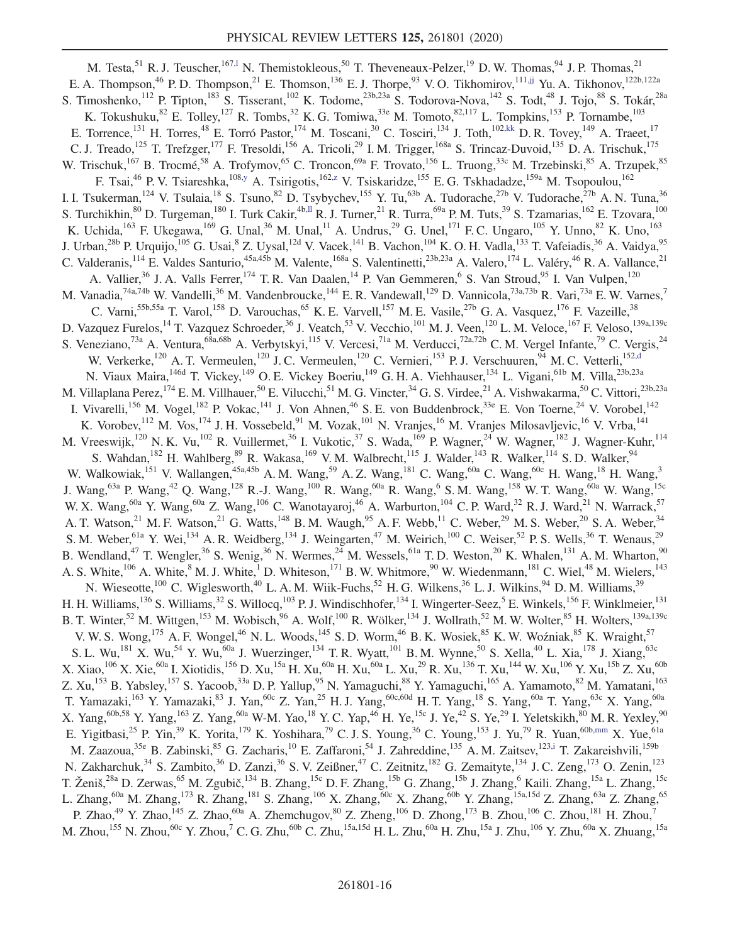<span id="page-15-3"></span><span id="page-15-2"></span><span id="page-15-1"></span><span id="page-15-0"></span>M. Testa,<sup>51</sup> R. J. Teuscher,<sup>167,1</sup> N. Themistokleous,<sup>50</sup> T. Theveneaux-Pelzer,<sup>19</sup> D. W. Thomas,<sup>94</sup> J. P. Thomas,<sup>21</sup> E. A. Thompson,<sup>46</sup> P. D. Thompson,<sup>21</sup> E. Thomson,<sup>136</sup> E. J. Thorpe,<sup>93</sup> V. O. Tikhomirov,<sup>111[,jj](#page-20-35)</sup> Yu. A. Tikhonov,<sup>122b,122a</sup> S. Timoshenko,<sup>112</sup> P. Tipton,<sup>183</sup> S. Tisserant,<sup>102</sup> K. Todome,<sup>23b,23a</sup> S. Todorova-Nova,<sup>142</sup> S. Todt,<sup>48</sup> J. Tojo,<sup>88</sup> S. Tokár,<sup>28a</sup> K. Tokushuku,  $82$  E. Tolley,  $127$  R. Tombs,  $32$  K. G. Tomiwa,  $33e$  M. Tomoto,  $82,117$  L. Tompkins,  $153$  P. Tornambe,  $103$ E. Torrence,<sup>131</sup> H. Torres,<sup>48</sup> E. Torró Pastor,<sup>174</sup> M. Toscani,<sup>30</sup> C. Tosciri,<sup>134</sup> J. Toth,<sup>102[,kk](#page-20-36)</sup> D. R. Tovey,<sup>149</sup> A. Traeet,<sup>17</sup> C. J. Treado,<sup>125</sup> T. Trefzger,<sup>177</sup> F. Tresoldi,<sup>156</sup> A. Tricoli,<sup>29</sup> I. M. Trigger,<sup>168a</sup> S. Trincaz-Duvoid,<sup>135</sup> D. A. Trischuk,<sup>175</sup> W. Trischuk,<sup>167</sup> B. Trocmé,<sup>58</sup> A. Trofymov,<sup>65</sup> C. Troncon,<sup>69a</sup> F. Trovato,<sup>156</sup> L. Truong,<sup>33c</sup> M. Trzebinski,<sup>85</sup> A. Trzupek,<sup>85</sup> F. Tsai,<sup>46</sup> P. V. Tsiareshka,<sup>108[,y](#page-20-23)</sup> A. Tsirigotis,<sup>16[2,z](#page-20-24)</sup> V. Tsiskaridze,<sup>155</sup> E. G. Tskhadadze,<sup>159a</sup> M. Tsopoulou,<sup>162</sup> I. I. Tsukerman,<sup>124</sup> V. Tsulaia,<sup>18</sup> S. Tsuno,<sup>82</sup> D. Tsybychev,<sup>155</sup> Y. Tu,<sup>63b</sup> A. Tudorache,<sup>27b</sup> V. Tudorache,<sup>27b</sup> A. N. Tuna,<sup>36</sup> S. Turchikhin,  ${}^{80}$  D. Turgeman,  ${}^{180}$  I. Turk Cakir,  ${}^{4b,II}$  R. J. Turner,  ${}^{21}$  R. Turra,  ${}^{69a}$  P. M. Tuts,  ${}^{39}$  S. Tzamarias,  ${}^{162}$  E. Tzovara,  ${}^{100}$ K. Uchida,<sup>163</sup> F. Ukegawa,<sup>169</sup> G. Unal,<sup>36</sup> M. Unal,<sup>11</sup> A. Undrus,<sup>29</sup> G. Unel,<sup>171</sup> F. C. Ungaro,<sup>105</sup> Y. Unno,<sup>82</sup> K. Uno,<sup>163</sup> J. Urban,<sup>28b</sup> P. Urquijo,<sup>105</sup> G. Usai,<sup>8</sup> Z. Uysal,<sup>12d</sup> V. Vacek,<sup>141</sup> B. Vachon,<sup>104</sup> K. O. H. Vadla,<sup>133</sup> T. Vafeiadis,<sup>36</sup> A. Vaidya,<sup>95</sup> C. Valderanis,  $^{114}$  E. Valdes Santurio,  $^{45a,45b}$  M. Valente,  $^{168a}$  S. Valentinetti,  $^{23b,23a}$  A. Valero,  $^{174}$  L. Valéry,  $^{46}$  R. A. Vallance,  $^{21}$ A. Vallier,<sup>36</sup> J. A. Valls Ferrer,<sup>174</sup> T. R. Van Daalen,<sup>14</sup> P. Van Gemmeren,<sup>6</sup> S. Van Stroud,<sup>95</sup> I. Van Vulpen,<sup>120</sup> M. Vanadia, <sup>74a, 74b</sup> W. Vandelli, <sup>36</sup> M. Vandenbroucke, <sup>144</sup> E. R. Vandewall, <sup>129</sup> D. Vannicola, <sup>73a, 73b</sup> R. Vari, <sup>73a</sup> E. W. Varnes, <sup>7</sup> C. Varni,<sup>55b,55a</sup> T. Varol,<sup>158</sup> D. Varouchas,<sup>65</sup> K. E. Varvell,<sup>157</sup> M. E. Vasile,<sup>27b</sup> G. A. Vasquez,<sup>176</sup> F. Vazeille,<sup>38</sup> D. Vazquez Furelos,<sup>14</sup> T. Vazquez Schroeder,<sup>36</sup> J. Veatch,<sup>53</sup> V. Vecchio,<sup>101</sup> M. J. Veen,<sup>120</sup> L. M. Veloce,<sup>167</sup> F. Veloso,<sup>139a,139c</sup> S. Veneziano,<sup>73a</sup> A. Ventura,<sup>68a,68b</sup> A. Verbytskyi,<sup>115</sup> V. Vercesi,<sup>71a</sup> M. Verducci,<sup>72a,72b</sup> C. M. Vergel Infante,<sup>79</sup> C. Vergis,<sup>24</sup> W. Verkerke,<sup>120</sup> A. T. Vermeulen,<sup>120</sup> J. C. Vermeulen,<sup>120</sup> C. Vernieri,<sup>153</sup> P. J. Verschuuren,<sup>94</sup> M. C. Vetterli,<sup>152[,d](#page-20-2)</sup> N. Viaux Maira, <sup>146d</sup> T. Vickey, <sup>149</sup> O. E. Vickey Boeriu, <sup>149</sup> G. H. A. Viehhauser, <sup>134</sup> L. Vigani, <sup>61b</sup> M. Villa, <sup>23b,23a</sup> M. Villaplana Perez,<sup>174</sup> E. M. Villhauer,<sup>50</sup> E. Vilucchi,<sup>51</sup> M. G. Vincter,<sup>34</sup> G. S. Virdee,<sup>21</sup> A. Vishwakarma,<sup>50</sup> C. Vittori,<sup>23b,23a</sup> I. Vivarelli,<sup>156</sup> M. Vogel,<sup>182</sup> P. Vokac,<sup>141</sup> J. Von Ahnen,<sup>46</sup> S. E. von Buddenbrock,<sup>33e</sup> E. Von Toerne,<sup>24</sup> V. Vorobel,<sup>142</sup> K. Vorobev, 112 M. Vos, <sup>174</sup> J. H. Vossebeld, <sup>91</sup> M. Vozak, <sup>101</sup> N. Vranjes, <sup>16</sup> M. Vranjes Milosavljevic, <sup>16</sup> V. Vrba, <sup>141</sup> M. Vreeswijk,<sup>120</sup> N. K. Vu,<sup>102</sup> R. Vuillermet,<sup>36</sup> I. Vukotic,<sup>37</sup> S. Wada,<sup>169</sup> P. Wagner,<sup>24</sup> W. Wagner,<sup>182</sup> J. Wagner-Kuhr,<sup>114</sup> S. Wahdan,<sup>182</sup> H. Wahlberg,<sup>89</sup> R. Wakasa,<sup>169</sup> V. M. Walbrecht,<sup>115</sup> J. Walder,<sup>143</sup> R. Walker,<sup>114</sup> S. D. Walker,<sup>94</sup> W. Walkowiak,<sup>151</sup> V. Wallangen,<sup>45a,45b</sup> A. M. Wang,<sup>59</sup> A. Z. Wang,<sup>181</sup> C. Wang,<sup>60a</sup> C. Wang,<sup>60c</sup> H. Wang,<sup>18</sup> H. Wang,<sup>3</sup> J. Wang, $^{63a}$  P. Wang, $^{42}$  Q. Wang, $^{128}$  R.-J. Wang, $^{100}$  R. Wang, $^{60a}$  R. Wang, $^6$  S.M. Wang, $^{158}$  W. T. Wang, $^{60a}$  W. Wang, $^{15c}$ W. X. Wang, <sup>60a</sup> Y. Wang, <sup>60a</sup> Z. Wang, <sup>106</sup> C. Wanotayaroj, <sup>46</sup> A. Warburton, <sup>104</sup> C. P. Ward, <sup>32</sup> R. J. Ward, <sup>21</sup> N. Warrack, <sup>57</sup> A. T. Watson,<sup>21</sup> M. F. Watson,<sup>21</sup> G. Watts,<sup>148</sup> B. M. Waugh,<sup>95</sup> A. F. Webb,<sup>11</sup> C. Weber,<sup>29</sup> M. S. Weber,<sup>20</sup> S. A. Weber,<sup>34</sup> S. M. Weber, <sup>61a</sup> Y. Wei, <sup>134</sup> A. R. Weidberg, <sup>134</sup> J. Weingarten, <sup>47</sup> M. Weirich, <sup>100</sup> C. Weiser, <sup>52</sup> P. S. Wells, <sup>36</sup> T. Wenaus, <sup>29</sup> B. Wendland,<sup>47</sup> T. Wengler,<sup>36</sup> S. Wenig,<sup>36</sup> N. Wermes,<sup>24</sup> M. Wessels,<sup>61a</sup> T.D. Weston,<sup>20</sup> K. Whalen,<sup>131</sup> A.M. Wharton,<sup>90</sup> A. S. White,<sup>106</sup> A. White,<sup>8</sup> M. J. White,<sup>1</sup> D. Whiteson,<sup>171</sup> B. W. Whitmore,<sup>90</sup> W. Wiedenmann,<sup>181</sup> C. Wiel,<sup>48</sup> M. Wielers,<sup>143</sup> N. Wieseotte,<sup>100</sup> C. Wiglesworth,<sup>40</sup> L. A. M. Wiik-Fuchs,<sup>52</sup> H. G. Wilkens,<sup>36</sup> L. J. Wilkins,<sup>94</sup> D. M. Williams,<sup>39</sup> H. H. Williams,<sup>136</sup> S. Williams,<sup>32</sup> S. Willocq,<sup>103</sup> P. J. Windischhofer,<sup>134</sup> I. Wingerter-Seez,<sup>5</sup> E. Winkels,<sup>156</sup> F. Winklmeier,<sup>131</sup> B. T. Winter,<sup>52</sup> M. Wittgen,<sup>153</sup> M. Wobisch,<sup>96</sup> A. Wolf,<sup>100</sup> R. Wölker,<sup>134</sup> J. Wollrath,<sup>52</sup> M. W. Wolter,<sup>85</sup> H. Wolters,<sup>139a,139c</sup> V. W. S. Wong,<sup>175</sup> A. F. Wongel,<sup>46</sup> N. L. Woods,<sup>145</sup> S. D. Worm,<sup>46</sup> B. K. Wosiek,<sup>85</sup> K. W. Woźniak,<sup>85</sup> K. Wraight,<sup>57</sup> S. L. Wu,<sup>181</sup> X. Wu,<sup>54</sup> Y. Wu,<sup>60a</sup> J. Wuerzinger,<sup>134</sup> T. R. Wyatt,<sup>101</sup> B. M. Wynne,<sup>50</sup> S. Xella,<sup>40</sup> L. Xia,<sup>178</sup> J. Xiang,<sup>63c</sup> X. Xiao,<sup>106</sup> X. Xie,<sup>60a</sup> I. Xiotidis,<sup>156</sup> D. Xu,<sup>15a</sup> H. Xu,<sup>60a</sup> H. Xu,<sup>60a</sup> L. Xu,<sup>29</sup> R. Xu,<sup>136</sup> T. Xu,<sup>144</sup> W. Xu,<sup>106</sup> Y. Xu,<sup>15b</sup> Z. Xu,<sup>60b</sup> Z. Xu,<sup>153</sup> B. Yabsley,<sup>157</sup> S. Yacoob,<sup>33a</sup> D. P. Yallup,<sup>95</sup> N. Yamaguchi,<sup>88</sup> Y. Yamaguchi,<sup>165</sup> A. Yamamoto,<sup>82</sup> M. Yamatani,<sup>163</sup> T. Yamazaki,<sup>163</sup> Y. Yamazaki,<sup>83</sup> J. Yan,<sup>60c</sup> Z. Yan,<sup>25</sup> H. J. Yang,<sup>60c,60d</sup> H. T. Yang,<sup>18</sup> S. Yang,<sup>60a</sup> T. Yang,<sup>63c</sup> X. Yang,<sup>60a</sup> X. Yang,<sup>60b,58</sup> Y. Yang,<sup>163</sup> Z. Yang,<sup>60a</sup> W-M. Yao,<sup>18</sup> Y. C. Yap,<sup>46</sup> H. Ye,<sup>15c</sup> J. Ye,<sup>42</sup> S. Ye,<sup>29</sup> I. Yeletskikh,<sup>80</sup> M. R. Yexley,<sup>90</sup> E. Yigitbasi,<sup>25</sup> P. Yin,<sup>39</sup> K. Yorita,<sup>179</sup> K. Yoshihara,<sup>79</sup> C. J. S. Young,<sup>36</sup> C. Young,<sup>153</sup> J. Yu,<sup>79</sup> R. Yuan,<sup>60[b,mm](#page-20-38)</sup> X. Yue,<sup>61a</sup> M. Zaazoua,<sup>35e</sup> B. Zabinski,<sup>85</sup> G. Zacharis,<sup>10</sup> E. Zaffaroni,<sup>54</sup> J. Zahreddine,<sup>135</sup> A. M. Zaitsev,<sup>12[3,i](#page-20-7)</sup> T. Zakareishvili,<sup>159b</sup> N. Zakharchuk,<sup>34</sup> S. Zambito,<sup>36</sup> D. Zanzi,<sup>36</sup> S. V. Zeißner,<sup>47</sup> C. Zeitnitz,<sup>182</sup> G. Zemaityte,<sup>134</sup> J. C. Zeng,<sup>173</sup> O. Zenin,<sup>123</sup> T. Ženiš,<sup>28a</sup> D. Zerwas,<sup>65</sup> M. Zgubič,<sup>134</sup> B. Zhang,<sup>15c</sup> D. F. Zhang,<sup>15b</sup> G. Zhang,<sup>15b</sup> J. Zhang,<sup>6</sup> Kaili. Zhang,<sup>15a</sup> L. Zhang,<sup>15c</sup> L. Zhang,<sup>60a</sup> M. Zhang,<sup>173</sup> R. Zhang,<sup>181</sup> S. Zhang,<sup>106</sup> X. Zhang,<sup>60c</sup> X. Zhang,<sup>60b</sup> Y. Zhang,<sup>15a,15d</sup> Z. Zhang,<sup>63a</sup> Z. Zhang,<sup>65</sup> P. Zhao,<sup>49</sup> Y. Zhao,<sup>145</sup> Z. Zhao,<sup>60a</sup> A. Zhemchugov,<sup>80</sup> Z. Zheng,<sup>106</sup> D. Zhong,<sup>173</sup> B. Zhou,<sup>106</sup> C. Zhou,<sup>181</sup> H. Zhou,<sup>7</sup> M. Zhou, $^{155}$  N. Zhou, $^{60c}$  Y. Zhou, $^7$  C. G. Zhu, $^{60b}$  C. Zhu, $^{15a,15d}$  H. L. Zhu, $^{60a}$  H. Zhu, $^{15a}$  J. Zhu, $^{106}$  Y. Zhu, $^{60a}$  X. Zhuang, $^{15a}$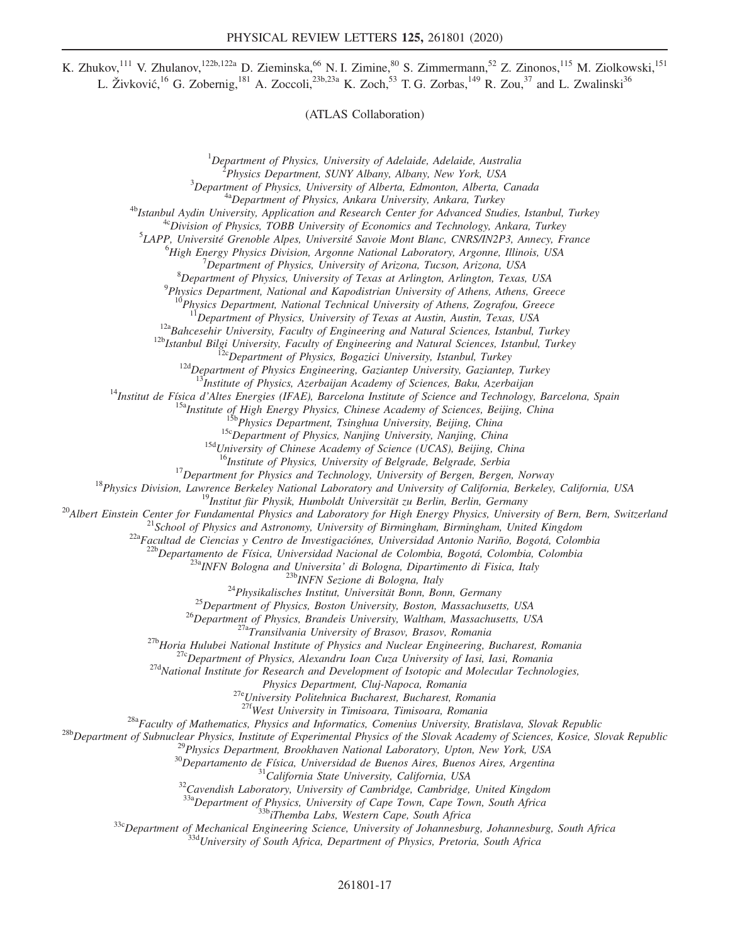K. Zhukov,<sup>111</sup> V. Zhulanov,<sup>122b,122a</sup> D. Zieminska,<sup>66</sup> N. I. Zimine,<sup>80</sup> S. Zimmermann,<sup>52</sup> Z. Zinonos,<sup>115</sup> M. Ziolkowski,<sup>151</sup> L. Živković,<sup>16</sup> G. Zobernig,<sup>181</sup> A. Zoccoli,<sup>23b,23a</sup> K. Zoch,<sup>53</sup> T. G. Zorbas,<sup>149</sup> R. Zou,<sup>37</sup> and L. Zwalinski<sup>36</sup>

(ATLAS Collaboration)

<sup>1</sup>Department of Physics, University of Adelaide, Adelaide, Australia<br><sup>2</sup> Physics Department, SUNY Albany, Albany, New York, USA

 $^{2}$ Physics Department, SUNY Albany, Albany, New York, USA  $^{3}$ Department of Physics, University of Alberta, Edmonton, Alberta, Canada

<sup>4a</sup>Department of Physics, Ankara University, Ankara, Turkey<br><sup>4b</sup>Istanbul Aydin University, Application and Research Center for Advanced Studies, Istanbul, Turkey<br><sup>4c</sup>Division of Physics, TOBB University of Economics and T

 ${}^{5}$ LAPP, Université Grenoble Alpes, Université Savoie Mont Blanc, CNRS/IN2P3, Annecy, France

 ${}^{6}$ High Energy Physics Division, Argonne National Laboratory, Argonne, Illinois, USA

 $^{7}$ Department of Physics, University of Arizona, Tucson, Arizona, USA

 ${}^{8}$ Department of Physics, University of Texas at Arlington, Arlington, Texas, USA

 $^{9}$ Physics Department, National and Kapodistrian University of Athens, Athens, Greece

<sup>10</sup>Physics Department, National Technical University of Athens, Zografou, Greece<br><sup>11</sup>Department of Physics, University of Texas at Austin, Austin, Texas, USA

<sup>12a</sup>Bahcesehir University, Faculty of Engineering and Natural Sciences, Istanbul, Turkey<br><sup>12b</sup>Istanbul Bilgi University, Faculty of Engineering and Natural Sciences, Istanbul, Turkey<br><sup>12b</sup>Istanbul Bilgi University, Facul

<sup>14</sup>Institut de Física d'Altes Energies (IFAE), Barcelona Institute of Science and Technology, Barcelona, Spain<br><sup>15a</sup>Institute of High Energy Physics, Chinese Academy of Sciences, Beijing, China<br><sup>15b</sup>Physics Department, T

<sup>18</sup>Physics Division, Lawrence Berkeley National Laboratory and University of Bergen, Bergen, Norway<br><sup>18</sup>Physics Division, Lawrence Berkeley National Laboratory and University of California, Berkeley, California, USA<br><sup>19</sup>

<sup>23a</sup>INFN Bologna and Universita' di Bologna, Dipartimento di Fisica, Italy<br><sup>23a</sup>INFN <sup>23b</sup>INFN Sezione di Bologna, Italy<br><sup>24</sup>Physikalisches Institut, Universität Bonn, Bonn, Germany<br><sup>25</sup>Department of Physics, Boston Univ

Physics Department, Cluj-Napoca, Romania<br><sup>27e</sup>University Politehnica Bucharest, Bucharest, Romania<br><sup>27f</sup>West University in Timisoara, Timisoara, Romania

<sup>28b</sup>Department of Subnuclear Physics, Institute of Experimental Physics of the Slovak Academy of Sciences, Kosice, Slovak Republic <sup>28b</sup>Department of Subnuclear Physics, Institute of Experimental Physics of the Slovak Ac

 $^{338}$ Department of Physics, University of Cape Town, Cape Town, South Africa<br> $^{336}$ Department of Mechanical Engineering Science, University of Johannesburg, Johannesburg, South Africa<br> $^{332}$ Department of Mechanical En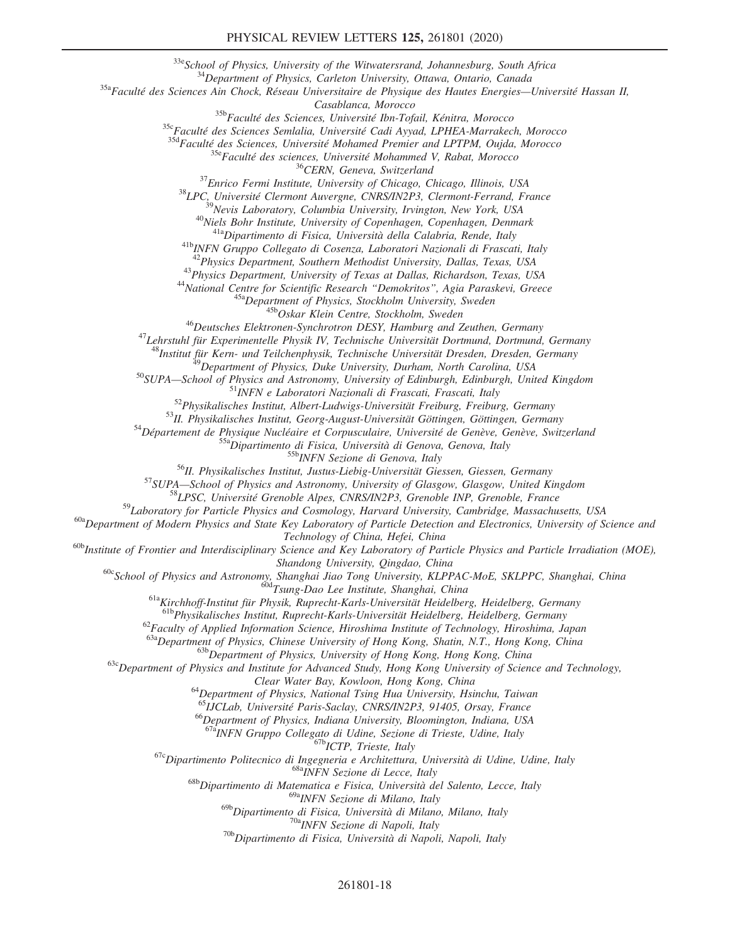<sup>33e</sup>School of Physics, University of the Witwatersrand, Johannesburg, South Africa<br><sup>34</sup>Department of Physics, Carleton University, Ottawa, Ontario, Canada<br><sup>35a</sup>Faculté des Sciences Ain Chock, Réseau Universitaire de Phys

 $\begin{tabular}{c c c c}{{\it S}} &{{\it Caasblanca, Moroco}} \\ {\tiny \begin{tabular}{c} \multic{}} \multic{}} &{{\it Caasblanca, Moroco}} \\ \multic{}} & {\it S}^{\text{35b}}Facult\'e des Sciences, Université Un-Dfail, Kénitra, Morocco \\ \multic{}} & {\it S}^{\text{35c}}Facult\'e des Sciences, Université Modamed Premier and LPTPM, Oujda, Morocco \\ \multic{}} & {\it S}^{\text{36}}Facult\'e des sciences, Université Mohammed V, Rabat, Morocco \\ \multic{}} & {\it S}^{\text{37}}Encult\'e des sciences, Université Mohammed V, Rabat, Morocco \\ \multic$ 

<sup>43</sup>Physics Department, University of Texas at Dallas, Richardson, Texas, USA<br><sup>44</sup>National Centre for Scientific Research "Demokritos", Agia Paraskevi, Greece<br><sup>45a</sup>Department of Physics, Stockholm University, Sweden<br><sup>45b</sup>

<sup>39</sup>Department of Physics, Duke University, Durham, North Carolina, USA<br><sup>50</sup>SUPA—School of Physics and Astronomy, University of Edinburgh, Edinburgh, United Kingdom<br><sup>51</sup>INFN e Laboratori Nazionali di Frascati, Frascati, I

 $60a$ Department of Modern Physics and State Key Laboratory of Particle Detection and Electronics, University of Science and

Technology of China, Hefei, China<br><sup>60b</sup>Institute of Frontier and Interdisciplinary Science and Key Laboratory of Particle Physics and Particle Irradiation (MOE),<br>Shandong University, Qingdao, China

<sup>60c</sup>School of Physics and Astronomy, Shanghai Jiao Tong University, KLPPAC-MoE, SKLPPC, Shanghai, China<br><sup>60d</sup>Tsung-Dao Lee Institute, Shanghai, China<br><sup>61a</sup>Kirchhoff-Institut für Physik, Ruprecht-Karls-Universität Heidelb

 $^{62}$ Faculty of Applied Information Science, Hiroshima Institute of Technology, Hiroshima, Japan<br> $^{63a}$ Department of Physics, Chinese University of Hong Kong, Shatin, N.T., Hong Kong, China

 $^{636}$ Department of Physics, University of Hong Kong, Hong Kong, China<br><sup>63c</sup>Department of Physics and Institute for Advanced Study, Hong Kong University of Science and Technology,

Clear Water Bay, Kowloon, Hong Kong, China<br><sup>64</sup>Department of Physics, National Tsing Hua University, Hsinchu, Taiwan<br><sup>65</sup>LJCLab, Université Paris-Saclay, CNRS/IN2P3, 91405, Orsay, France

<sup>66</sup>Department of Physics, Indiana University, Bloomington, Indiana, USA<br><sup>67a</sup>INFN Gruppo Collegato di Udine, Sezione di Trieste, Udine, Italy

<sup>67c</sup>Dipartimento Politecnico di Ingegneria e Architettura, Università di Udine, Udine, Italy<br><sup>68c</sup>Dipartimento di Matematica e Fisica, Università del Salento, Lecce, Italy<br><sup>68b</sup>Dipartimento di Matematica e Fisica, Univer

<sup>69a</sup>INFN Sezione di Milano, Italy<br><sup>69b</sup>Dipartimento di Fisica, Università di Milano, Milano, Italy

<sup>70a</sup>INFN Sezione di Napoli, Italy<br><sup>70b</sup>Dipartimento di Fisica, Università di Napoli, Napoli, Italy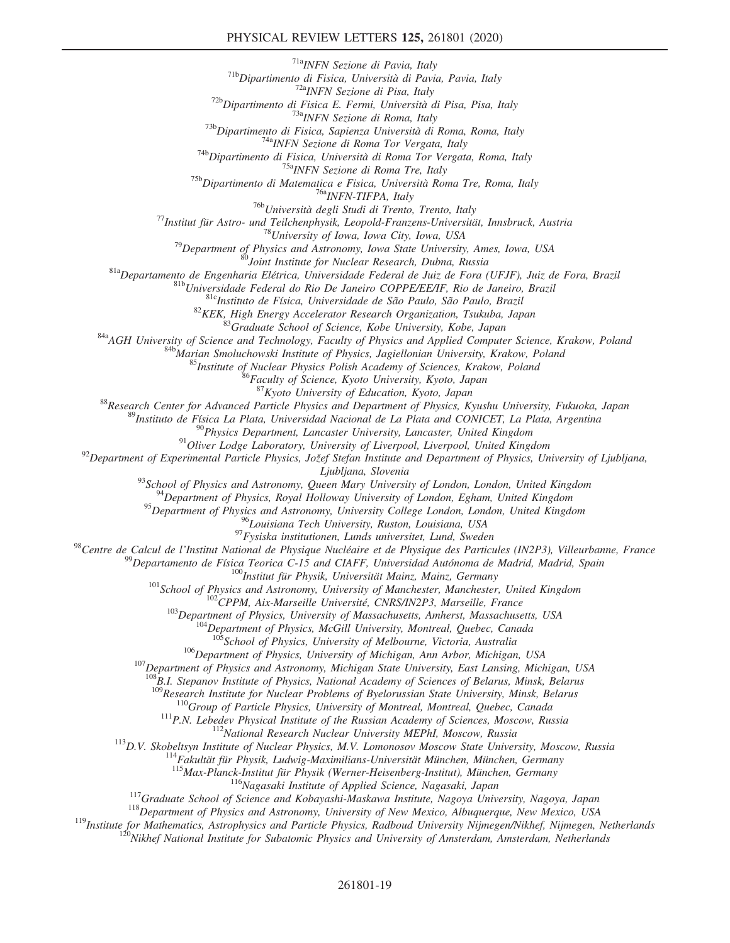## PHYSICAL REVIEW LETTERS 125, 261801 (2020)

<sup>718</sup>Popartimento di Fisica, Università di Pavia, Pavia, Italy<br><sup>718</sup>Popartimento di Fisica Excepti, Diversità di Pavia, Pavia, Italy<br><sup>728</sup>Popartimento di Fisica E. Fermi, Università di Pisa, Pisa, Pisa, Italy<br><sup>728</sup>Poparti

<sup>87</sup> Kyoto University of Education, Kyoto, Japan<br><sup>87</sup> Research Center for Advanced Particle Physics and Department of Physics, Kyushu University, Fukuoka, Japan<br><sup>89</sup> Instituto de Física La Plata, Universidad Nacional de L

Ljubljana, Slovenia<br><sup>93</sup>School of Physics and Astronomy, Queen Mary University of London, London, United Kingdom<br><sup>94</sup>Department of Physics, Royal Holloway University of London, Egham, United Kingdom

<sup>95</sup>Department of Physics and Astronomy, University College London, London, United Kingdom<br><sup>96</sup>Louisiana Tech University, Ruston, Louisiana, USA

<sup>97</sup> Fysiska institutionen, Lunds universitet, Lund, Sweden<br><sup>98</sup> Centre de Calcul de l'Institut National de Physique Nucléaire et de Physique des Particules (IN2P3), Villeurbanne, France<br><sup>98</sup> Departamento de Física Teoric

 $^{106}$ Department of Physics, University of Michigan, Ann Arbor, Michigan, USA<br><sup>107</sup>Department of Physics and Astronomy, Michigan State University, East Lansing, Michigan, USA

 $^{108}B.1$ . Stepanov Institute of Physics, National Academy of Sciences of Belarus, Minsk, Belarus<br> $^{109}$ Research Institute for Nuclear Problems of Byelorussian State University, Minsk, Belarus

<sup>110</sup>Group of Particle Physics, University of Montreal, Montreal, Quebec, Canada<br><sup>111</sup>P.N. Lebedev Physical Institute of the Russian Academy of Sciences, Moscow, Russia<br><sup>112</sup>National Research Nuclear University MEPhI, Mos

<sup>116</sup>Nagasaki Institute of Applied Science, Nagasaki, Japan<br><sup>117</sup>Graduate School of Science and Kobayashi-Maskawa Institute, Nagoya University, Nagoya, Japan<br><sup>118</sup>Department of Physics and Astronomy, University of New Mex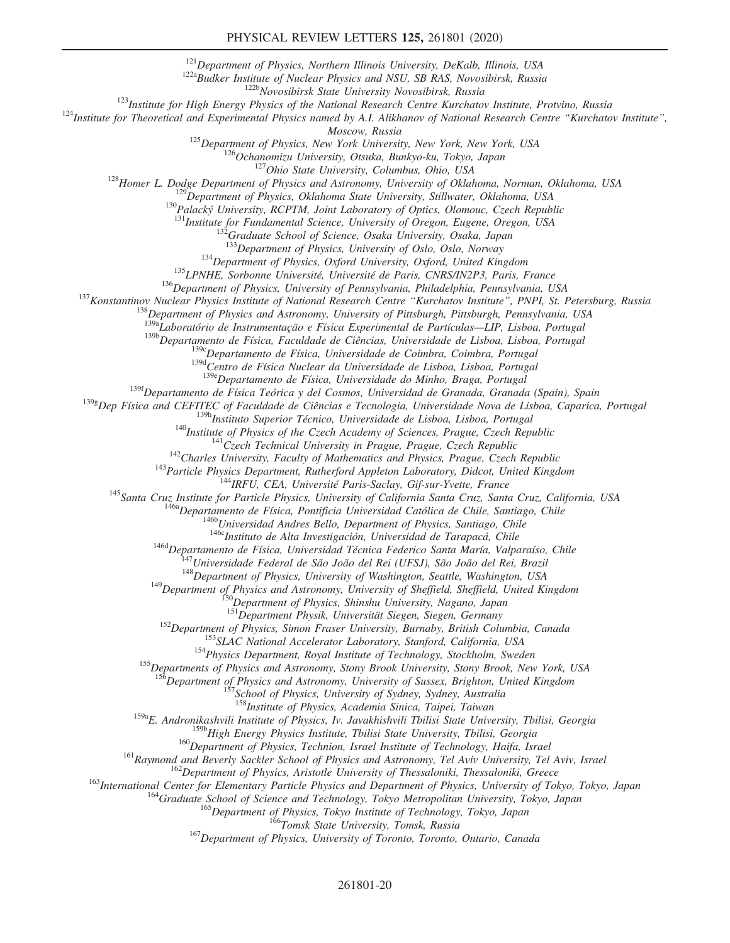<sup>121</sup>Department of Physics, Northern Illinois University, DeKalb, Illinois, USA<br><sup>122</sup>aBudker Institute of Nuclear Physics and NSU, SB RAS, Novosibirsk, Russia<br><sup>123</sup>Institute for High Energy Physics of the National Researc

Moscow, Russia<br>
<sup>125</sup>Department of Physics, New York University, New York, New York, USA<br>
<sup>126</sup>Ochanomizu University, Otsuka, Bunkyo-ku, Tokyo, Japan<br>
<sup>127</sup>Ohio State University, Columbus, Ohio, USA<br>
<sup>128</sup>Homer L. Dodge De

<sup>131</sup>Institute for Fundamental Science, University of Oregon, Eugene, Oregon, USA<br><sup>132</sup>Graduate School of Science, Osaka University, Osaka, Japan<br><sup>133</sup>Department of Physics, University of Oslo, Oslo, Norway

<sup>134</sup>Department of Physics, Oxford University, Oxford, United Kingdom<br><sup>135</sup>LPNHE, Sorbonne Université, Université de Paris, CNRS/IN2P3, Paris, France<br><sup>136</sup>Department of Physics, University of Pennsylvania, Philadelphia, Pe

<sup>139a</sup>Laboratório de Instrumentação e Física Experimental de Partículas—LIP, Lisboa, Portugal

<sup>139b</sup>Departamento de Física, Faculdade de Ciências, Universidade de Lisboa, Lisboa, Portugal<br><sup>139c</sup>Departamento de Física, Universidade de Coimbra, Coimbra, Portugal

<sup>139d</sup>Centro de Física Nuclear da Universidade de Lisboa, Lisboa, Portugal

<sup>139e</sup>Departamento de Física, Universidade do Minho, Braga, Portugal

<sup>139f</sup>Departamento de Física Teórica y del Cosmos, Universidad de Granada, Granada (Spain), Spain

<sup>139g</sup>Dep Física and CEFITEC of Faculdade de Ciências e Tecnologia, Universidade Nova de Lisboa, Caparica, Portugal<br><sup>139h</sup>Instituto Superior Técnico, Universidade de Lisboa, Lisboa, Portugal

<sup>139h</sup>Instituto Superior Técnico, Universidade de Lisboa, Lisboa, Portugal<br><sup>149</sup>Instituto Telephonical University in Prague, Czech Republic<br><sup>141</sup>Charles University, Faculty of Mathematics and Physics, Prague, Czech Republ

<sup>150</sup>Department of Physics, Shinshu University, Nagano, Japan<br><sup>151</sup>Department Physik, Universität Siegen, Siegen, Germany<br><sup>152</sup>Department of Physics, Simon Fraser University, Burnaby, British Columbia, Canada<br><sup>153</sup>SLAC Nat

<sup>6</sup>Department of Physics and Astronomy, University of Sussex, Brighton, United Kingdom <sup>157</sup>School of Physics, University of Sydney, Sydney, Australia

<sup>158</sup>Institute of Physics, Academia Sinica, Taipei, Taiwan

<sup>159a</sup>E. Andronikashvili Institute of Physics, Iv. Javakhishvili Tbilisi State University, Tbilisi, Georgia<br><sup>159b</sup>High Energy Physics Institute, Tbilisi State University, Tbilisi, Georgia

<sup>160</sup>Department of Physics, Technion, Israel Institute of Technology, Haifa, Israel<br><sup>161</sup>Raymond and Beverly Sackler School of Physics and Astronomy, Tel Aviv University, Tel Aviv, Israel<br><sup>162</sup>Department of Physics, Aristo